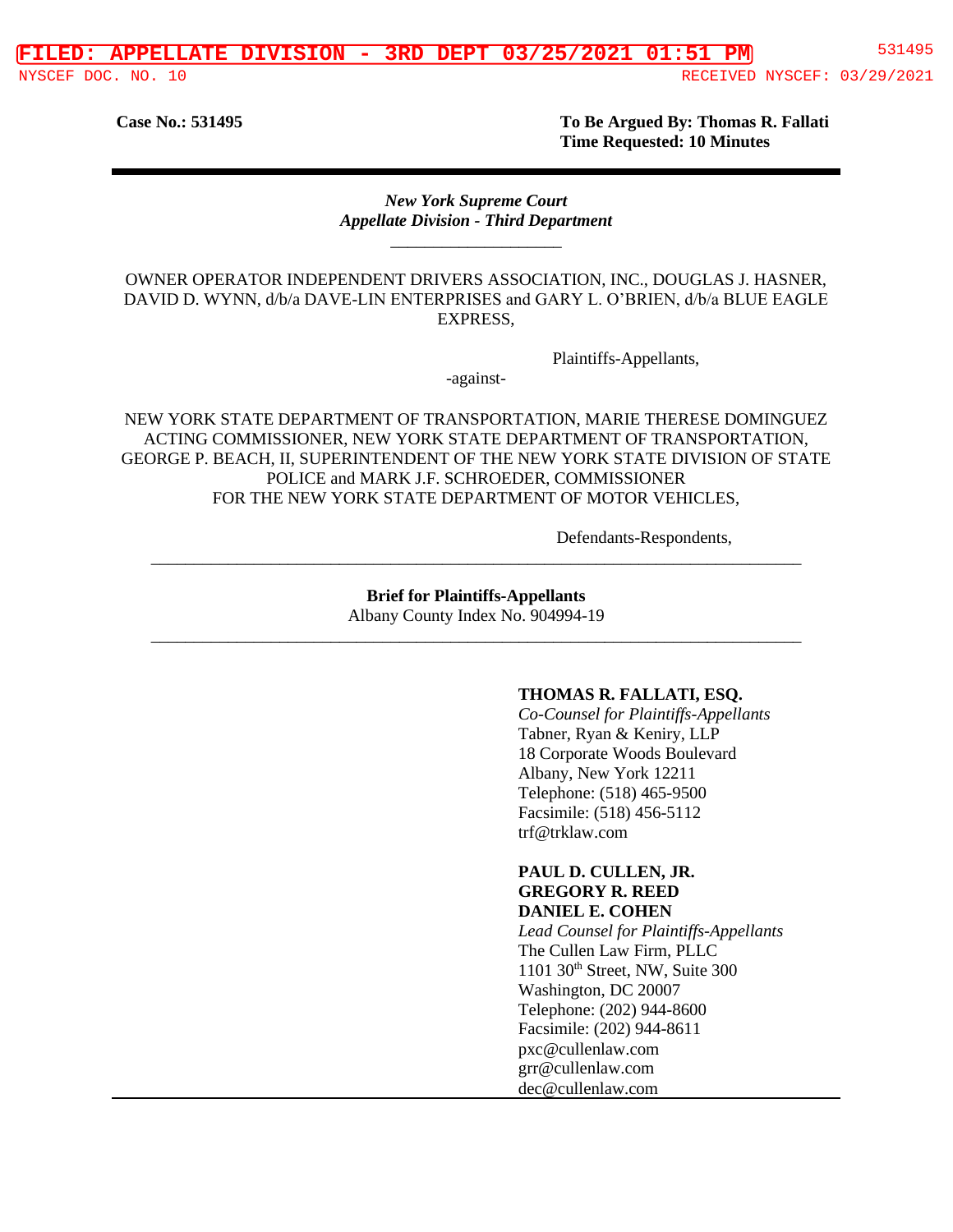**Case No.: 531495 To Be Argued By: Thomas R. Fallati Time Requested: 10 Minutes**

#### *New York Supreme Court Appellate Division - Third Department* \_\_\_\_\_\_\_\_\_\_\_\_\_\_\_\_\_\_\_\_

OWNER OPERATOR INDEPENDENT DRIVERS ASSOCIATION, INC., DOUGLAS J. HASNER, DAVID D. WYNN, d/b/a DAVE-LIN ENTERPRISES and GARY L. O'BRIEN, d/b/a BLUE EAGLE EXPRESS,

Plaintiffs-Appellants,

-against-

NEW YORK STATE DEPARTMENT OF TRANSPORTATION, MARIE THERESE DOMINGUEZ ACTING COMMISSIONER, NEW YORK STATE DEPARTMENT OF TRANSPORTATION, GEORGE P. BEACH, II, SUPERINTENDENT OF THE NEW YORK STATE DIVISION OF STATE POLICE and MARK J.F. SCHROEDER, COMMISSIONER FOR THE NEW YORK STATE DEPARTMENT OF MOTOR VEHICLES,

Defendants-Respondents,

**Brief for Plaintiffs-Appellants** Albany County Index No. 904994-19 \_\_\_\_\_\_\_\_\_\_\_\_\_\_\_\_\_\_\_\_\_\_\_\_\_\_\_\_\_\_\_\_\_\_\_\_\_\_\_\_\_\_\_\_\_\_\_\_\_\_\_\_\_\_\_\_\_\_\_\_\_\_\_\_\_\_\_\_\_\_\_\_\_\_\_\_

\_\_\_\_\_\_\_\_\_\_\_\_\_\_\_\_\_\_\_\_\_\_\_\_\_\_\_\_\_\_\_\_\_\_\_\_\_\_\_\_\_\_\_\_\_\_\_\_\_\_\_\_\_\_\_\_\_\_\_\_\_\_\_\_\_\_\_\_\_\_\_\_\_\_\_\_

#### **THOMAS R. FALLATI, ESQ.**

*Co-Counsel for Plaintiffs-Appellants* Tabner, Ryan & Keniry, LLP 18 Corporate Woods Boulevard Albany, New York 12211 Telephone: (518) 465-9500 Facsimile: (518) 456-5112 trf@trklaw.com

#### **PAUL D. CULLEN, JR. GREGORY R. REED DANIEL E. COHEN**

*Lead Counsel for Plaintiffs-Appellants* The Cullen Law Firm, PLLC 1101 30th Street, NW, Suite 300 Washington, DC 20007 Telephone: (202) 944-8600 Facsimile: (202) 944-8611 pxc@cullenlaw.com grr@cullenlaw.com dec@cullenlaw.com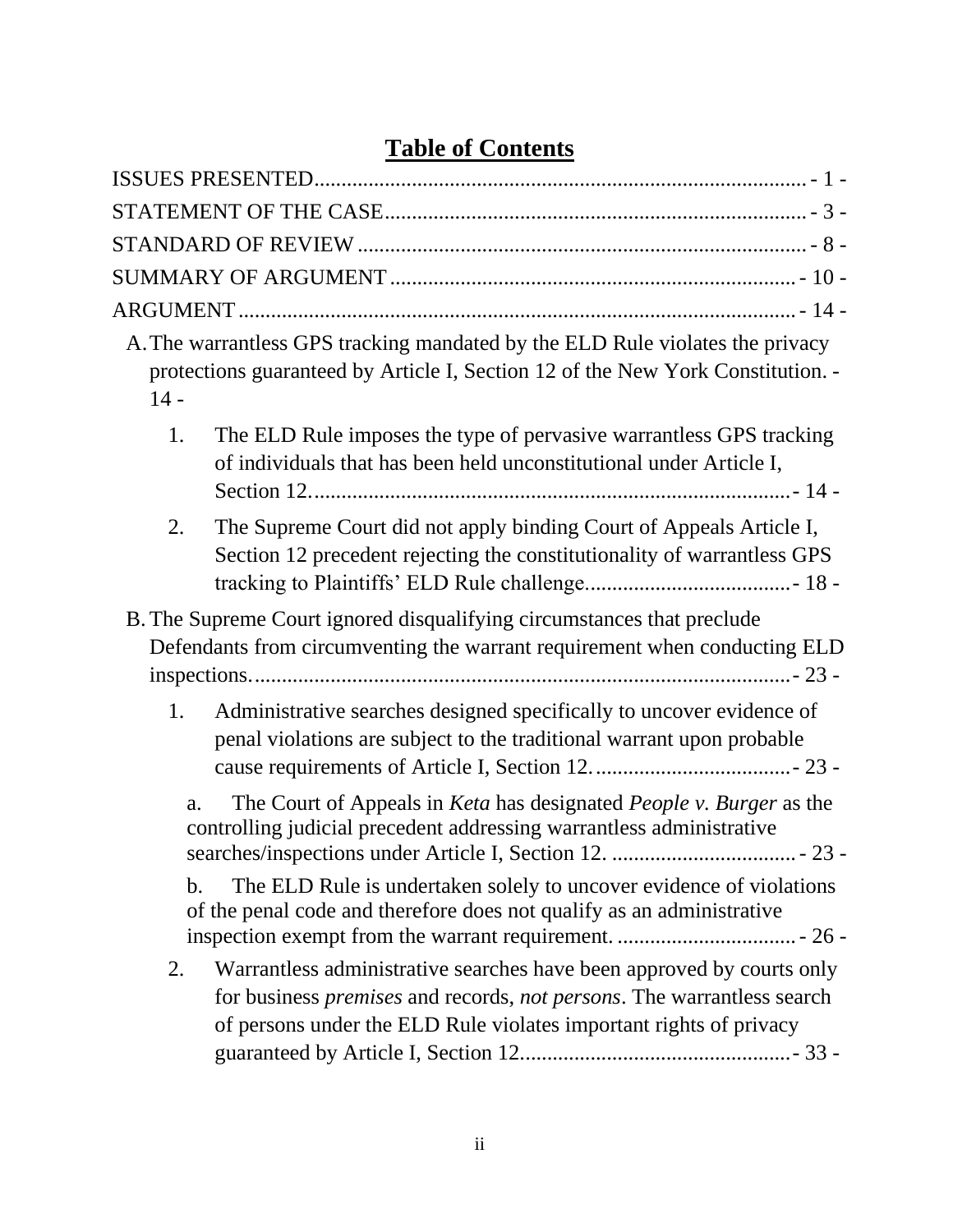# **Table of Contents**

| $14 -$        | A. The warrantless GPS tracking mandated by the ELD Rule violates the privacy<br>protections guaranteed by Article I, Section 12 of the New York Constitution. -                                                                     |
|---------------|--------------------------------------------------------------------------------------------------------------------------------------------------------------------------------------------------------------------------------------|
| 1.            | The ELD Rule imposes the type of pervasive warrantless GPS tracking<br>of individuals that has been held unconstitutional under Article I,                                                                                           |
| 2.            | The Supreme Court did not apply binding Court of Appeals Article I,<br>Section 12 precedent rejecting the constitutionality of warrantless GPS                                                                                       |
|               | B. The Supreme Court ignored disqualifying circumstances that preclude                                                                                                                                                               |
|               | Defendants from circumventing the warrant requirement when conducting ELD                                                                                                                                                            |
|               |                                                                                                                                                                                                                                      |
| 1.            | Administrative searches designed specifically to uncover evidence of<br>penal violations are subject to the traditional warrant upon probable                                                                                        |
| a.            | The Court of Appeals in <i>Keta</i> has designated <i>People v. Burger</i> as the<br>controlling judicial precedent addressing warrantless administrative                                                                            |
| $\mathbf b$ . | The ELD Rule is undertaken solely to uncover evidence of violations<br>of the penal code and therefore does not qualify as an administrative                                                                                         |
| 2.            | Warrantless administrative searches have been approved by courts only<br>for business <i>premises</i> and records, <i>not persons</i> . The warrantless search<br>of persons under the ELD Rule violates important rights of privacy |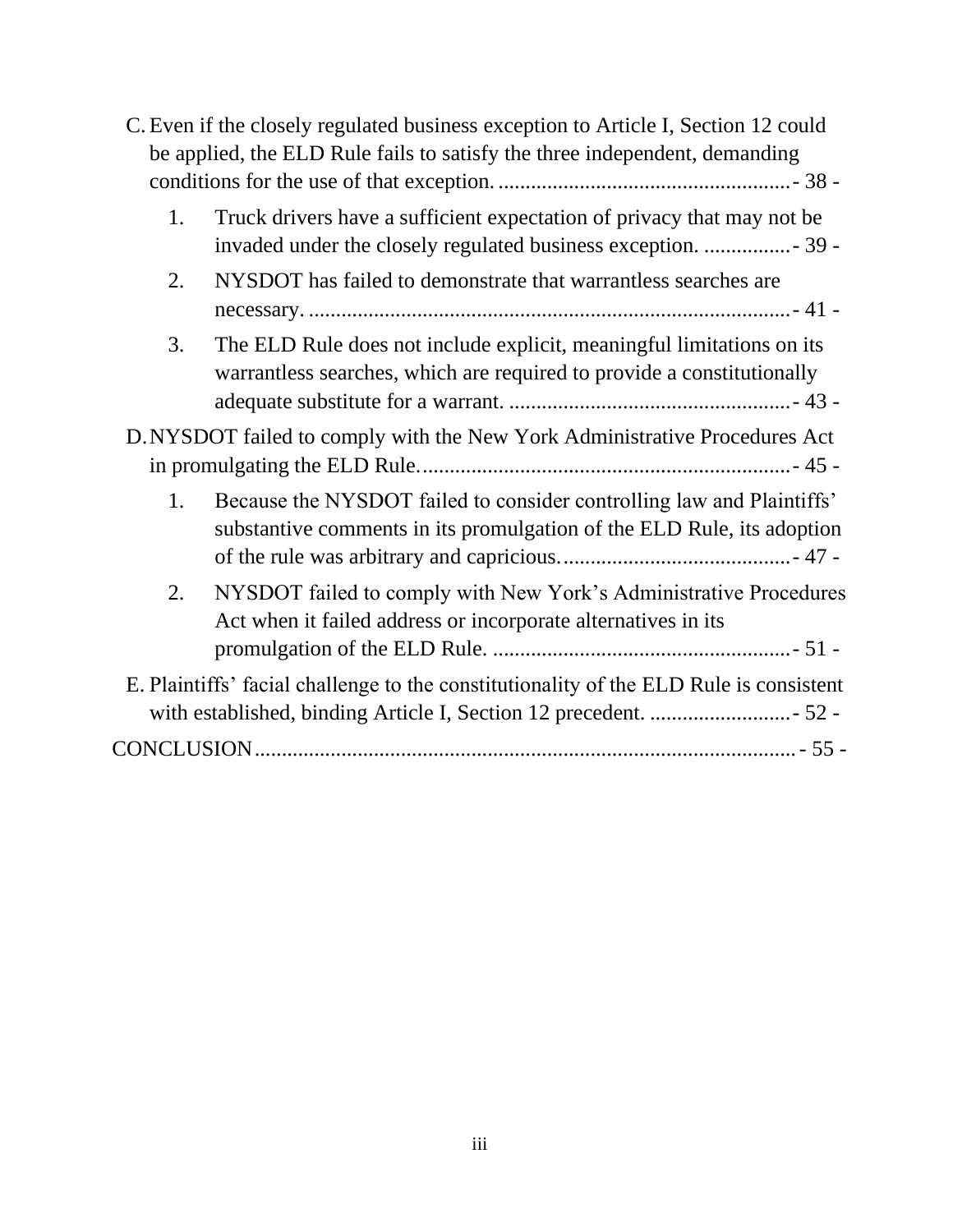|    | C. Even if the closely regulated business exception to Article I, Section 12 could<br>be applied, the ELD Rule fails to satisfy the three independent, demanding |
|----|------------------------------------------------------------------------------------------------------------------------------------------------------------------|
| 1. | Truck drivers have a sufficient expectation of privacy that may not be                                                                                           |
| 2. | NYSDOT has failed to demonstrate that warrantless searches are                                                                                                   |
| 3. | The ELD Rule does not include explicit, meaningful limitations on its<br>warrantless searches, which are required to provide a constitutionally                  |
|    | D. NYSDOT failed to comply with the New York Administrative Procedures Act                                                                                       |
|    |                                                                                                                                                                  |
| 1. | Because the NYSDOT failed to consider controlling law and Plaintiffs'<br>substantive comments in its promulgation of the ELD Rule, its adoption                  |
| 2. | NYSDOT failed to comply with New York's Administrative Procedures<br>Act when it failed address or incorporate alternatives in its                               |
|    | E. Plaintiffs' facial challenge to the constitutionality of the ELD Rule is consistent                                                                           |
|    |                                                                                                                                                                  |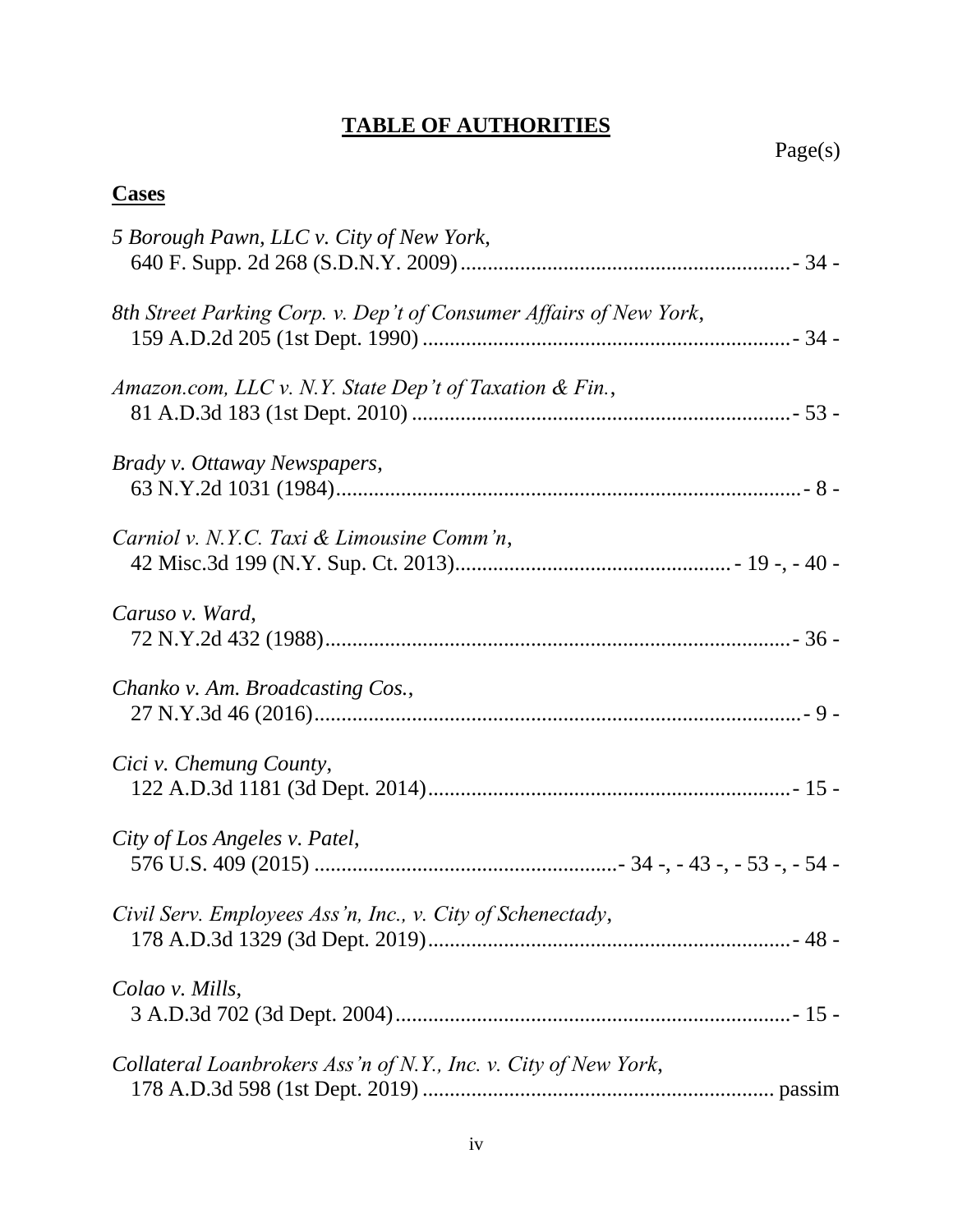## **TABLE OF AUTHORITIES**

## **Cases**

| 5 Borough Pawn, LLC v. City of New York,                           |
|--------------------------------------------------------------------|
|                                                                    |
| 8th Street Parking Corp. v. Dep't of Consumer Affairs of New York, |
| Amazon.com, LLC v. N.Y. State Dep't of Taxation & Fin.,            |
| Brady v. Ottaway Newspapers,                                       |
| Carniol v. N.Y.C. Taxi & Limousine Comm'n,                         |
| Caruso v. Ward,                                                    |
| Chanko v. Am. Broadcasting Cos.,                                   |
| Cici v. Chemung County,                                            |
| City of Los Angeles v. Patel,                                      |
| Civil Serv. Employees Ass'n, Inc., v. City of Schenectady,         |
| Colao v. Mills,                                                    |
| Collateral Loanbrokers Ass'n of N.Y., Inc. v. City of New York,    |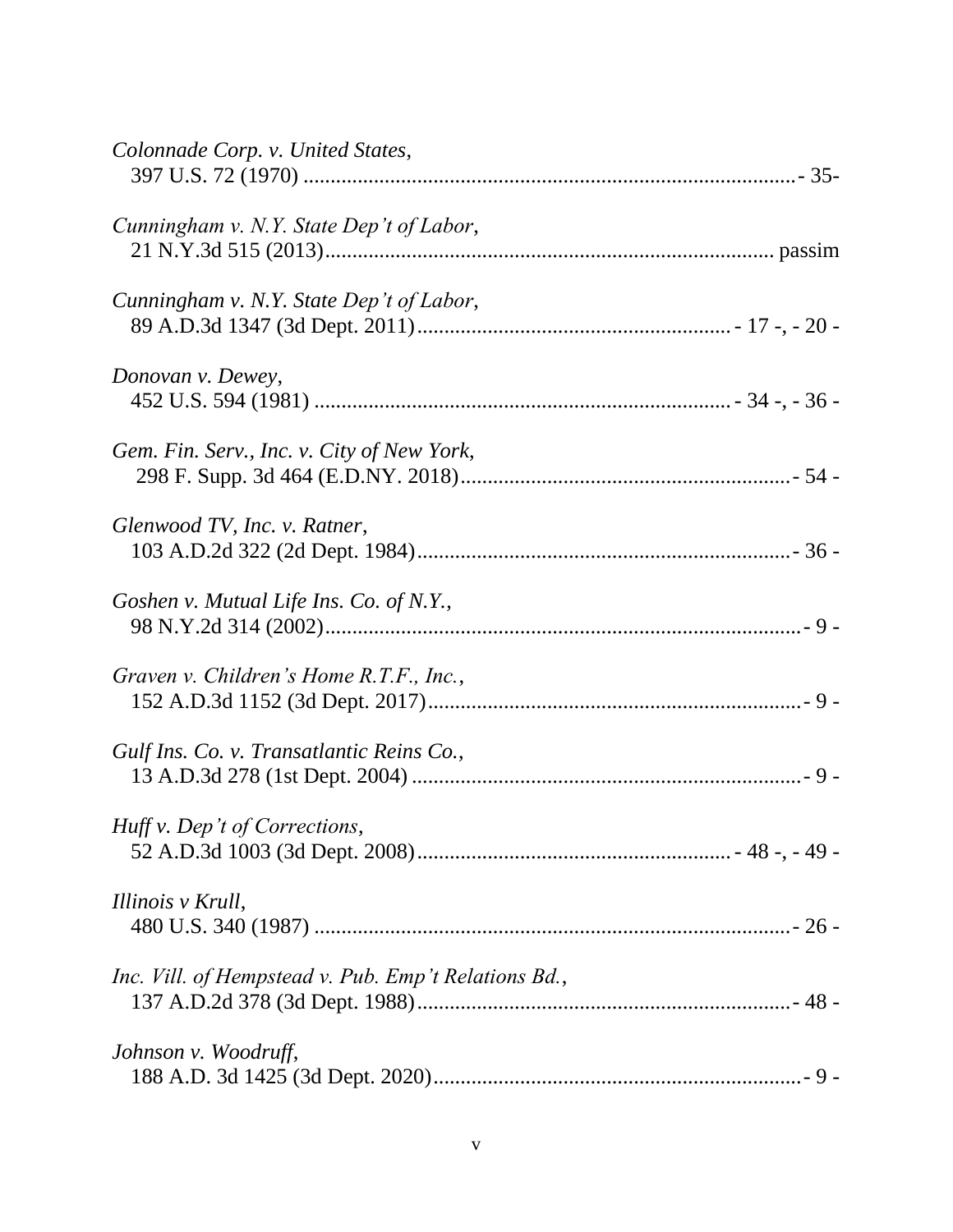| Colonnade Corp. v. United States,                    |
|------------------------------------------------------|
| Cunningham v. N.Y. State Dep't of Labor,             |
| Cunningham v. N.Y. State Dep't of Labor,             |
| Donovan v. Dewey,                                    |
| Gem. Fin. Serv., Inc. v. City of New York,           |
| Glenwood TV, Inc. v. Ratner,                         |
| Goshen v. Mutual Life Ins. Co. of N.Y.,              |
| Graven v. Children's Home R.T.F., Inc.,              |
| Gulf Ins. Co. v. Transatlantic Reins Co.,            |
| Huff v. Dep't of Corrections,                        |
| Illinois v Krull,                                    |
| Inc. Vill. of Hempstead v. Pub. Emp't Relations Bd., |
| Johnson v. Woodruff,                                 |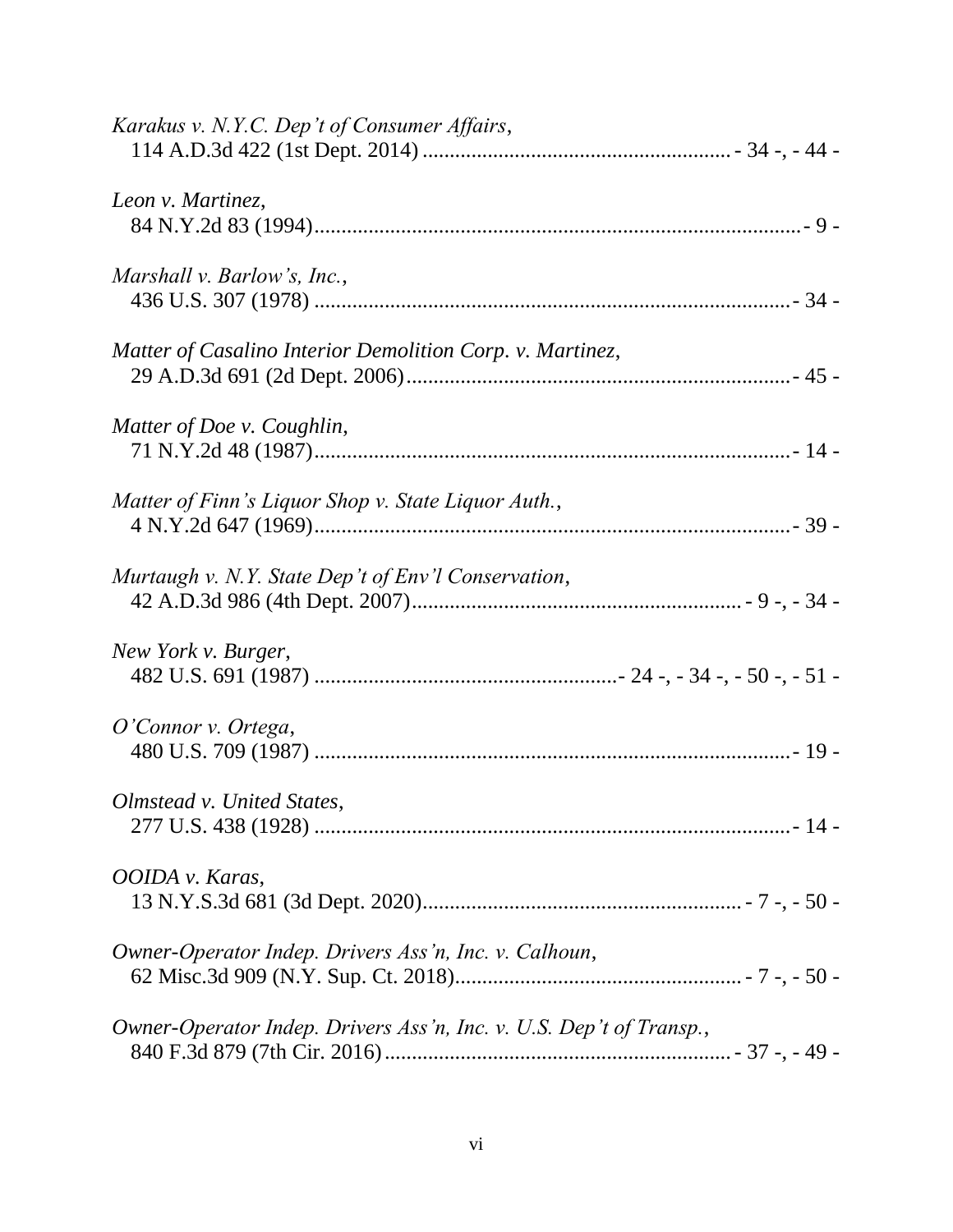| Karakus v. N.Y.C. Dep't of Consumer Affairs,                        |
|---------------------------------------------------------------------|
| Leon v. Martinez,                                                   |
| Marshall v. Barlow's, Inc.,                                         |
| Matter of Casalino Interior Demolition Corp. v. Martinez,           |
| Matter of Doe v. Coughlin,                                          |
| Matter of Finn's Liquor Shop v. State Liquor Auth.,                 |
| Murtaugh v. N.Y. State Dep't of Env'l Conservation,                 |
| New York v. Burger,                                                 |
| O'Connor v. Ortega,                                                 |
| Olmstead v. United States,                                          |
| OOIDA v. Karas,                                                     |
| Owner-Operator Indep. Drivers Ass'n, Inc. v. Calhoun,               |
| Owner-Operator Indep. Drivers Ass'n, Inc. v. U.S. Dep't of Transp., |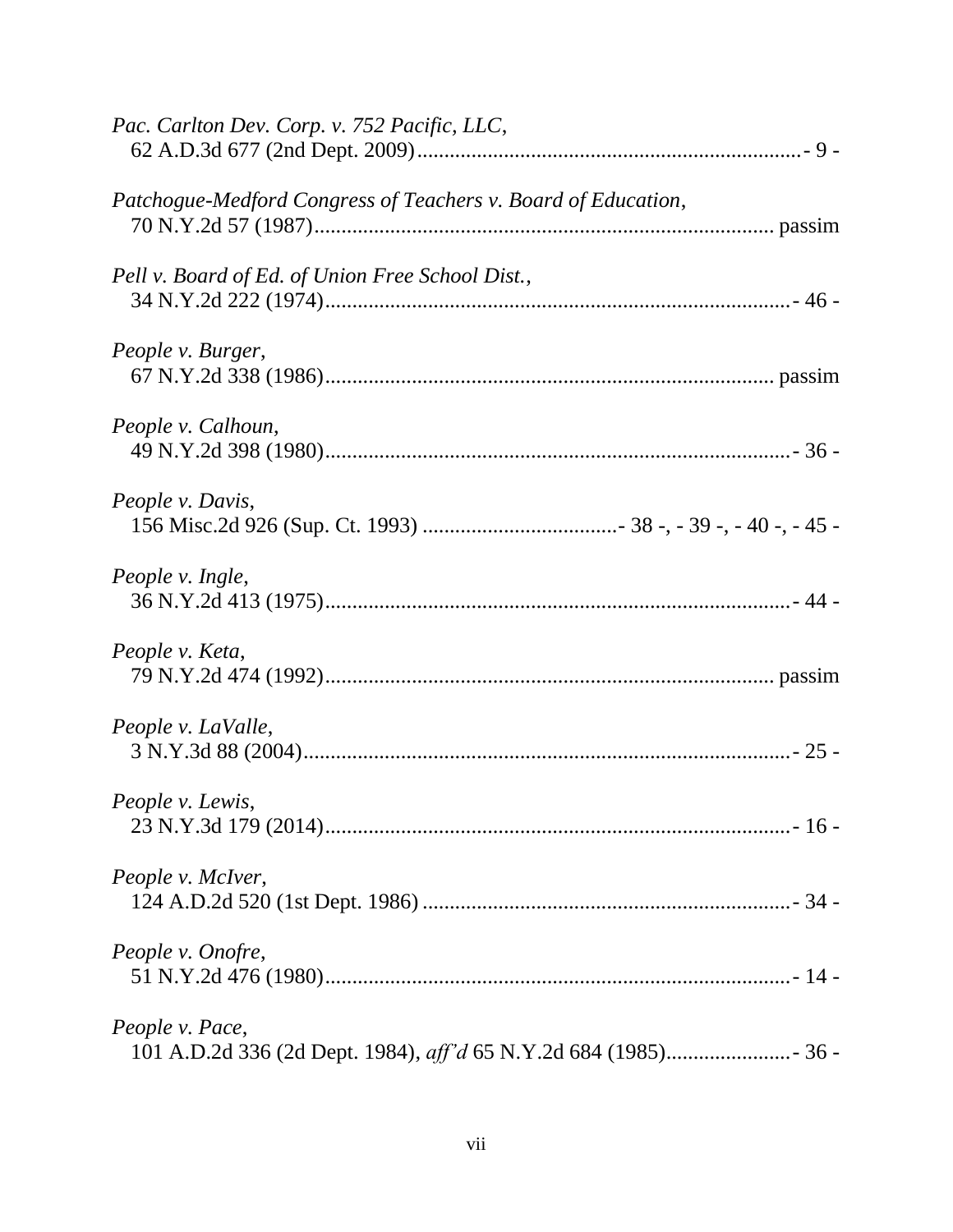| Pac. Carlton Dev. Corp. v. 752 Pacific, LLC,                  |
|---------------------------------------------------------------|
| Patchogue-Medford Congress of Teachers v. Board of Education, |
| Pell v. Board of Ed. of Union Free School Dist.,              |
| People v. Burger,                                             |
| People v. Calhoun,                                            |
| People v. Davis,                                              |
| People v. Ingle,                                              |
| People v. Keta,                                               |
| People v. LaValle,                                            |
| People v. Lewis,                                              |
| People v. McIver,                                             |
| People v. Onofre,                                             |
| People v. Pace,                                               |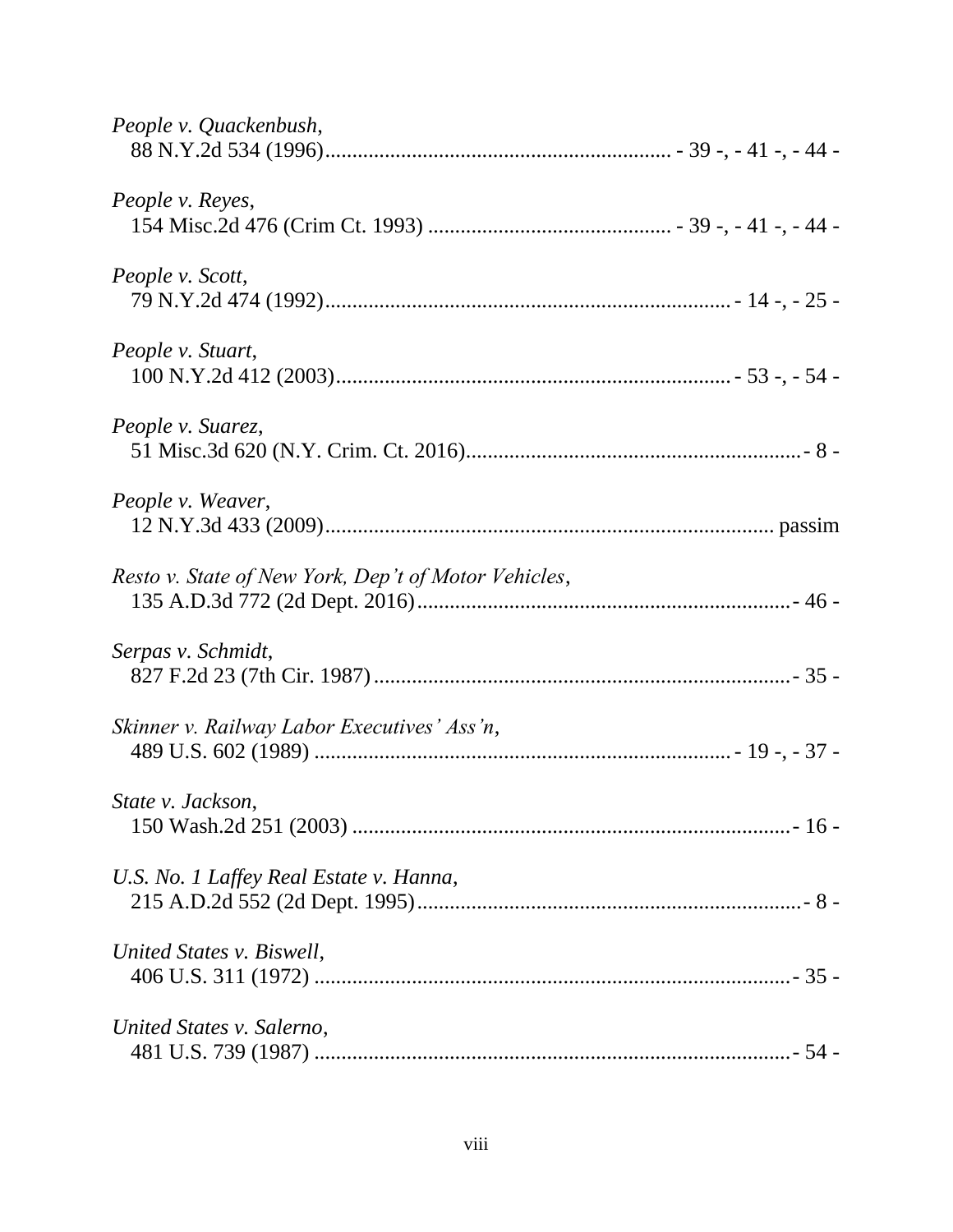| People v. Quackenbush,                               |
|------------------------------------------------------|
| People v. Reyes,                                     |
| People v. Scott,                                     |
| People v. Stuart,                                    |
| People v. Suarez,                                    |
| People v. Weaver,                                    |
| Resto v. State of New York, Dep't of Motor Vehicles, |
| Serpas v. Schmidt,                                   |
| Skinner v. Railway Labor Executives' Ass'n,          |
| State v. Jackson,                                    |
| U.S. No. 1 Laffey Real Estate v. Hanna,              |
| United States v. Biswell,                            |
| United States v. Salerno,                            |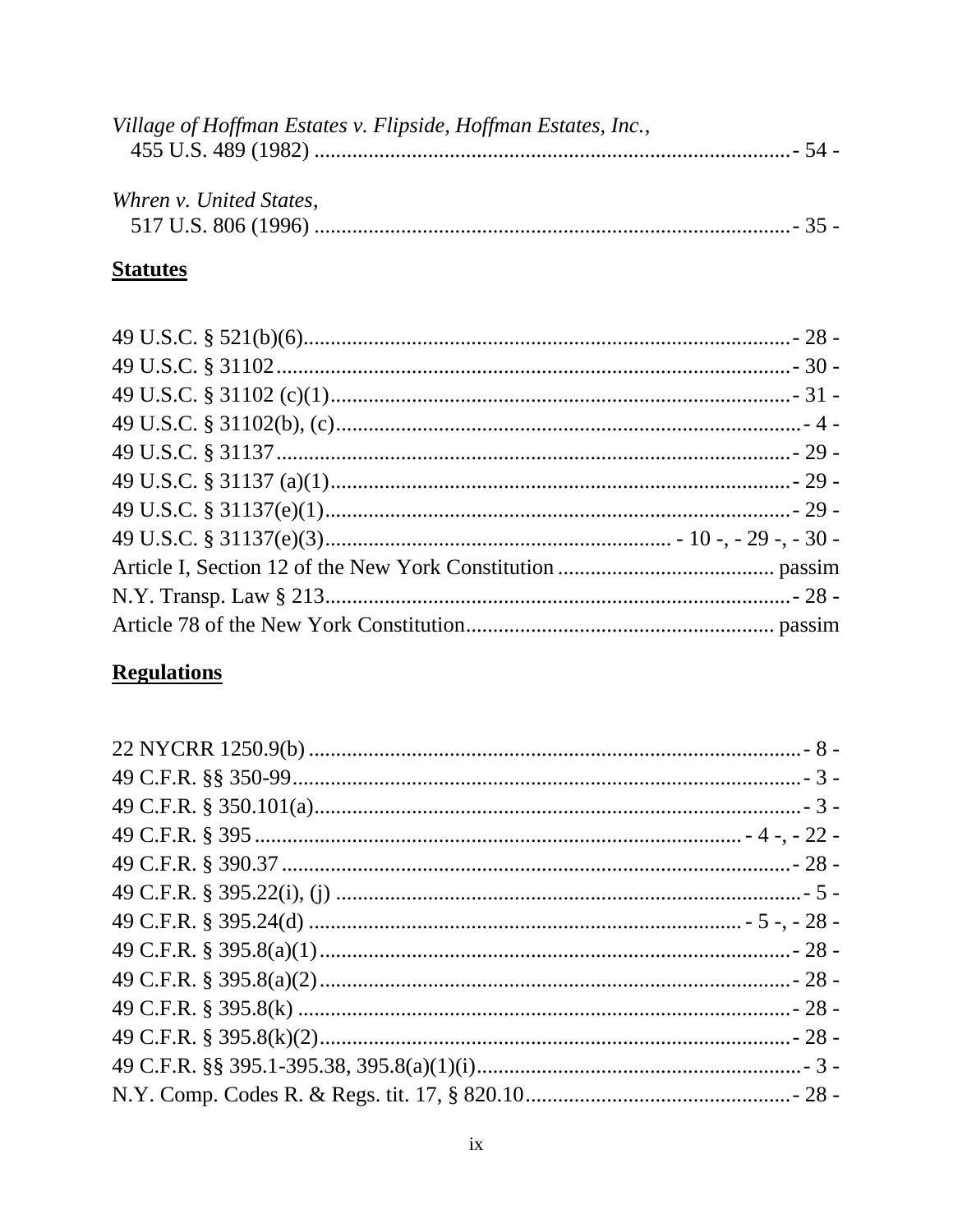| Village of Hoffman Estates v. Flipside, Hoffman Estates, Inc., |  |
|----------------------------------------------------------------|--|
|                                                                |  |
|                                                                |  |
| Whren v. United States,                                        |  |
|                                                                |  |

## **Statutes**

# **Regulations**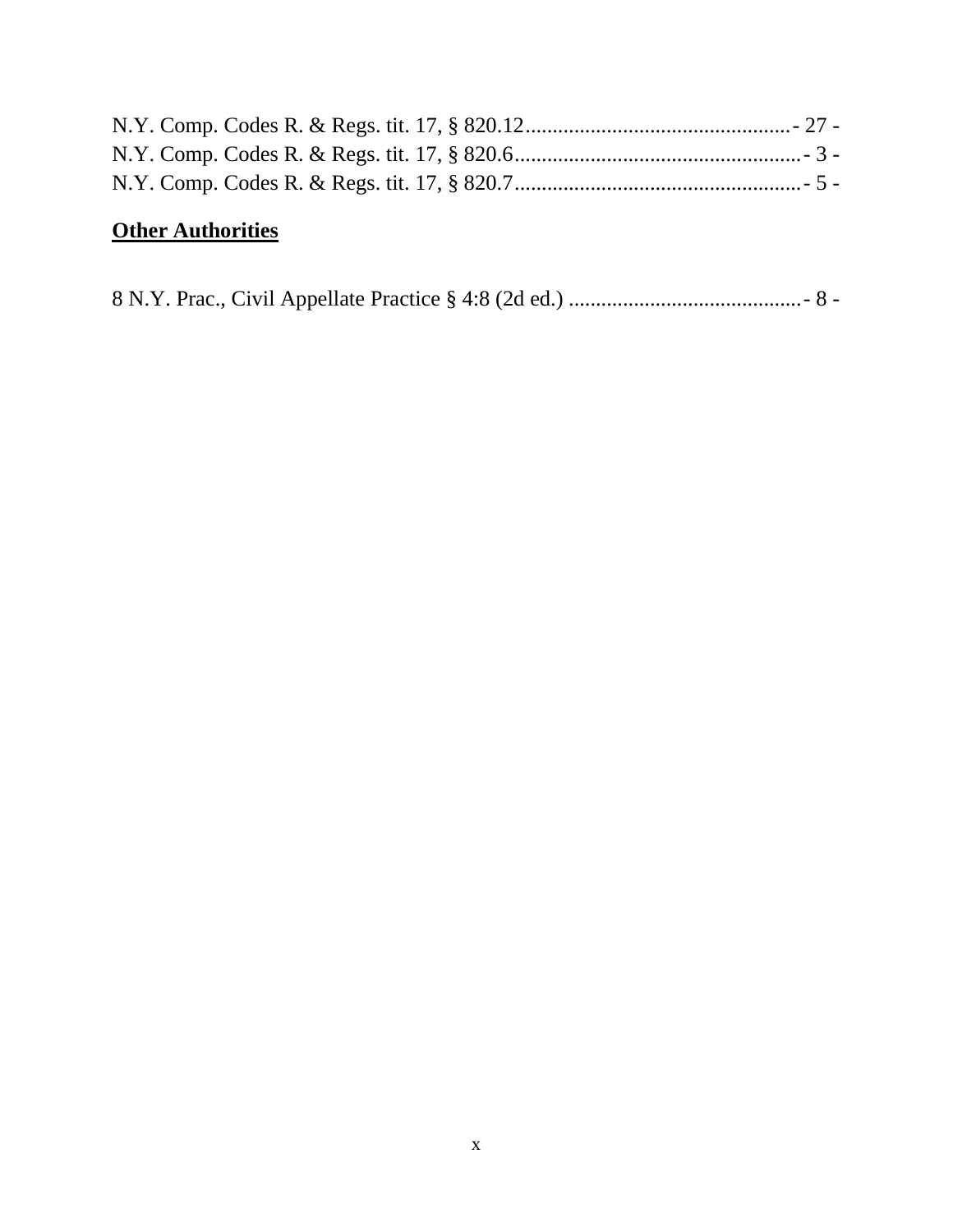# **Other Authorities**

|--|--|--|--|--|--|--|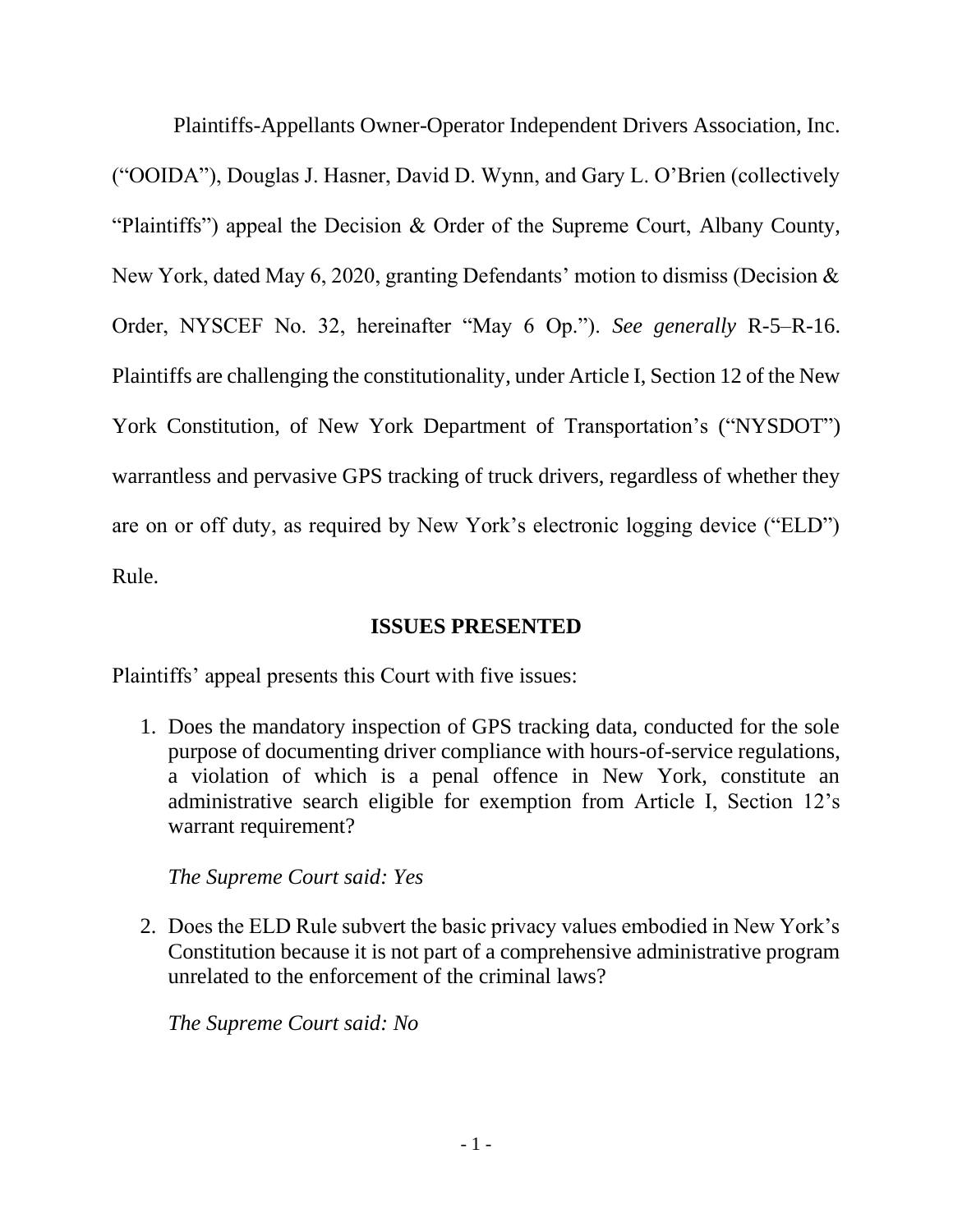Plaintiffs-Appellants Owner-Operator Independent Drivers Association, Inc. ("OOIDA"), Douglas J. Hasner, David D. Wynn, and Gary L. O'Brien (collectively "Plaintiffs") appeal the Decision & Order of the Supreme Court, Albany County, New York, dated May 6, 2020, granting Defendants' motion to dismiss (Decision & Order, NYSCEF No. 32, hereinafter "May 6 Op."). *See generally* R-5–R-16. Plaintiffs are challenging the constitutionality, under Article I, Section 12 of the New York Constitution, of New York Department of Transportation's ("NYSDOT") warrantless and pervasive GPS tracking of truck drivers, regardless of whether they are on or off duty, as required by New York's electronic logging device ("ELD") Rule.

## **ISSUES PRESENTED**

<span id="page-10-0"></span>Plaintiffs' appeal presents this Court with five issues:

1. Does the mandatory inspection of GPS tracking data, conducted for the sole purpose of documenting driver compliance with hours-of-service regulations, a violation of which is a penal offence in New York, constitute an administrative search eligible for exemption from Article I, Section 12's warrant requirement?

### *The Supreme Court said: Yes*

2. Does the ELD Rule subvert the basic privacy values embodied in New York's Constitution because it is not part of a comprehensive administrative program unrelated to the enforcement of the criminal laws?

*The Supreme Court said: No*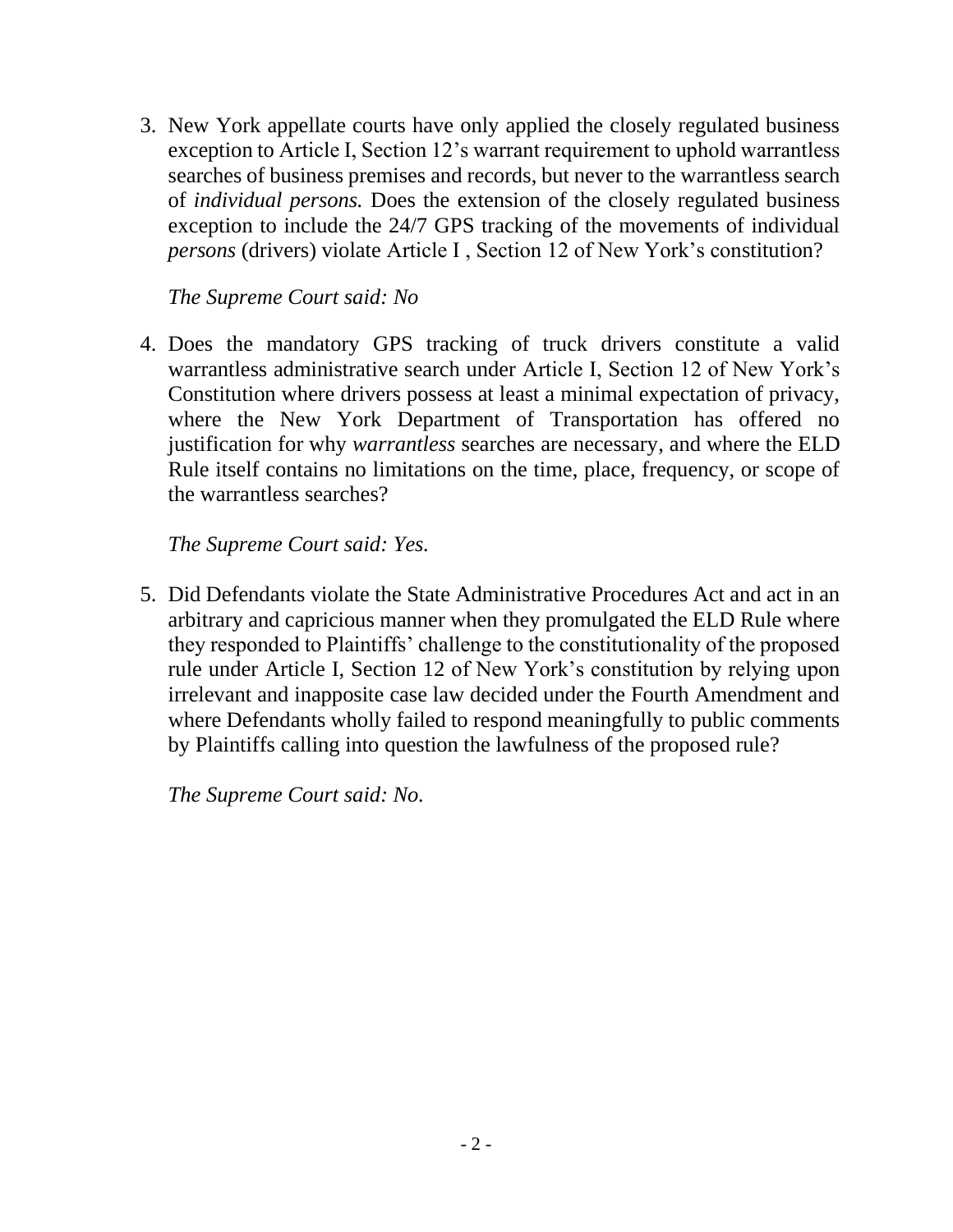3. New York appellate courts have only applied the closely regulated business exception to Article I, Section 12's warrant requirement to uphold warrantless searches of business premises and records, but never to the warrantless search of *individual persons.* Does the extension of the closely regulated business exception to include the 24/7 GPS tracking of the movements of individual *persons* (drivers) violate Article I , Section 12 of New York's constitution?

## *The Supreme Court said: No*

4. Does the mandatory GPS tracking of truck drivers constitute a valid warrantless administrative search under Article I, Section 12 of New York's Constitution where drivers possess at least a minimal expectation of privacy, where the New York Department of Transportation has offered no justification for why *warrantless* searches are necessary, and where the ELD Rule itself contains no limitations on the time, place, frequency, or scope of the warrantless searches?

## *The Supreme Court said: Yes.*

5. Did Defendants violate the State Administrative Procedures Act and act in an arbitrary and capricious manner when they promulgated the ELD Rule where they responded to Plaintiffs' challenge to the constitutionality of the proposed rule under Article I, Section 12 of New York's constitution by relying upon irrelevant and inapposite case law decided under the Fourth Amendment and where Defendants wholly failed to respond meaningfully to public comments by Plaintiffs calling into question the lawfulness of the proposed rule?

*The Supreme Court said: No.*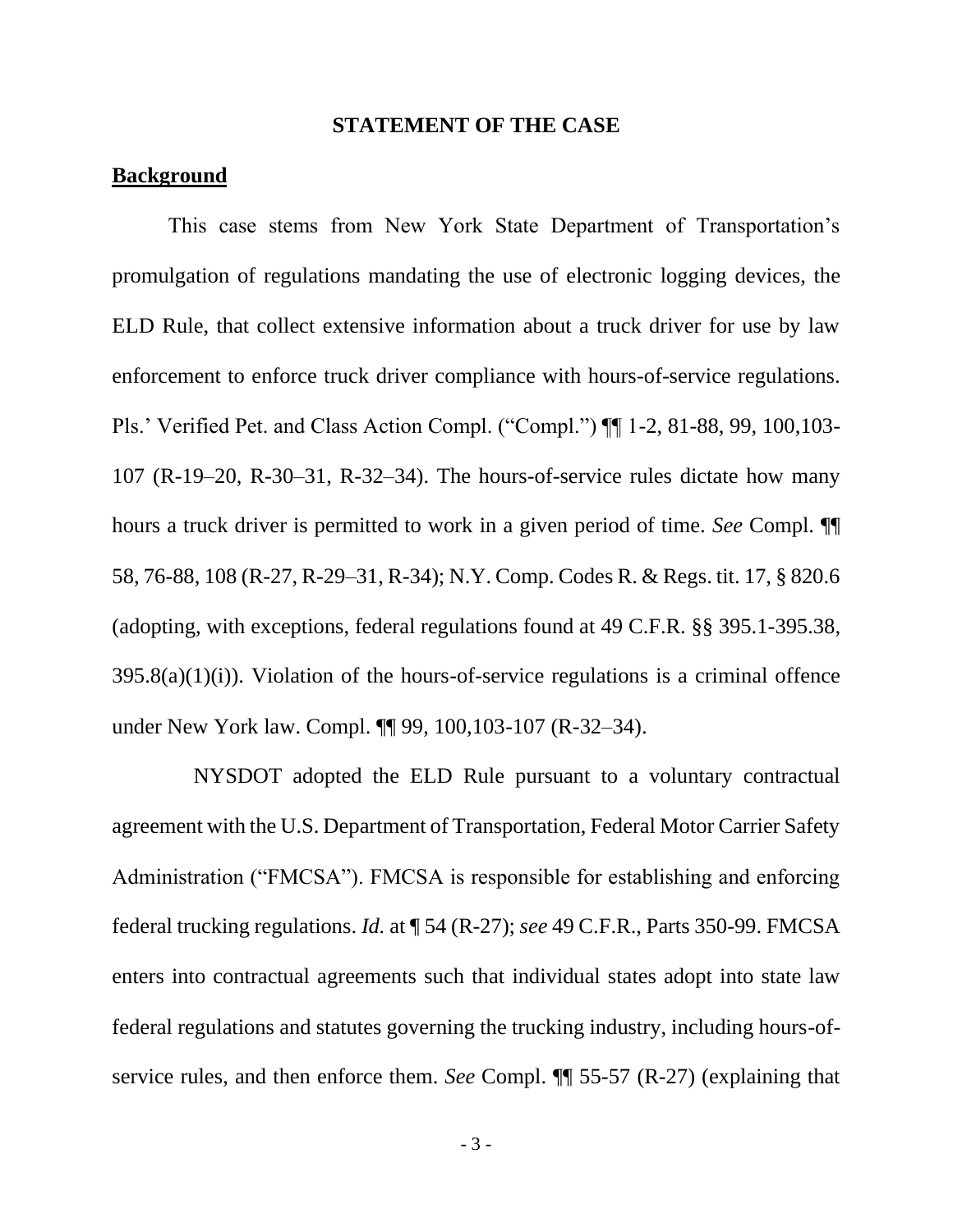#### **STATEMENT OF THE CASE**

### <span id="page-12-0"></span>**Background**

This case stems from New York State Department of Transportation's promulgation of regulations mandating the use of electronic logging devices, the ELD Rule, that collect extensive information about a truck driver for use by law enforcement to enforce truck driver compliance with hours-of-service regulations. Pls.' Verified Pet. and Class Action Compl. ("Compl.") ¶¶ 1-2, 81-88, 99, 100,103- 107 (R-19–20, R-30–31, R-32–34). The hours-of-service rules dictate how many hours a truck driver is permitted to work in a given period of time. *See* Compl. ¶¶ 58, 76-88, 108 (R-27, R-29–31, R-34); N.Y. Comp. Codes R. & Regs. tit. 17, § 820.6 (adopting, with exceptions, federal regulations found at 49 C.F.R. §§ 395.1-395.38,  $395.8(a)(1)(i)$ . Violation of the hours-of-service regulations is a criminal offence under New York law. Compl. ¶¶ 99, 100,103-107 (R-32–34).

 NYSDOT adopted the ELD Rule pursuant to a voluntary contractual agreement with the U.S. Department of Transportation, Federal Motor Carrier Safety Administration ("FMCSA"). FMCSA is responsible for establishing and enforcing federal trucking regulations. *Id.* at ¶ 54 (R-27); *see* 49 C.F.R., Parts 350-99. FMCSA enters into contractual agreements such that individual states adopt into state law federal regulations and statutes governing the trucking industry, including hours-ofservice rules, and then enforce them. *See* Compl. ¶¶ 55-57 (R-27) (explaining that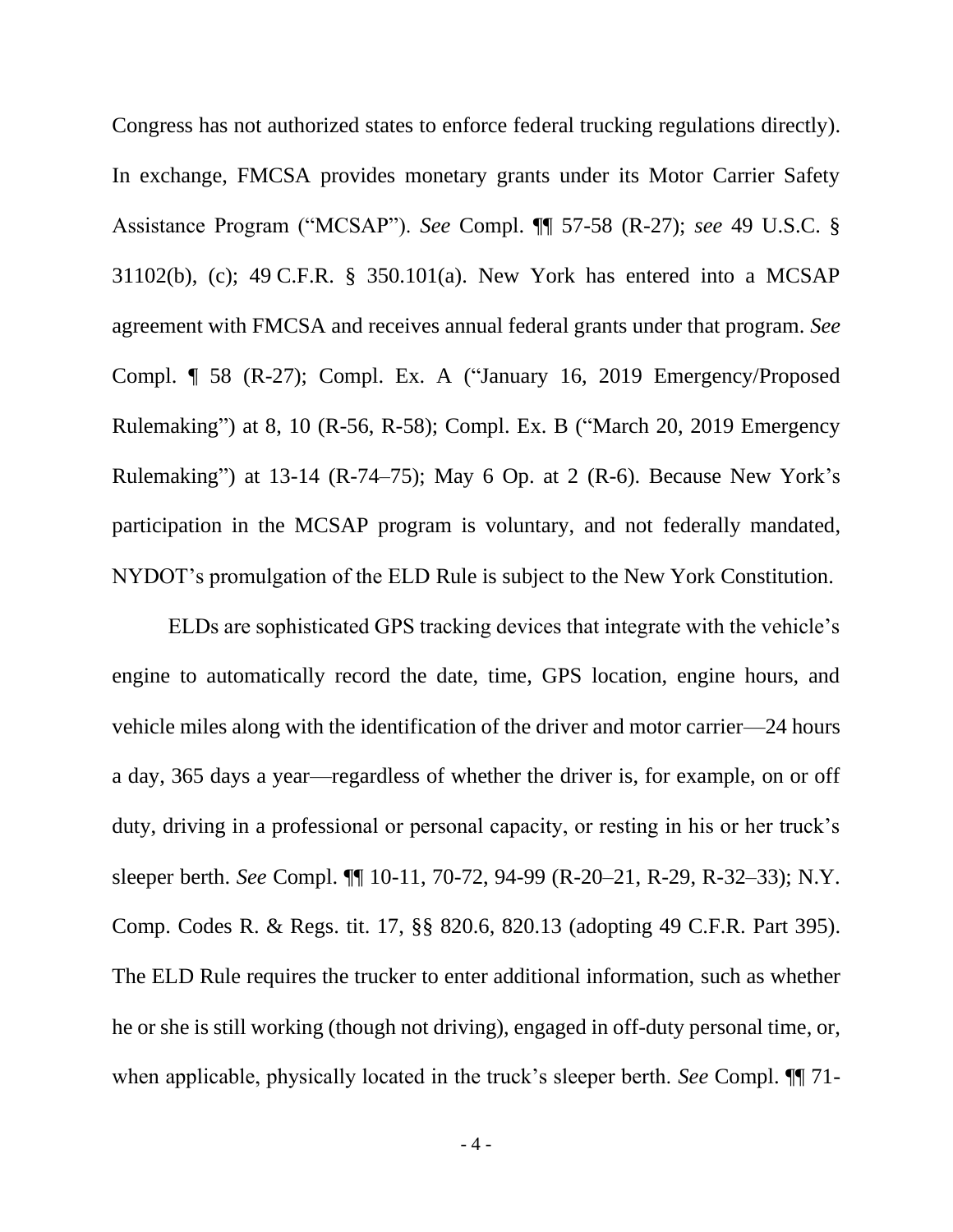Congress has not authorized states to enforce federal trucking regulations directly). In exchange, FMCSA provides monetary grants under its Motor Carrier Safety Assistance Program ("MCSAP"). *See* Compl. ¶¶ 57-58 (R-27); *see* 49 U.S.C. § 31102(b), (c); 49 C.F.R. § 350.101(a). New York has entered into a MCSAP agreement with FMCSA and receives annual federal grants under that program. *See* Compl. ¶ 58 (R-27); Compl. Ex. A ("January 16, 2019 Emergency/Proposed Rulemaking") at 8, 10 (R-56, R-58); Compl. Ex. B ("March 20, 2019 Emergency Rulemaking") at 13-14 (R-74–75); May 6 Op. at 2 (R-6). Because New York's participation in the MCSAP program is voluntary, and not federally mandated, NYDOT's promulgation of the ELD Rule is subject to the New York Constitution.

ELDs are sophisticated GPS tracking devices that integrate with the vehicle's engine to automatically record the date, time, GPS location, engine hours, and vehicle miles along with the identification of the driver and motor carrier—24 hours a day, 365 days a year—regardless of whether the driver is, for example, on or off duty, driving in a professional or personal capacity, or resting in his or her truck's sleeper berth. *See* Compl. ¶¶ 10-11, 70-72, 94-99 (R-20–21, R-29, R-32–33); N.Y. Comp. Codes R. & Regs. tit. 17, §§ 820.6, 820.13 (adopting 49 C.F.R. Part 395). The ELD Rule requires the trucker to enter additional information, such as whether he or she is still working (though not driving), engaged in off-duty personal time, or, when applicable, physically located in the truck's sleeper berth. *See* Compl. ¶¶ 71-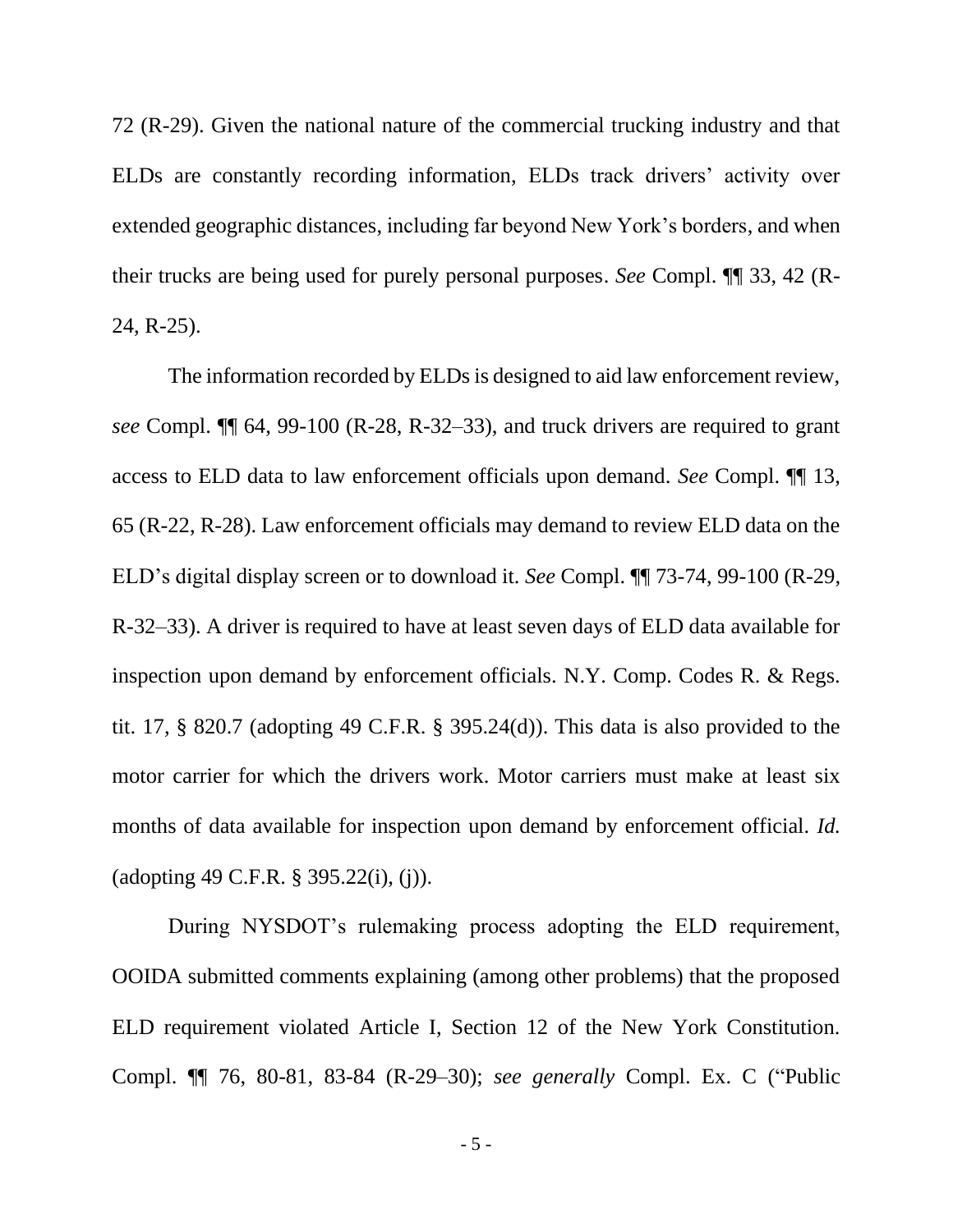72 (R-29). Given the national nature of the commercial trucking industry and that ELDs are constantly recording information, ELDs track drivers' activity over extended geographic distances, including far beyond New York's borders, and when their trucks are being used for purely personal purposes. *See* Compl. ¶¶ 33, 42 (R-24, R-25).

The information recorded by ELDs is designed to aid law enforcement review, *see* Compl. ¶¶ 64, 99-100 (R-28, R-32–33), and truck drivers are required to grant access to ELD data to law enforcement officials upon demand. *See* Compl. ¶¶ 13, 65 (R-22, R-28). Law enforcement officials may demand to review ELD data on the ELD's digital display screen or to download it. *See* Compl. ¶¶ 73-74, 99-100 (R-29, R-32–33). A driver is required to have at least seven days of ELD data available for inspection upon demand by enforcement officials. N.Y. Comp. Codes R. & Regs. tit. 17, § 820.7 (adopting 49 C.F.R. § 395.24(d)). This data is also provided to the motor carrier for which the drivers work. Motor carriers must make at least six months of data available for inspection upon demand by enforcement official. *Id.* (adopting 49 C.F.R. § 395.22(i), (j)).

During NYSDOT's rulemaking process adopting the ELD requirement, OOIDA submitted comments explaining (among other problems) that the proposed ELD requirement violated Article I, Section 12 of the New York Constitution. Compl. ¶¶ 76, 80-81, 83-84 (R-29–30); *see generally* Compl. Ex. C ("Public

- 5 -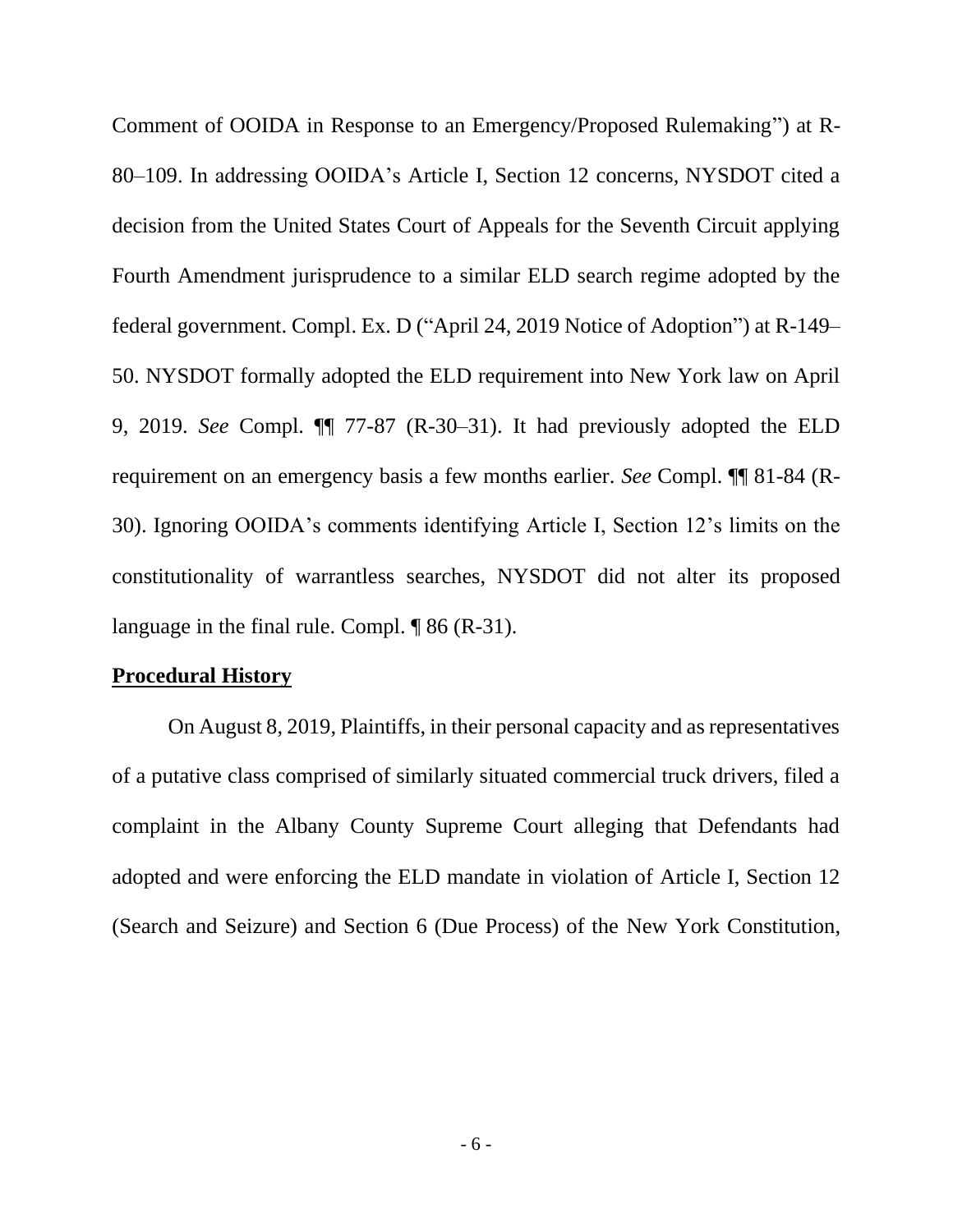Comment of OOIDA in Response to an Emergency/Proposed Rulemaking") at R-80–109. In addressing OOIDA's Article I, Section 12 concerns, NYSDOT cited a decision from the United States Court of Appeals for the Seventh Circuit applying Fourth Amendment jurisprudence to a similar ELD search regime adopted by the federal government. Compl. Ex. D ("April 24, 2019 Notice of Adoption") at R-149– 50. NYSDOT formally adopted the ELD requirement into New York law on April 9, 2019. *See* Compl. ¶¶ 77-87 (R-30–31). It had previously adopted the ELD requirement on an emergency basis a few months earlier. *See* Compl. ¶¶ 81-84 (R-30). Ignoring OOIDA's comments identifying Article I, Section 12's limits on the constitutionality of warrantless searches, NYSDOT did not alter its proposed language in the final rule. Compl. ¶ 86 (R-31).

#### **Procedural History**

On August 8, 2019, Plaintiffs, in their personal capacity and as representatives of a putative class comprised of similarly situated commercial truck drivers, filed a complaint in the Albany County Supreme Court alleging that Defendants had adopted and were enforcing the ELD mandate in violation of Article I, Section 12 (Search and Seizure) and Section 6 (Due Process) of the New York Constitution,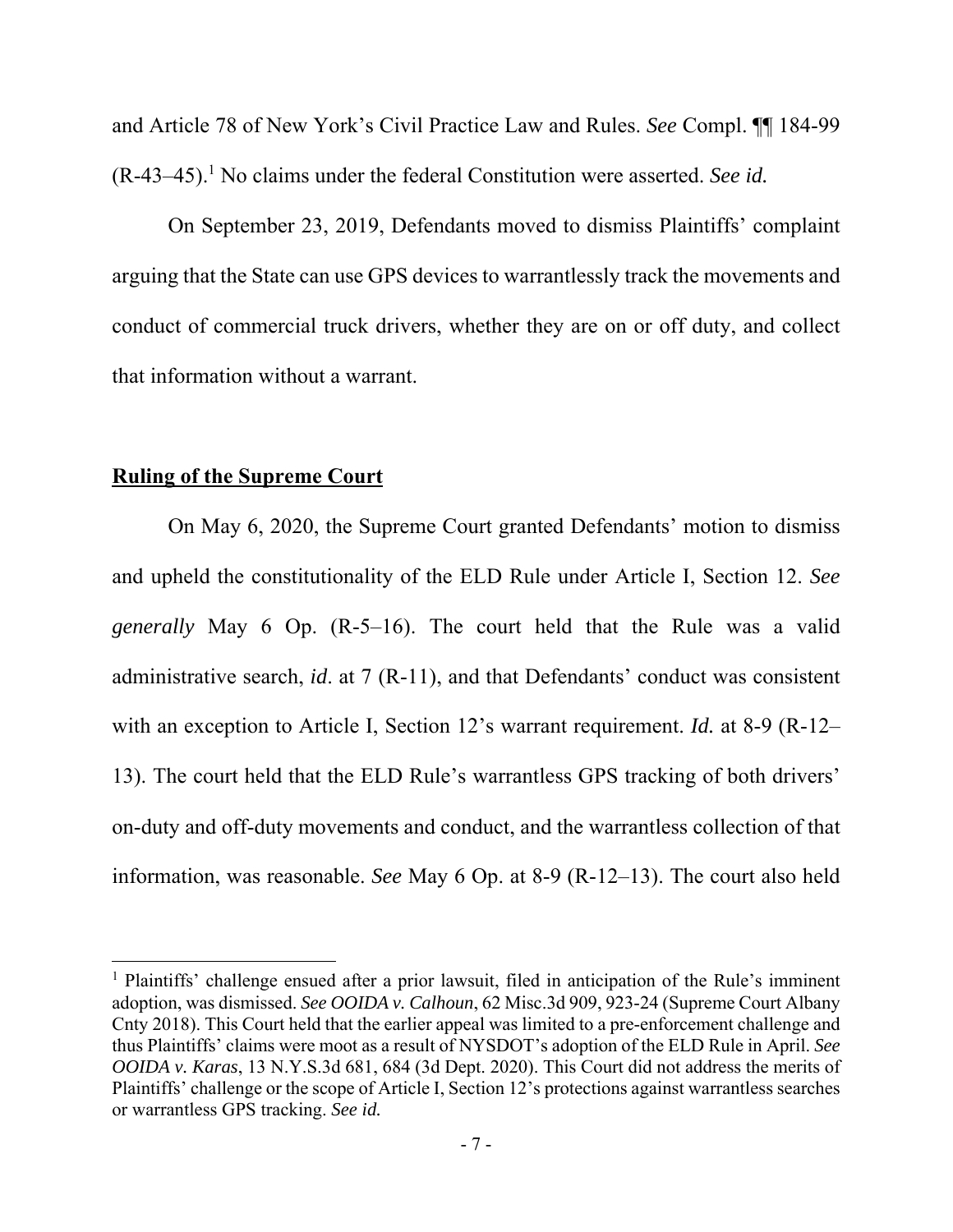and Article 78 of New York's Civil Practice Law and Rules. *See* Compl. ¶¶ 184-99  $(R-43-45)$ .<sup>1</sup> No claims under the federal Constitution were asserted. *See id.* 

On September 23, 2019, Defendants moved to dismiss Plaintiffs' complaint arguing that the State can use GPS devices to warrantlessly track the movements and conduct of commercial truck drivers, whether they are on or off duty, and collect that information without a warrant.

#### **Ruling of the Supreme Court**

 On May 6, 2020, the Supreme Court granted Defendants' motion to dismiss and upheld the constitutionality of the ELD Rule under Article I, Section 12. *See generally* May 6 Op. (R-5–16). The court held that the Rule was a valid administrative search, *id*. at 7 (R-11), and that Defendants' conduct was consistent with an exception to Article I, Section 12's warrant requirement. *Id.* at 8-9 (R-12– 13). The court held that the ELD Rule's warrantless GPS tracking of both drivers' on-duty and off-duty movements and conduct, and the warrantless collection of that information, was reasonable. *See* May 6 Op. at 8-9 (R-12–13). The court also held

<sup>&</sup>lt;sup>1</sup> Plaintiffs' challenge ensued after a prior lawsuit, filed in anticipation of the Rule's imminent adoption, was dismissed. *See OOIDA v. Calhoun*, 62 Misc.3d 909, 923-24 (Supreme Court Albany Cnty 2018). This Court held that the earlier appeal was limited to a pre-enforcement challenge and thus Plaintiffs' claims were moot as a result of NYSDOT's adoption of the ELD Rule in April. *See OOIDA v. Karas*, 13 N.Y.S.3d 681, 684 (3d Dept. 2020). This Court did not address the merits of Plaintiffs' challenge or the scope of Article I, Section 12's protections against warrantless searches or warrantless GPS tracking. *See id.*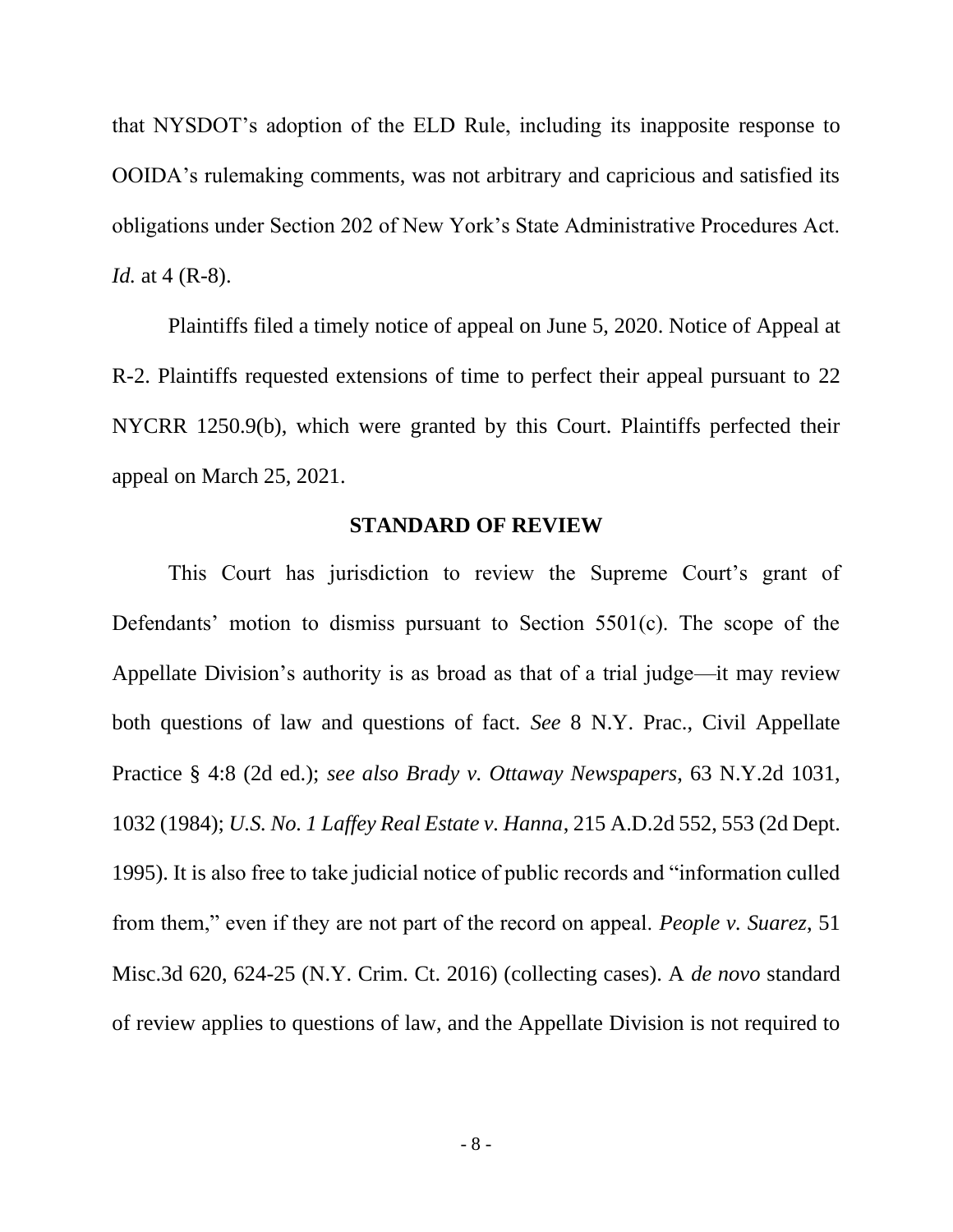that NYSDOT's adoption of the ELD Rule, including its inapposite response to OOIDA's rulemaking comments, was not arbitrary and capricious and satisfied its obligations under Section 202 of New York's State Administrative Procedures Act. *Id.* at 4 (R-8).

Plaintiffs filed a timely notice of appeal on June 5, 2020. Notice of Appeal at R-2. Plaintiffs requested extensions of time to perfect their appeal pursuant to 22 NYCRR 1250.9(b), which were granted by this Court. Plaintiffs perfected their appeal on March 25, 2021.

### **STANDARD OF REVIEW**

<span id="page-17-0"></span>This Court has jurisdiction to review the Supreme Court's grant of Defendants' motion to dismiss pursuant to Section 5501(c). The scope of the Appellate Division's authority is as broad as that of a trial judge—it may review both questions of law and questions of fact. *See* 8 N.Y. Prac., Civil Appellate Practice § 4:8 (2d ed.); *see also Brady v. Ottaway Newspapers*, 63 N.Y.2d 1031, 1032 (1984); *U.S. No. 1 Laffey Real Estate v. Hanna*, 215 A.D.2d 552, 553 (2d Dept. 1995). It is also free to take judicial notice of public records and "information culled from them," even if they are not part of the record on appeal. *People v. Suarez*, 51 Misc.3d 620, 624-25 (N.Y. Crim. Ct. 2016) (collecting cases). A *de novo* standard of review applies to questions of law, and the Appellate Division is not required to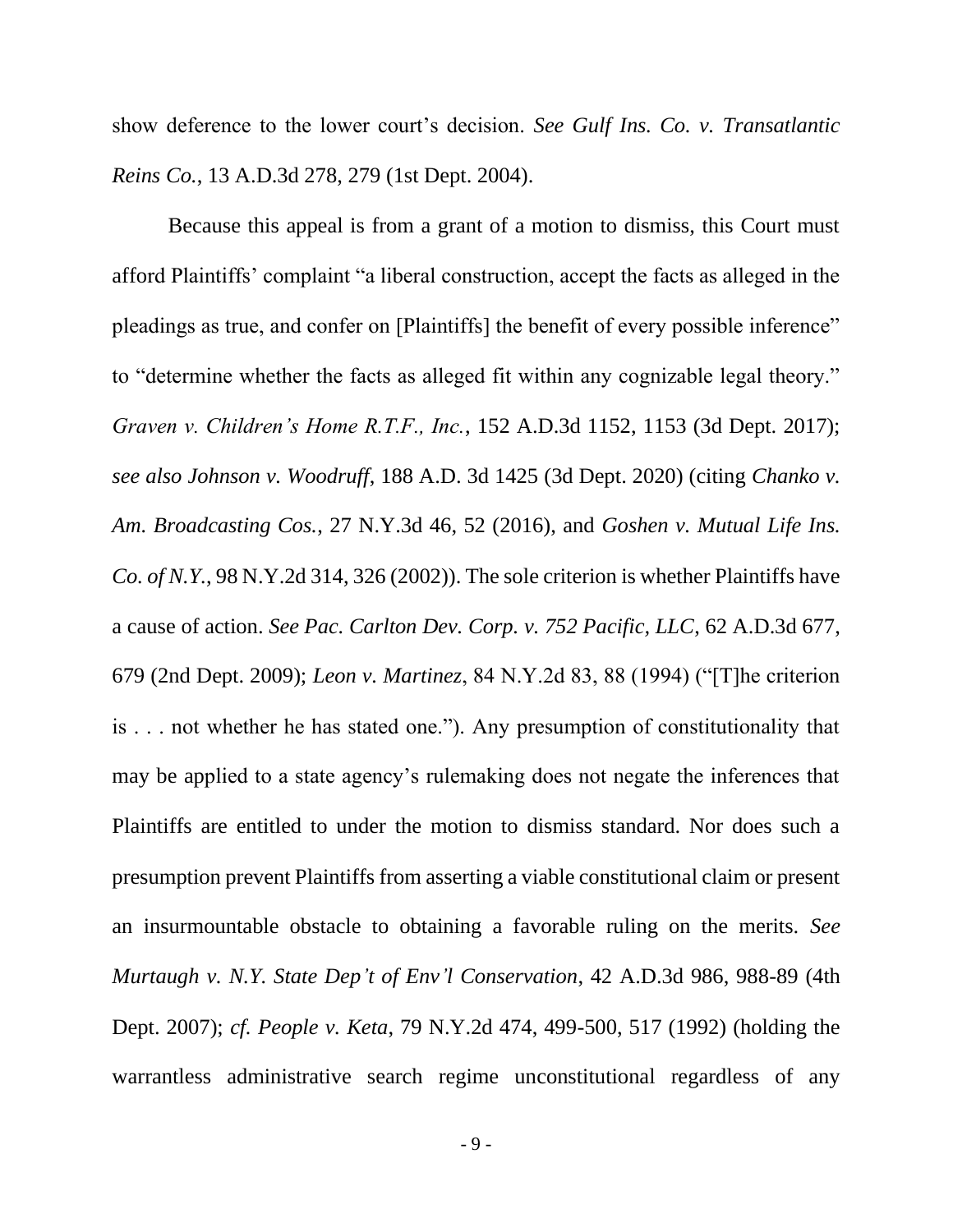show deference to the lower court's decision. *See Gulf Ins. Co. v. Transatlantic Reins Co.*, 13 A.D.3d 278, 279 (1st Dept. 2004).

Because this appeal is from a grant of a motion to dismiss, this Court must afford Plaintiffs' complaint "a liberal construction, accept the facts as alleged in the pleadings as true, and confer on [Plaintiffs] the benefit of every possible inference" to "determine whether the facts as alleged fit within any cognizable legal theory." *Graven v. Children's Home R.T.F., Inc.*, 152 A.D.3d 1152, 1153 (3d Dept. 2017); *see also Johnson v. Woodruff*, 188 A.D. 3d 1425 (3d Dept. 2020) (citing *Chanko v. Am. Broadcasting Cos.*, 27 N.Y.3d 46, 52 (2016), and *Goshen v. Mutual Life Ins. Co. of N.Y.*, 98 N.Y.2d 314, 326 (2002)). The sole criterion is whether Plaintiffs have a cause of action. *See Pac. Carlton Dev. Corp. v. 752 Pacific, LLC*, 62 A.D.3d 677, 679 (2nd Dept. 2009); *Leon v. Martinez*, 84 N.Y.2d 83, 88 (1994) ("[T]he criterion is . . . not whether he has stated one."). Any presumption of constitutionality that may be applied to a state agency's rulemaking does not negate the inferences that Plaintiffs are entitled to under the motion to dismiss standard. Nor does such a presumption prevent Plaintiffs from asserting a viable constitutional claim or present an insurmountable obstacle to obtaining a favorable ruling on the merits. *See Murtaugh v. N.Y. State Dep't of Env'l Conservation*, 42 A.D.3d 986, 988-89 (4th Dept. 2007); *cf. People v. Keta*, 79 N.Y.2d 474, 499-500, 517 (1992) (holding the warrantless administrative search regime unconstitutional regardless of any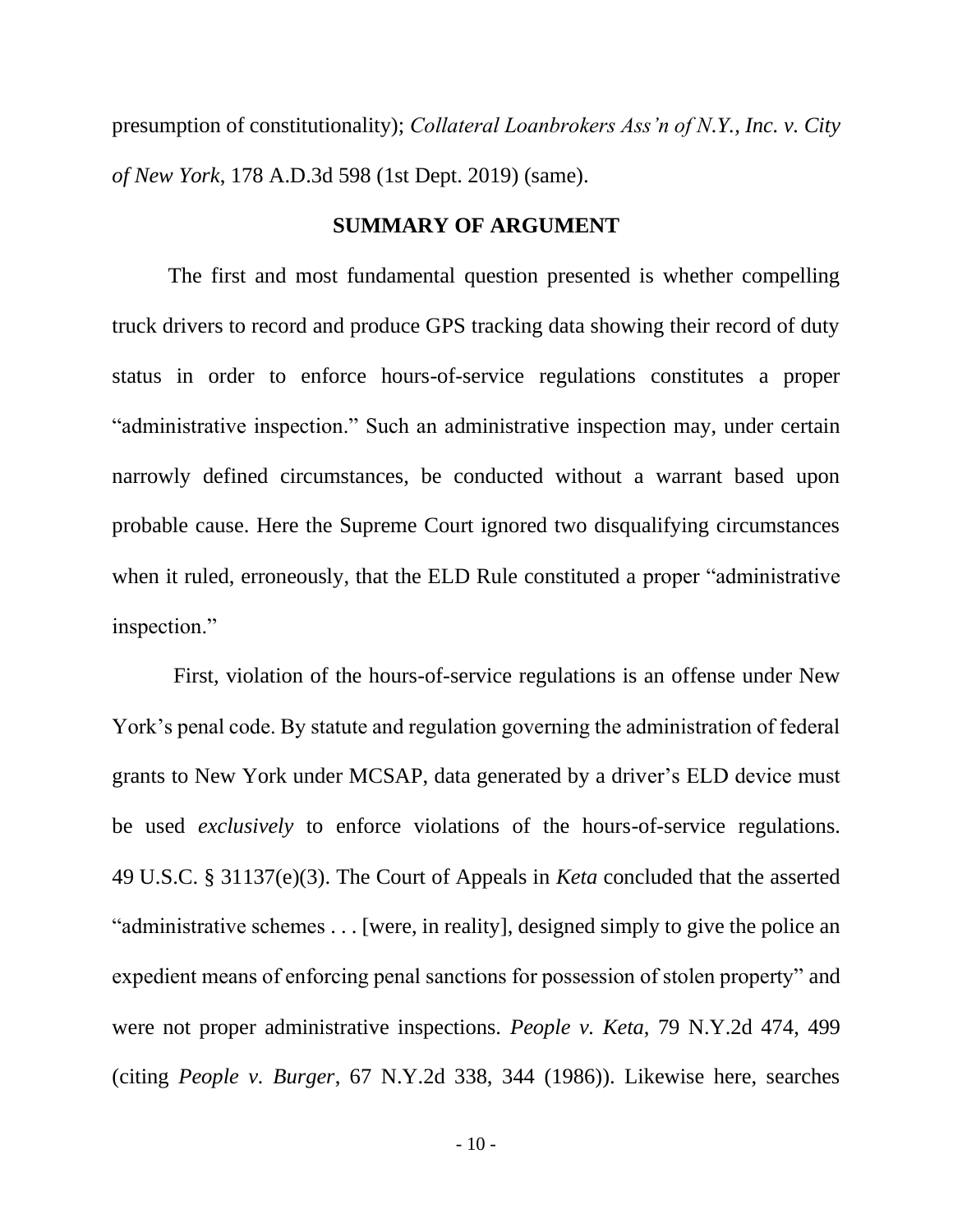presumption of constitutionality); *Collateral Loanbrokers Ass'n of N.Y., Inc. v. City of New York*, 178 A.D.3d 598 (1st Dept. 2019) (same).

#### **SUMMARY OF ARGUMENT**

<span id="page-19-0"></span>The first and most fundamental question presented is whether compelling truck drivers to record and produce GPS tracking data showing their record of duty status in order to enforce hours-of-service regulations constitutes a proper "administrative inspection." Such an administrative inspection may, under certain narrowly defined circumstances, be conducted without a warrant based upon probable cause. Here the Supreme Court ignored two disqualifying circumstances when it ruled, erroneously, that the ELD Rule constituted a proper "administrative inspection."

First, violation of the hours-of-service regulations is an offense under New York's penal code. By statute and regulation governing the administration of federal grants to New York under MCSAP, data generated by a driver's ELD device must be used *exclusively* to enforce violations of the hours-of-service regulations. 49 U.S.C. § 31137(e)(3). The Court of Appeals in *Keta* concluded that the asserted "administrative schemes . . . [were, in reality], designed simply to give the police an expedient means of enforcing penal sanctions for possession of stolen property" and were not proper administrative inspections. *People v. Keta*, 79 N.Y.2d 474, 499 (citing *People v. Burger*, 67 N.Y.2d 338, 344 (1986)). Likewise here, searches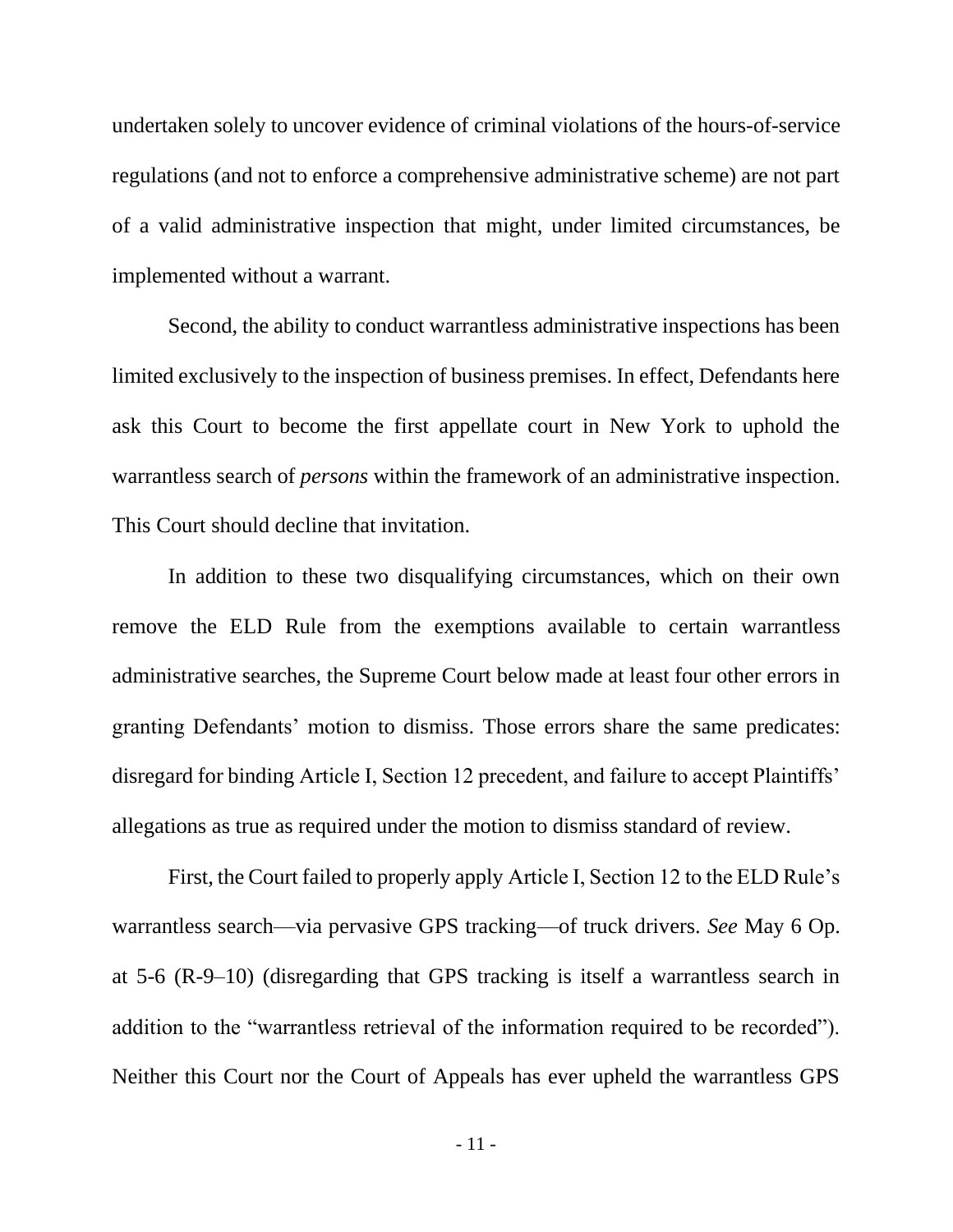undertaken solely to uncover evidence of criminal violations of the hours-of-service regulations (and not to enforce a comprehensive administrative scheme) are not part of a valid administrative inspection that might, under limited circumstances, be implemented without a warrant.

Second, the ability to conduct warrantless administrative inspections has been limited exclusively to the inspection of business premises. In effect, Defendants here ask this Court to become the first appellate court in New York to uphold the warrantless search of *persons* within the framework of an administrative inspection. This Court should decline that invitation.

In addition to these two disqualifying circumstances, which on their own remove the ELD Rule from the exemptions available to certain warrantless administrative searches, the Supreme Court below made at least four other errors in granting Defendants' motion to dismiss. Those errors share the same predicates: disregard for binding Article I, Section 12 precedent, and failure to accept Plaintiffs' allegations as true as required under the motion to dismiss standard of review.

First, the Court failed to properly apply Article I, Section 12 to the ELD Rule's warrantless search—via pervasive GPS tracking—of truck drivers. *See* May 6 Op. at 5-6 (R-9–10) (disregarding that GPS tracking is itself a warrantless search in addition to the "warrantless retrieval of the information required to be recorded"). Neither this Court nor the Court of Appeals has ever upheld the warrantless GPS

- 11 -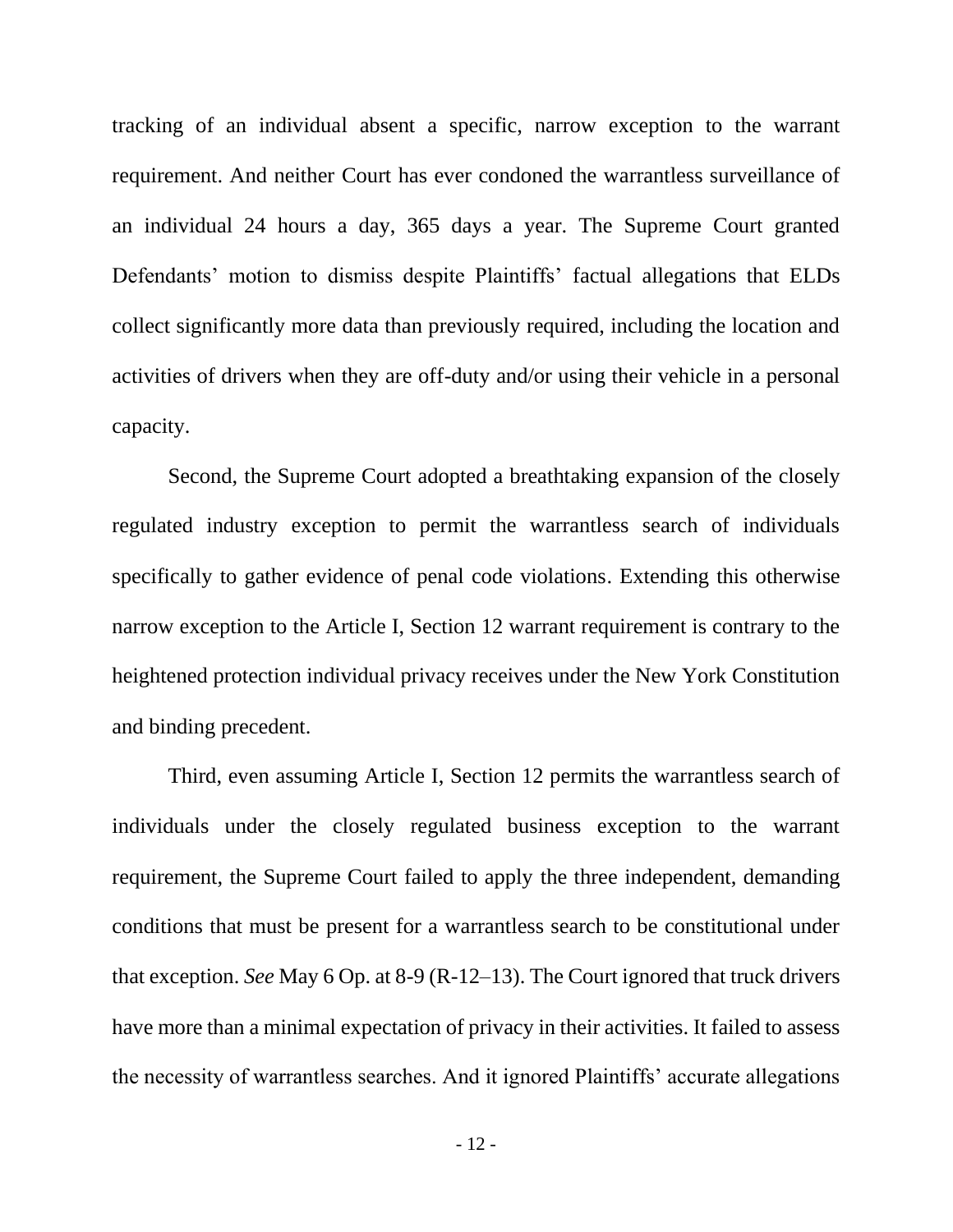tracking of an individual absent a specific, narrow exception to the warrant requirement. And neither Court has ever condoned the warrantless surveillance of an individual 24 hours a day, 365 days a year. The Supreme Court granted Defendants' motion to dismiss despite Plaintiffs' factual allegations that ELDs collect significantly more data than previously required, including the location and activities of drivers when they are off-duty and/or using their vehicle in a personal capacity.

Second, the Supreme Court adopted a breathtaking expansion of the closely regulated industry exception to permit the warrantless search of individuals specifically to gather evidence of penal code violations. Extending this otherwise narrow exception to the Article I, Section 12 warrant requirement is contrary to the heightened protection individual privacy receives under the New York Constitution and binding precedent.

Third, even assuming Article I, Section 12 permits the warrantless search of individuals under the closely regulated business exception to the warrant requirement, the Supreme Court failed to apply the three independent, demanding conditions that must be present for a warrantless search to be constitutional under that exception. *See* May 6 Op. at 8-9 (R-12–13). The Court ignored that truck drivers have more than a minimal expectation of privacy in their activities. It failed to assess the necessity of warrantless searches. And it ignored Plaintiffs' accurate allegations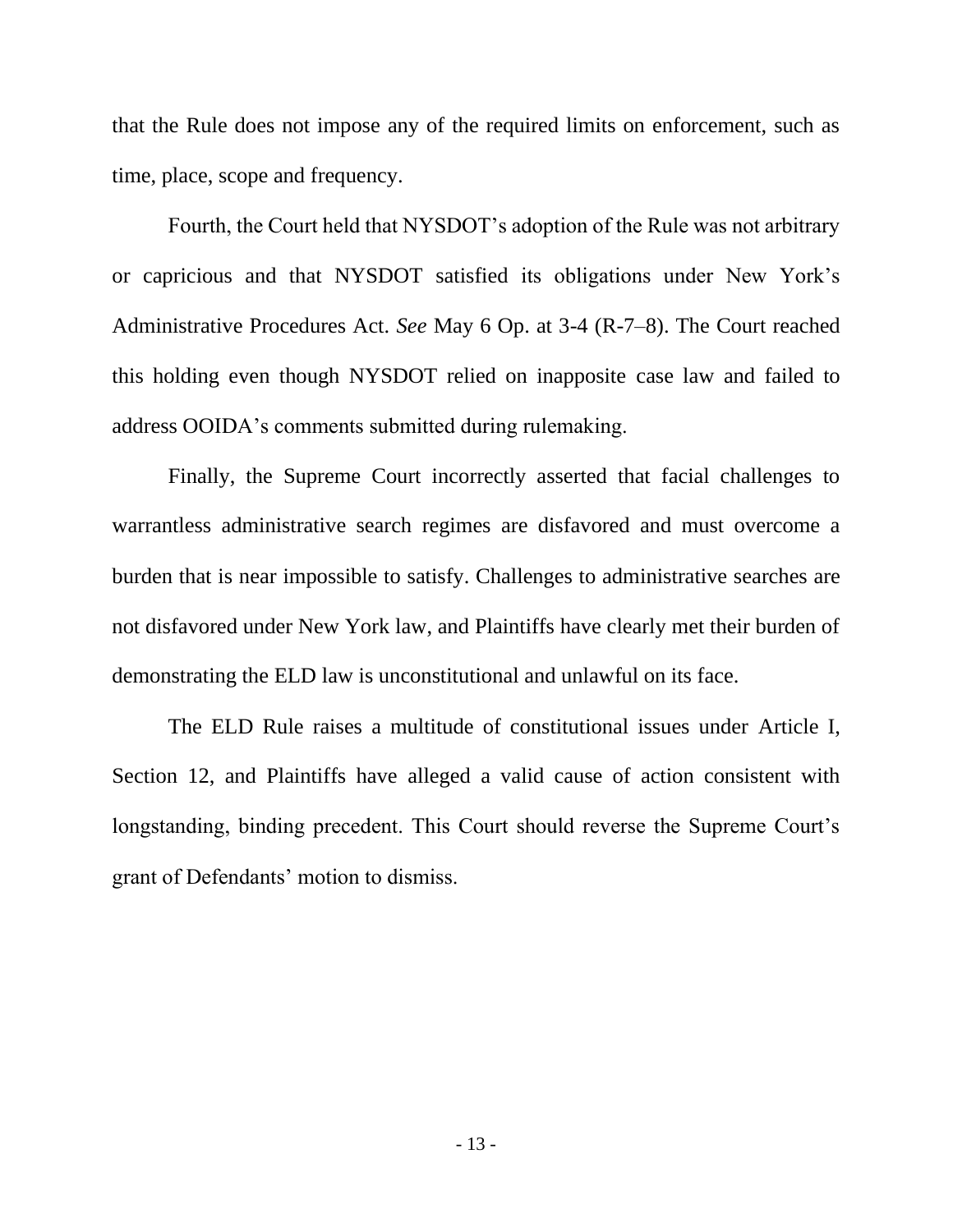that the Rule does not impose any of the required limits on enforcement, such as time, place, scope and frequency.

Fourth, the Court held that NYSDOT's adoption of the Rule was not arbitrary or capricious and that NYSDOT satisfied its obligations under New York's Administrative Procedures Act. *See* May 6 Op. at 3-4 (R-7–8). The Court reached this holding even though NYSDOT relied on inapposite case law and failed to address OOIDA's comments submitted during rulemaking.

Finally, the Supreme Court incorrectly asserted that facial challenges to warrantless administrative search regimes are disfavored and must overcome a burden that is near impossible to satisfy. Challenges to administrative searches are not disfavored under New York law, and Plaintiffs have clearly met their burden of demonstrating the ELD law is unconstitutional and unlawful on its face.

The ELD Rule raises a multitude of constitutional issues under Article I, Section 12, and Plaintiffs have alleged a valid cause of action consistent with longstanding, binding precedent. This Court should reverse the Supreme Court's grant of Defendants' motion to dismiss.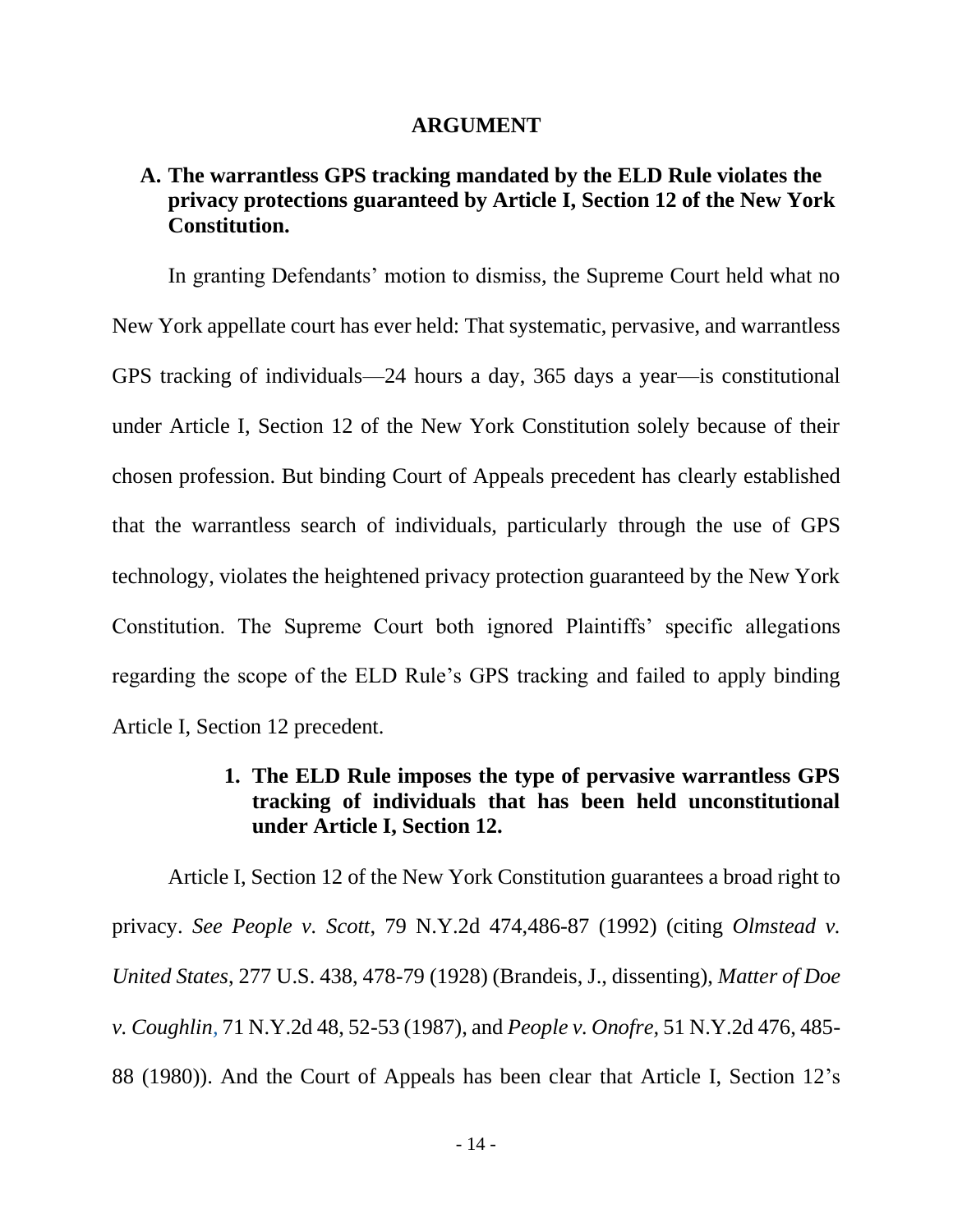#### **ARGUMENT**

## <span id="page-23-1"></span><span id="page-23-0"></span>**A. The warrantless GPS tracking mandated by the ELD Rule violates the privacy protections guaranteed by Article I, Section 12 of the New York Constitution.**

In granting Defendants' motion to dismiss, the Supreme Court held what no New York appellate court has ever held: That systematic, pervasive, and warrantless GPS tracking of individuals—24 hours a day, 365 days a year—is constitutional under Article I, Section 12 of the New York Constitution solely because of their chosen profession. But binding Court of Appeals precedent has clearly established that the warrantless search of individuals, particularly through the use of GPS technology, violates the heightened privacy protection guaranteed by the New York Constitution. The Supreme Court both ignored Plaintiffs' specific allegations regarding the scope of the ELD Rule's GPS tracking and failed to apply binding Article I, Section 12 precedent.

## **1. The ELD Rule imposes the type of pervasive warrantless GPS tracking of individuals that has been held unconstitutional under Article I, Section 12.**

<span id="page-23-2"></span>Article I, Section 12 of the New York Constitution guarantees a broad right to privacy. *See People v. Scott*, 79 N.Y.2d 474,486-87 (1992) (citing *Olmstead v. United States*, 277 U.S. 438, 478-79 (1928) (Brandeis, J., dissenting), *Matter of Doe v. Coughlin,* 71 N.Y.2d 48, 52-53 (1987), and *People v. Onofre,* 51 N.Y.2d 476, 485- 88 (1980)). And the Court of Appeals has been clear that Article I, Section 12's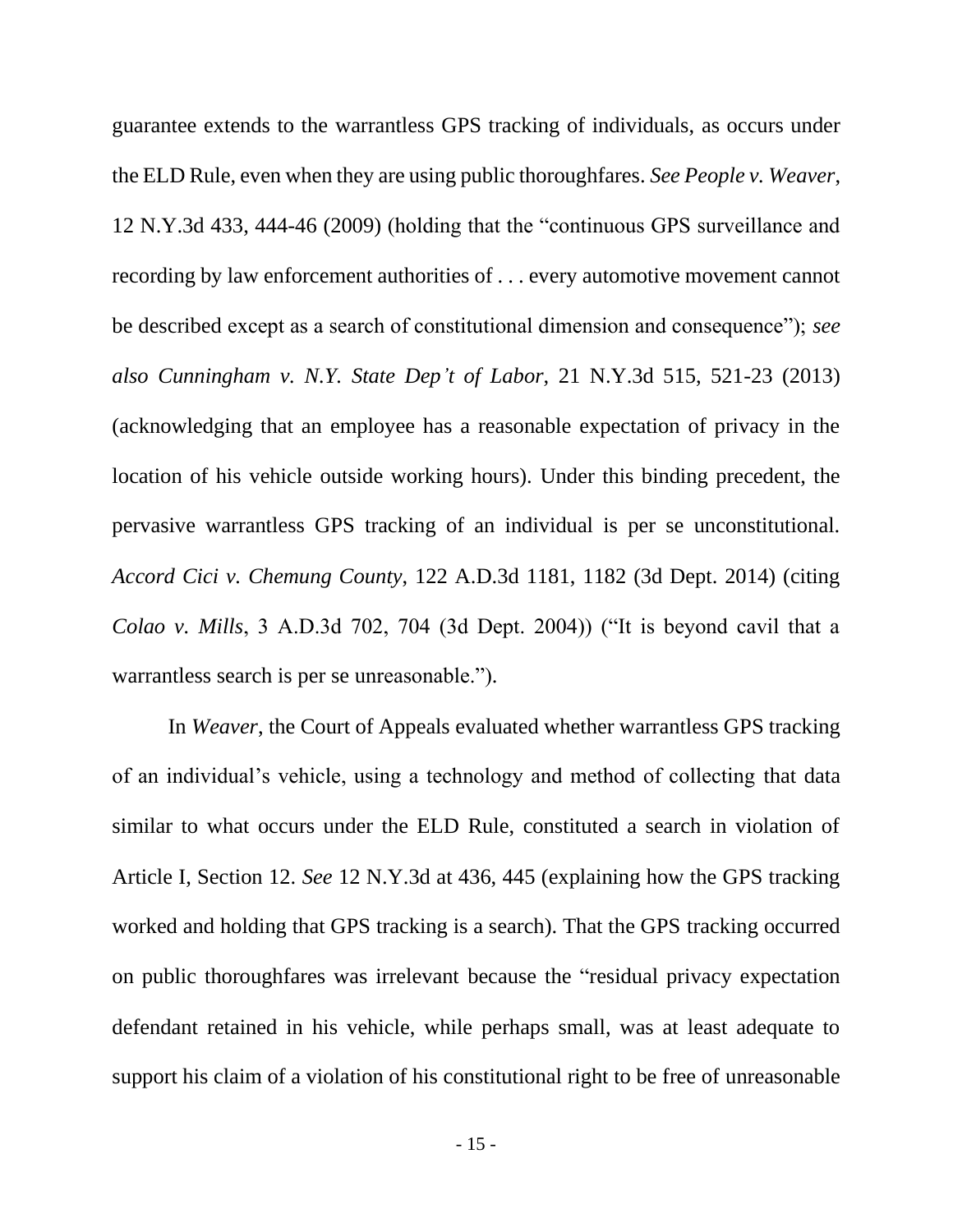guarantee extends to the warrantless GPS tracking of individuals, as occurs under the ELD Rule, even when they are using public thoroughfares. *See People v. Weaver*, 12 N.Y.3d 433, 444-46 (2009) (holding that the "continuous GPS surveillance and recording by law enforcement authorities of . . . every automotive movement cannot be described except as a search of constitutional dimension and consequence"); *see also Cunningham v. N.Y. State Dep't of Labor*, 21 N.Y.3d 515, 521-23 (2013) (acknowledging that an employee has a reasonable expectation of privacy in the location of his vehicle outside working hours). Under this binding precedent, the pervasive warrantless GPS tracking of an individual is per se unconstitutional. *Accord Cici v. Chemung County*, 122 A.D.3d 1181, 1182 (3d Dept. 2014) (citing *Colao v. Mills*, 3 A.D.3d 702, 704 (3d Dept. 2004)) ("It is beyond cavil that a warrantless search is per se unreasonable.").

In *Weaver*, the Court of Appeals evaluated whether warrantless GPS tracking of an individual's vehicle, using a technology and method of collecting that data similar to what occurs under the ELD Rule, constituted a search in violation of Article I, Section 12. *See* 12 N.Y.3d at 436, 445 (explaining how the GPS tracking worked and holding that GPS tracking is a search). That the GPS tracking occurred on public thoroughfares was irrelevant because the "residual privacy expectation defendant retained in his vehicle, while perhaps small, was at least adequate to support his claim of a violation of his constitutional right to be free of unreasonable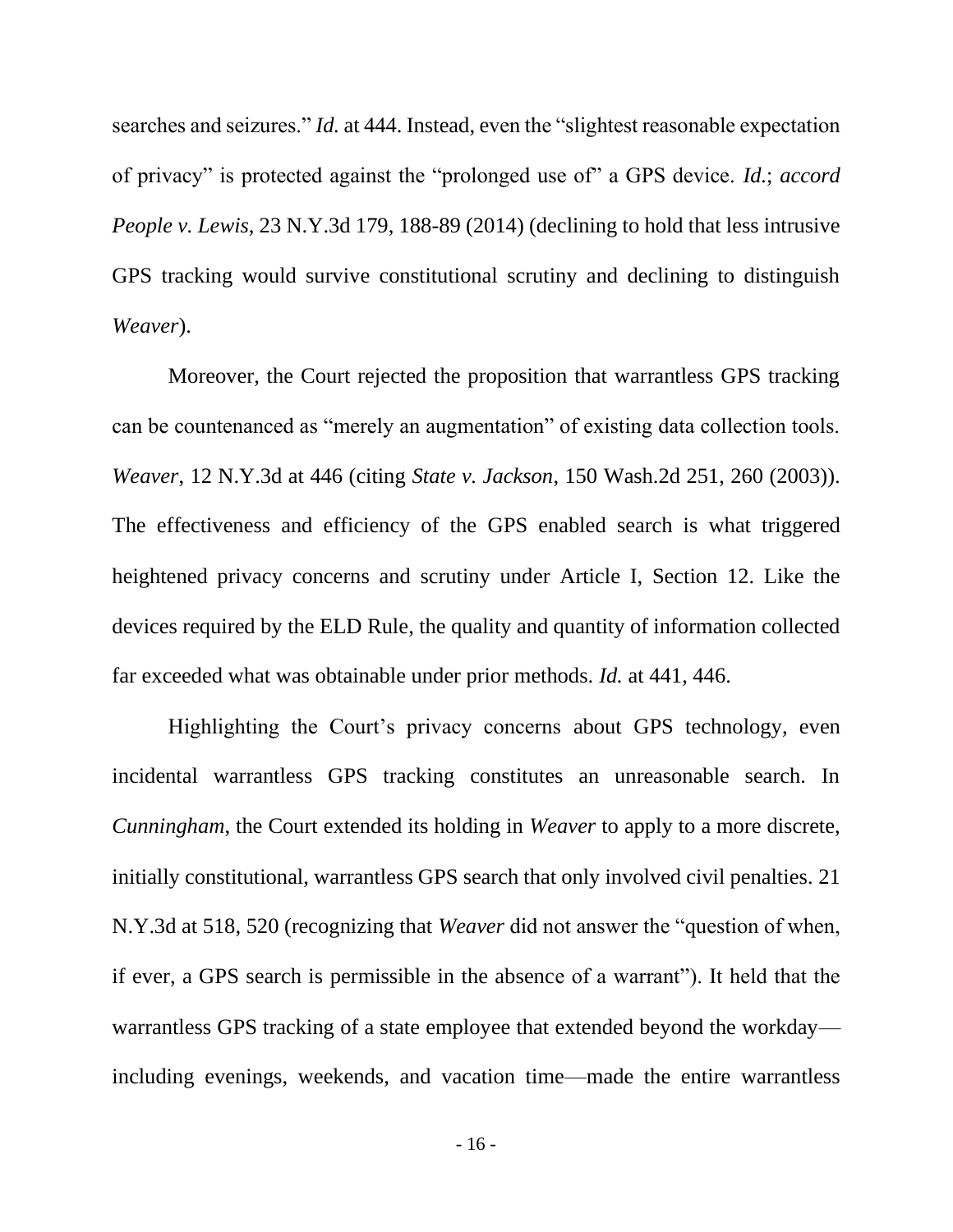searches and seizures." *Id.* at 444. Instead, even the "slightest reasonable expectation of privacy" is protected against the "prolonged use of" a GPS device. *Id.*; *accord People v. Lewis*, 23 N.Y.3d 179, 188-89 (2014) (declining to hold that less intrusive GPS tracking would survive constitutional scrutiny and declining to distinguish *Weaver*).

Moreover, the Court rejected the proposition that warrantless GPS tracking can be countenanced as "merely an augmentation" of existing data collection tools. *Weaver*, 12 N.Y.3d at 446 (citing *State v. Jackson*, 150 Wash.2d 251, 260 (2003)). The effectiveness and efficiency of the GPS enabled search is what triggered heightened privacy concerns and scrutiny under Article I, Section 12. Like the devices required by the ELD Rule, the quality and quantity of information collected far exceeded what was obtainable under prior methods. *Id.* at 441, 446.

Highlighting the Court's privacy concerns about GPS technology, even incidental warrantless GPS tracking constitutes an unreasonable search. In *Cunningham*, the Court extended its holding in *Weaver* to apply to a more discrete, initially constitutional, warrantless GPS search that only involved civil penalties. 21 N.Y.3d at 518, 520 (recognizing that *Weaver* did not answer the "question of when, if ever, a GPS search is permissible in the absence of a warrant"). It held that the warrantless GPS tracking of a state employee that extended beyond the workday including evenings, weekends, and vacation time—made the entire warrantless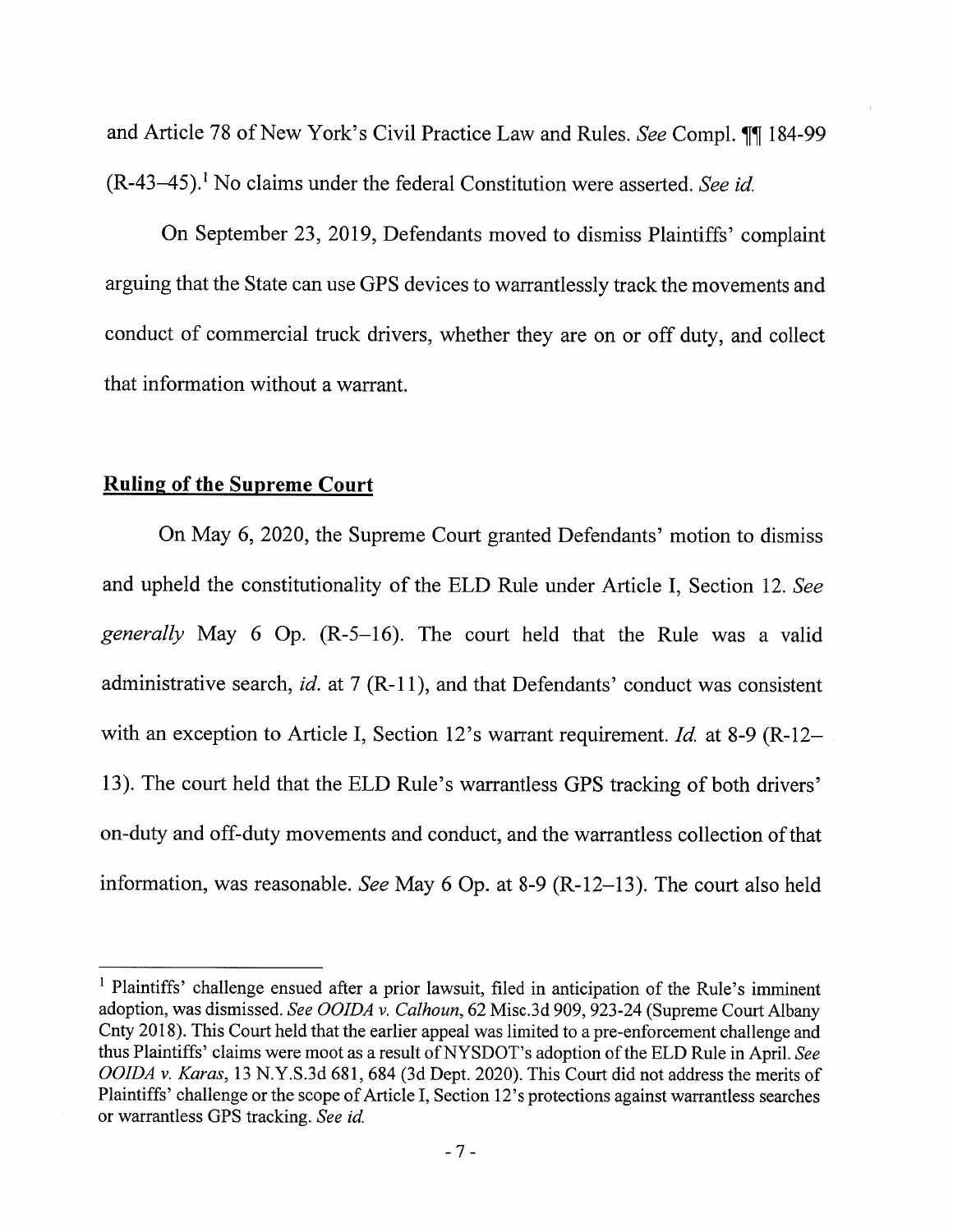and Article 78 of New York's Civil Practice Law and Rules. See Compl. 11 184-99  $(R-43-45)$ .<sup>1</sup> No claims under the federal Constitution were asserted. See id.

On September 23, 2019, Defendants moved to dismiss Plaintiffs' complaint arguing that the State can use GPS devices to warrantlessly track the movements and conduct of commercial truck drivers, whether they are on or off duty, and collect that information without a warrant.

### **Ruling of the Supreme Court**

On May 6, 2020, the Supreme Court granted Defendants' motion to dismiss and upheld the constitutionality of the ELD Rule under Article I, Section 12. See generally May 6 Op. (R-5-16). The court held that the Rule was a valid administrative search, id. at 7 (R-11), and that Defendants' conduct was consistent with an exception to Article I, Section 12's warrant requirement. Id. at 8-9 (R-12-13). The court held that the ELD Rule's warrantless GPS tracking of both drivers' on-duty and off-duty movements and conduct, and the warrantless collection of that information, was reasonable. See May 6 Op. at 8-9 (R-12-13). The court also held

<sup>&</sup>lt;sup>1</sup> Plaintiffs' challenge ensued after a prior lawsuit, filed in anticipation of the Rule's imminent adoption, was dismissed. See OOIDA v. Calhoun, 62 Misc.3d 909, 923-24 (Supreme Court Albany Cnty 2018). This Court held that the earlier appeal was limited to a pre-enforcement challenge and thus Plaintiffs' claims were moot as a result of NYSDOT's adoption of the ELD Rule in April. See OOIDA v. Karas, 13 N.Y.S.3d 681, 684 (3d Dept. 2020). This Court did not address the merits of Plaintiffs' challenge or the scope of Article I, Section 12's protections against warrantless searches or warrantless GPS tracking. See id.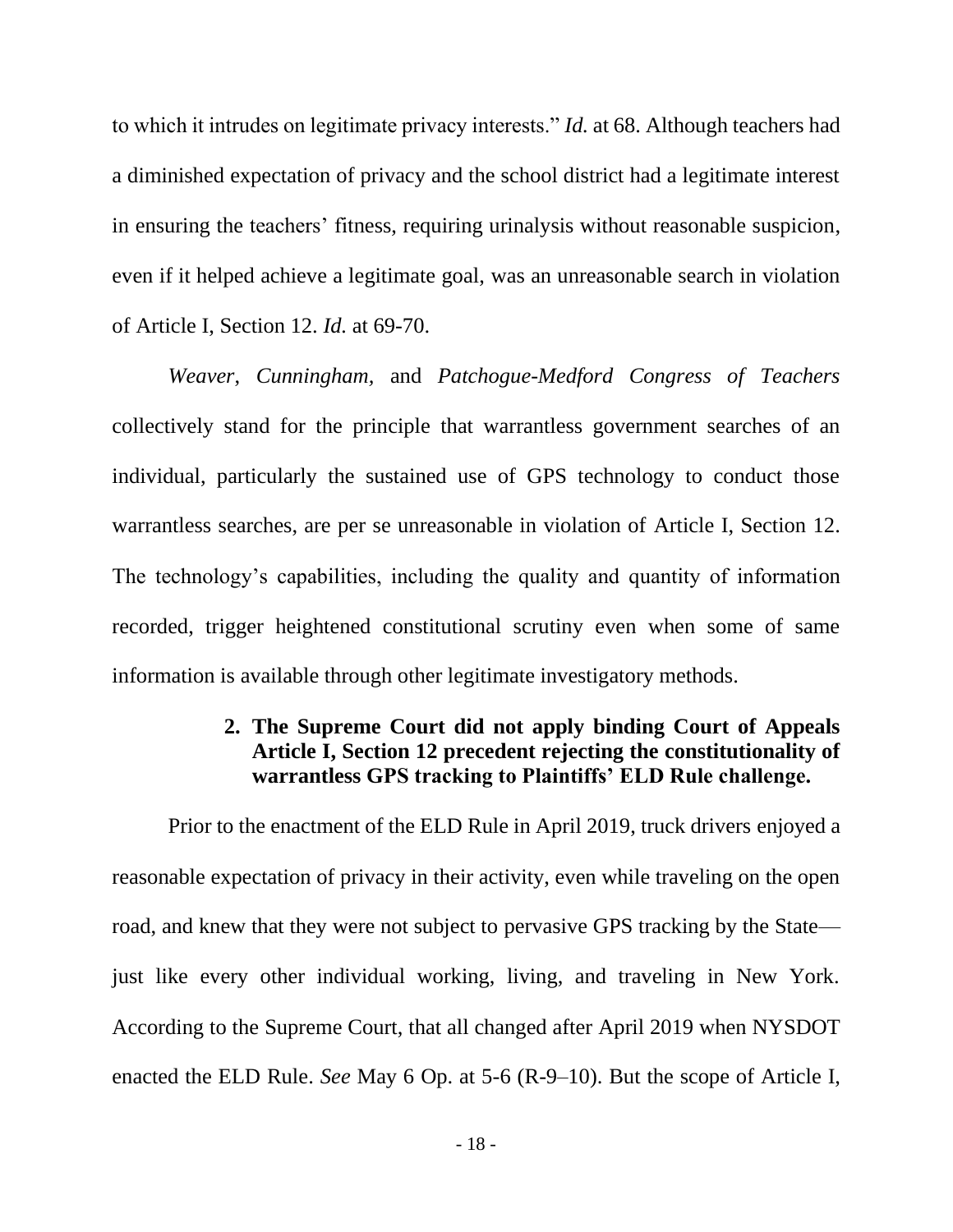to which it intrudes on legitimate privacy interests." *Id.* at 68. Although teachers had a diminished expectation of privacy and the school district had a legitimate interest in ensuring the teachers' fitness, requiring urinalysis without reasonable suspicion, even if it helped achieve a legitimate goal, was an unreasonable search in violation of Article I, Section 12. *Id.* at 69-70.

*Weaver*, *Cunningham,* and *Patchogue-Medford Congress of Teachers* collectively stand for the principle that warrantless government searches of an individual, particularly the sustained use of GPS technology to conduct those warrantless searches, are per se unreasonable in violation of Article I, Section 12. The technology's capabilities, including the quality and quantity of information recorded, trigger heightened constitutional scrutiny even when some of same information is available through other legitimate investigatory methods.

## **2. The Supreme Court did not apply binding Court of Appeals Article I, Section 12 precedent rejecting the constitutionality of warrantless GPS tracking to Plaintiffs' ELD Rule challenge.**

<span id="page-27-0"></span>Prior to the enactment of the ELD Rule in April 2019, truck drivers enjoyed a reasonable expectation of privacy in their activity, even while traveling on the open road, and knew that they were not subject to pervasive GPS tracking by the State just like every other individual working, living, and traveling in New York. According to the Supreme Court, that all changed after April 2019 when NYSDOT enacted the ELD Rule. *See* May 6 Op. at 5-6 (R-9–10). But the scope of Article I,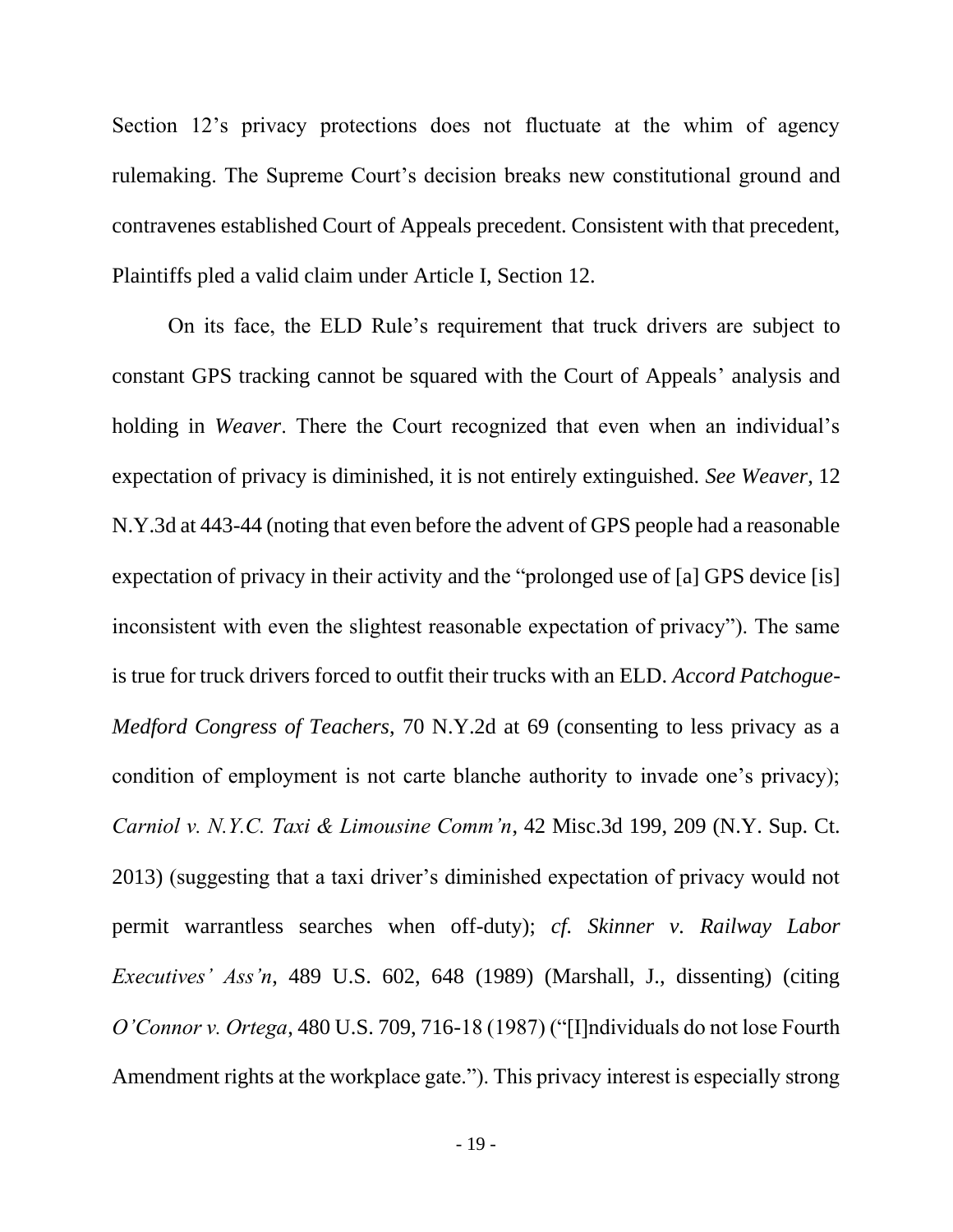Section 12's privacy protections does not fluctuate at the whim of agency rulemaking. The Supreme Court's decision breaks new constitutional ground and contravenes established Court of Appeals precedent. Consistent with that precedent, Plaintiffs pled a valid claim under Article I, Section 12.

On its face, the ELD Rule's requirement that truck drivers are subject to constant GPS tracking cannot be squared with the Court of Appeals' analysis and holding in *Weaver*. There the Court recognized that even when an individual's expectation of privacy is diminished, it is not entirely extinguished. *See Weaver*, 12 N.Y.3d at 443-44 (noting that even before the advent of GPS people had a reasonable expectation of privacy in their activity and the "prolonged use of [a] GPS device [is] inconsistent with even the slightest reasonable expectation of privacy"). The same is true for truck drivers forced to outfit their trucks with an ELD. *Accord Patchogue-Medford Congress of Teachers*, 70 N.Y.2d at 69 (consenting to less privacy as a condition of employment is not carte blanche authority to invade one's privacy); *Carniol v. N.Y.C. Taxi & Limousine Comm'n*, 42 Misc.3d 199, 209 (N.Y. Sup. Ct. 2013) (suggesting that a taxi driver's diminished expectation of privacy would not permit warrantless searches when off-duty); *cf. Skinner v. Railway Labor Executives' Ass'n*, 489 U.S. 602, 648 (1989) (Marshall, J., dissenting) (citing *O'Connor v. Ortega*, 480 U.S. 709, 716-18 (1987) ("[I]ndividuals do not lose Fourth Amendment rights at the workplace gate."). This privacy interest is especially strong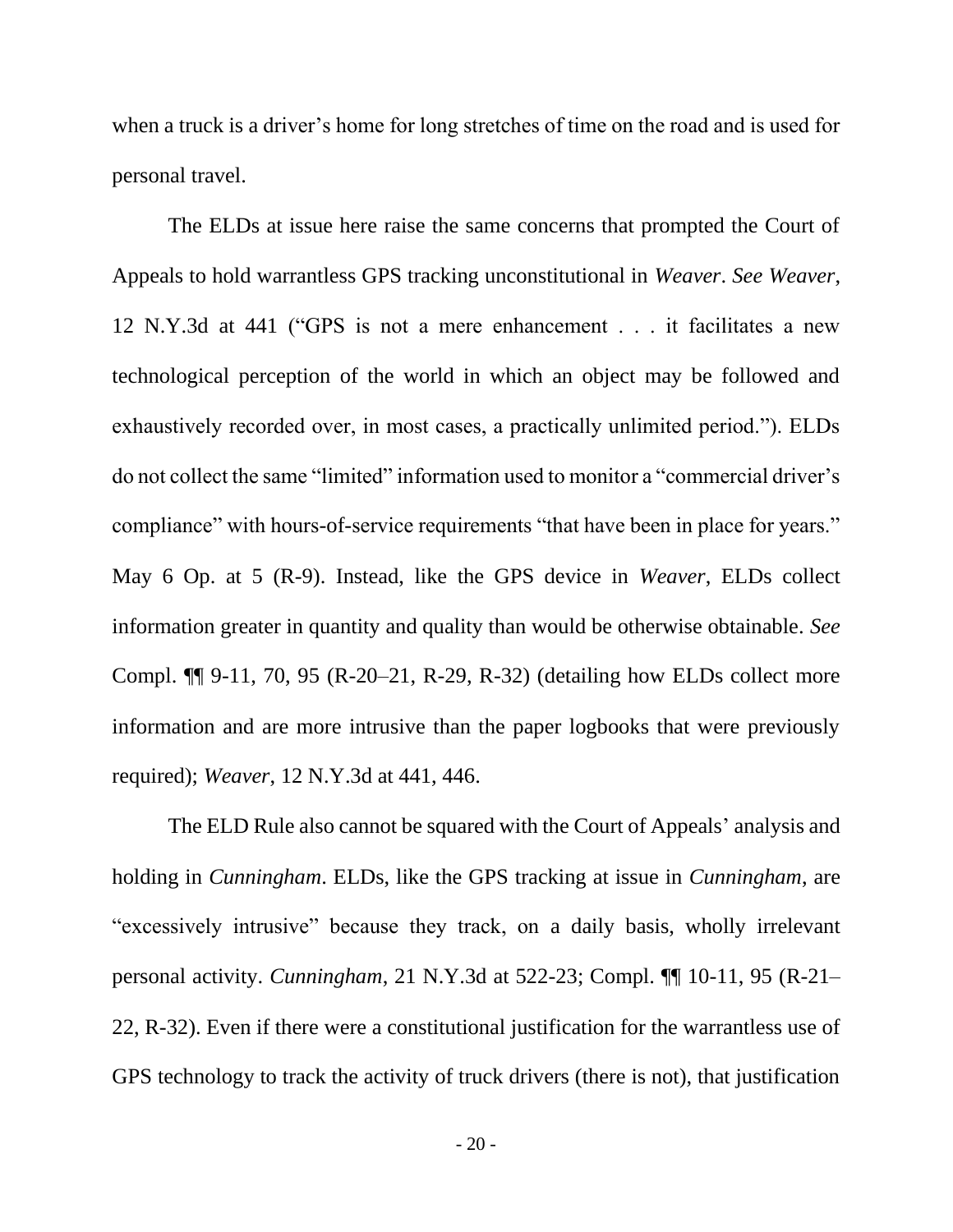when a truck is a driver's home for long stretches of time on the road and is used for personal travel.

The ELDs at issue here raise the same concerns that prompted the Court of Appeals to hold warrantless GPS tracking unconstitutional in *Weaver*. *See Weaver*, 12 N.Y.3d at 441 ("GPS is not a mere enhancement . . . it facilitates a new technological perception of the world in which an object may be followed and exhaustively recorded over, in most cases, a practically unlimited period."). ELDs do not collect the same "limited" information used to monitor a "commercial driver's compliance" with hours-of-service requirements "that have been in place for years." May 6 Op. at 5 (R-9). Instead, like the GPS device in *Weaver*, ELDs collect information greater in quantity and quality than would be otherwise obtainable. *See* Compl. ¶¶ 9-11, 70, 95 (R-20–21, R-29, R-32) (detailing how ELDs collect more information and are more intrusive than the paper logbooks that were previously required); *Weaver*, 12 N.Y.3d at 441, 446.

The ELD Rule also cannot be squared with the Court of Appeals' analysis and holding in *Cunningham*. ELDs, like the GPS tracking at issue in *Cunningham*, are "excessively intrusive" because they track, on a daily basis, wholly irrelevant personal activity. *Cunningham*, 21 N.Y.3d at 522-23; Compl. ¶¶ 10-11, 95 (R-21– 22, R-32). Even if there were a constitutional justification for the warrantless use of GPS technology to track the activity of truck drivers (there is not), that justification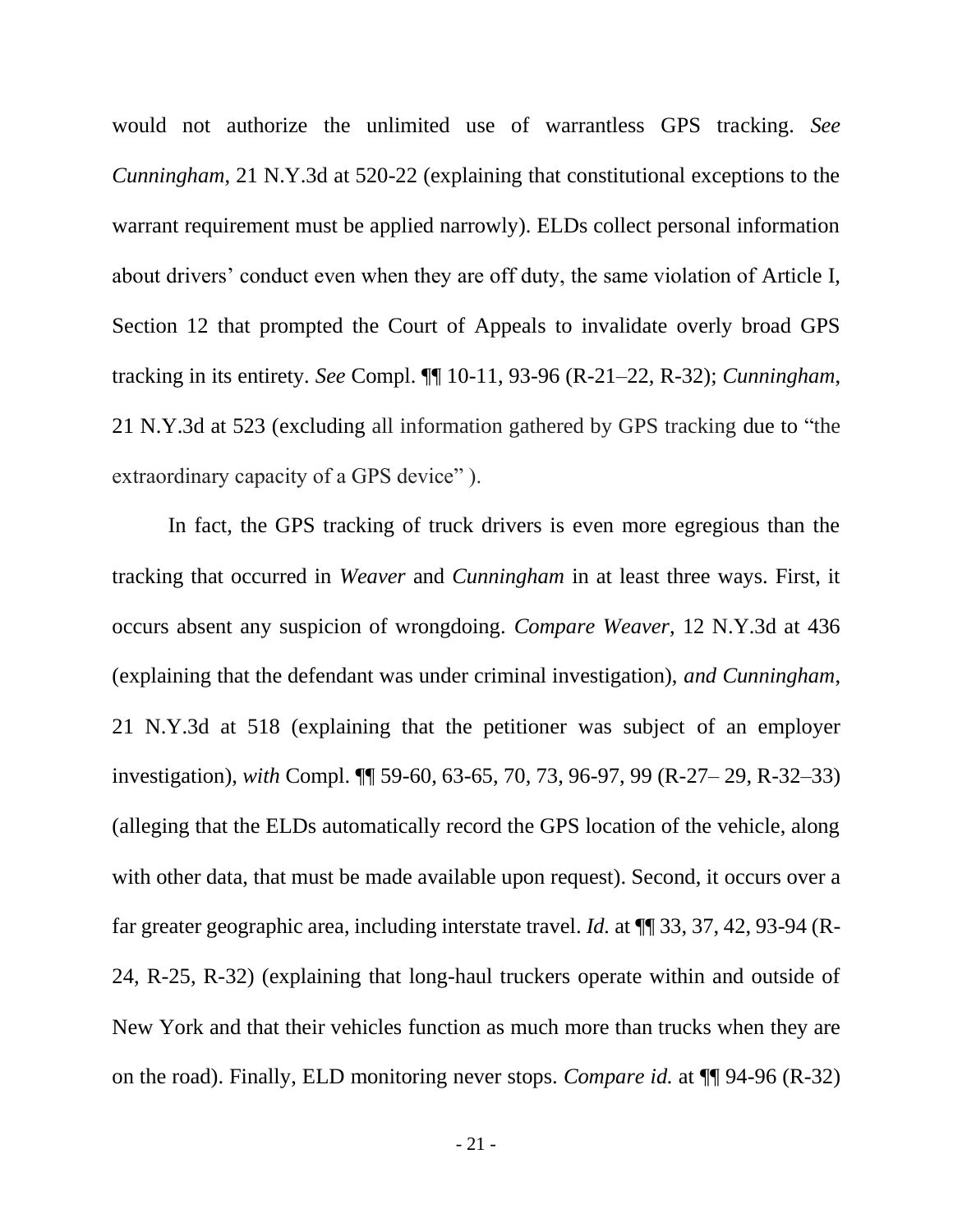would not authorize the unlimited use of warrantless GPS tracking. *See Cunningham*, 21 N.Y.3d at 520-22 (explaining that constitutional exceptions to the warrant requirement must be applied narrowly). ELDs collect personal information about drivers' conduct even when they are off duty, the same violation of Article I, Section 12 that prompted the Court of Appeals to invalidate overly broad GPS tracking in its entirety. *See* Compl. ¶¶ 10-11, 93-96 (R-21–22, R-32); *Cunningham*, 21 N.Y.3d at 523 (excluding all information gathered by GPS tracking due to "the extraordinary capacity of a GPS device" ).

In fact, the GPS tracking of truck drivers is even more egregious than the tracking that occurred in *Weaver* and *Cunningham* in at least three ways. First, it occurs absent any suspicion of wrongdoing. *Compare Weaver*, 12 N.Y.3d at 436 (explaining that the defendant was under criminal investigation), *and Cunningham*, 21 N.Y.3d at 518 (explaining that the petitioner was subject of an employer investigation), *with* Compl. ¶¶ 59-60, 63-65, 70, 73, 96-97, 99 (R-27– 29, R-32–33) (alleging that the ELDs automatically record the GPS location of the vehicle, along with other data, that must be made available upon request). Second, it occurs over a far greater geographic area, including interstate travel. *Id.* at ¶¶ 33, 37, 42, 93-94 (R-24, R-25, R-32) (explaining that long-haul truckers operate within and outside of New York and that their vehicles function as much more than trucks when they are on the road). Finally, ELD monitoring never stops. *Compare id.* at ¶¶ 94-96 (R-32)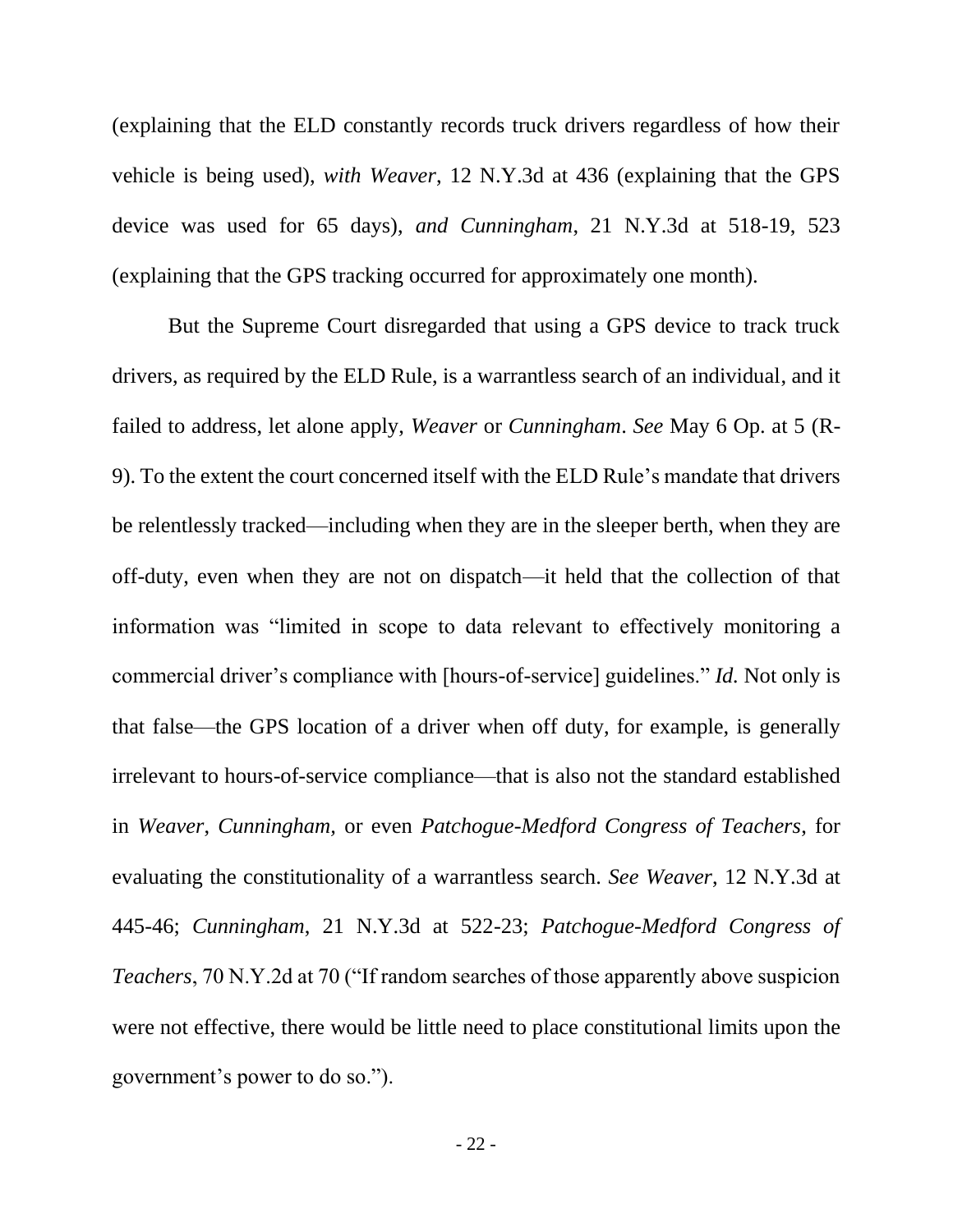(explaining that the ELD constantly records truck drivers regardless of how their vehicle is being used), *with Weaver*, 12 N.Y.3d at 436 (explaining that the GPS device was used for 65 days), *and Cunningham*, 21 N.Y.3d at 518-19, 523 (explaining that the GPS tracking occurred for approximately one month).

But the Supreme Court disregarded that using a GPS device to track truck drivers, as required by the ELD Rule, is a warrantless search of an individual, and it failed to address, let alone apply, *Weaver* or *Cunningham*. *See* May 6 Op. at 5 (R-9). To the extent the court concerned itself with the ELD Rule's mandate that drivers be relentlessly tracked—including when they are in the sleeper berth, when they are off-duty, even when they are not on dispatch—it held that the collection of that information was "limited in scope to data relevant to effectively monitoring a commercial driver's compliance with [hours-of-service] guidelines." *Id.* Not only is that false—the GPS location of a driver when off duty, for example, is generally irrelevant to hours-of-service compliance—that is also not the standard established in *Weaver*, *Cunningham,* or even *Patchogue-Medford Congress of Teachers*, for evaluating the constitutionality of a warrantless search. *See Weaver*, 12 N.Y.3d at 445-46; *Cunningham*, 21 N.Y.3d at 522-23; *Patchogue-Medford Congress of Teachers*, 70 N.Y.2d at 70 ("If random searches of those apparently above suspicion were not effective, there would be little need to place constitutional limits upon the government's power to do so.").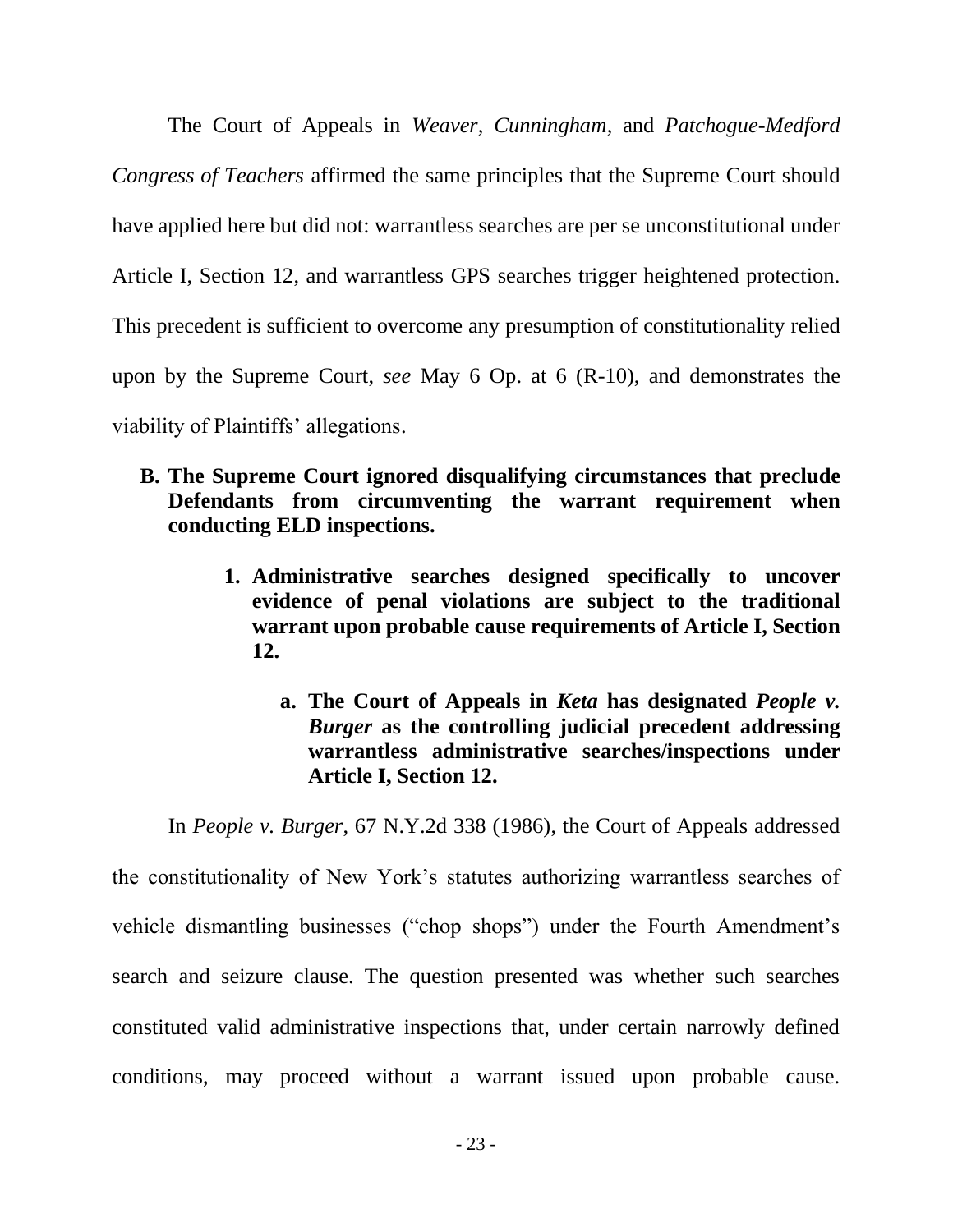The Court of Appeals in *Weaver*, *Cunningham*, and *Patchogue-Medford Congress of Teachers* affirmed the same principles that the Supreme Court should have applied here but did not: warrantless searches are per se unconstitutional under Article I, Section 12, and warrantless GPS searches trigger heightened protection. This precedent is sufficient to overcome any presumption of constitutionality relied upon by the Supreme Court, *see* May 6 Op. at 6 (R-10), and demonstrates the viability of Plaintiffs' allegations.

- <span id="page-32-1"></span><span id="page-32-0"></span>**B. The Supreme Court ignored disqualifying circumstances that preclude Defendants from circumventing the warrant requirement when conducting ELD inspections.**
	- **1. Administrative searches designed specifically to uncover evidence of penal violations are subject to the traditional warrant upon probable cause requirements of Article I, Section 12.**
		- **a. The Court of Appeals in** *Keta* **has designated** *People v. Burger* **as the controlling judicial precedent addressing warrantless administrative searches/inspections under Article I, Section 12.**

<span id="page-32-2"></span>In *People v. Burger*, 67 N.Y.2d 338 (1986), the Court of Appeals addressed

the constitutionality of New York's statutes authorizing warrantless searches of vehicle dismantling businesses ("chop shops") under the Fourth Amendment's search and seizure clause. The question presented was whether such searches constituted valid administrative inspections that, under certain narrowly defined conditions, may proceed without a warrant issued upon probable cause.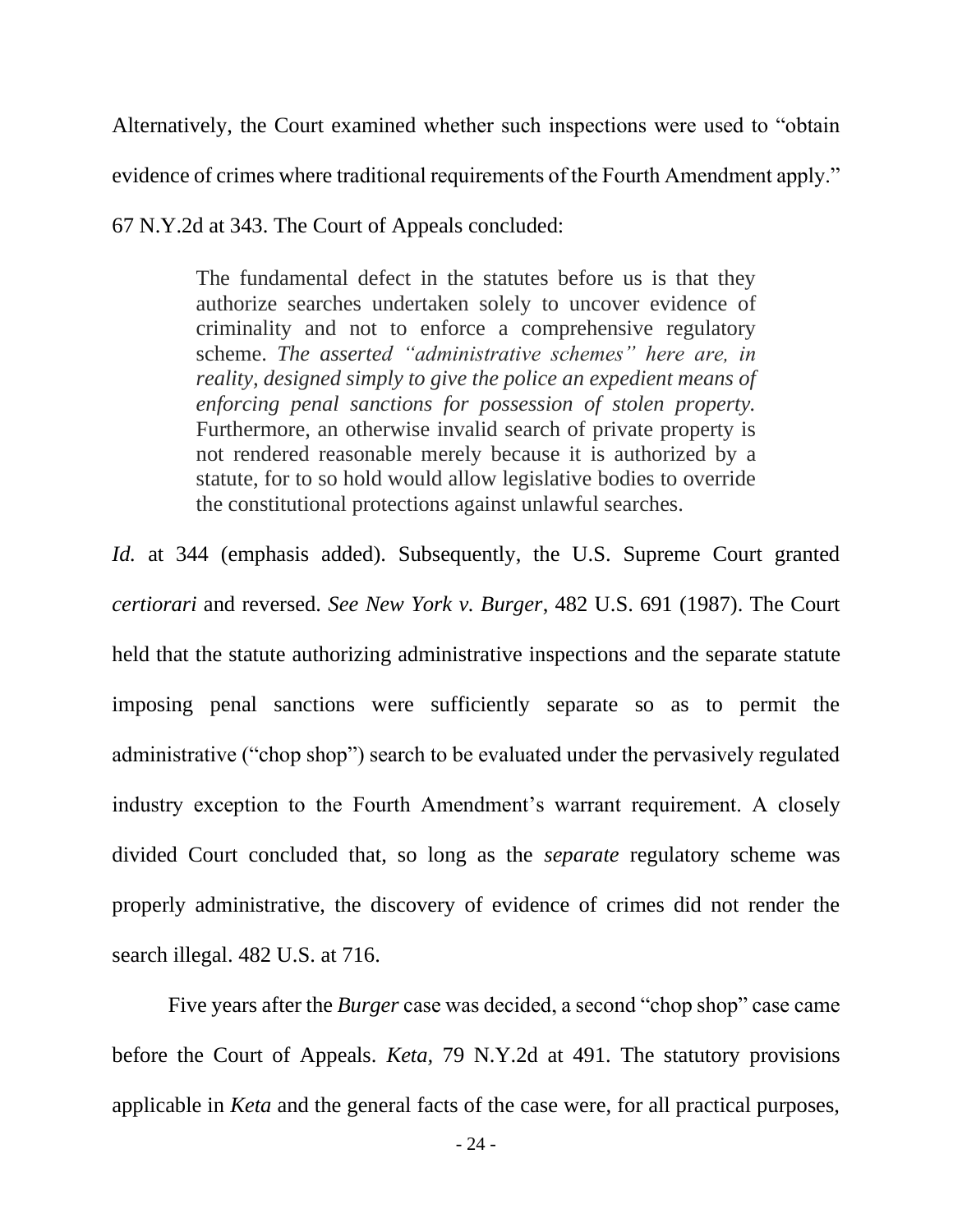Alternatively, the Court examined whether such inspections were used to "obtain evidence of crimes where traditional requirements of the Fourth Amendment apply."

67 N.Y.2d at 343. The Court of Appeals concluded:

The fundamental defect in the statutes before us is that they authorize searches undertaken solely to uncover evidence of criminality and not to enforce a comprehensive regulatory scheme. *The asserted "administrative schemes" here are, in reality, designed simply to give the police an expedient means of enforcing penal sanctions for possession of stolen property.* Furthermore, an otherwise invalid search of private property is not rendered reasonable merely because it is authorized by a statute, for to so hold would allow legislative bodies to override the constitutional protections against unlawful searches.

*Id.* at 344 (emphasis added). Subsequently, the U.S. Supreme Court granted *certiorari* and reversed. *See New York v. Burger*, 482 U.S. 691 (1987). The Court held that the statute authorizing administrative inspections and the separate statute imposing penal sanctions were sufficiently separate so as to permit the administrative ("chop shop") search to be evaluated under the pervasively regulated industry exception to the Fourth Amendment's warrant requirement. A closely divided Court concluded that, so long as the *separate* regulatory scheme was properly administrative, the discovery of evidence of crimes did not render the search illegal. 482 U.S. at 716.

Five years after the *Burger* case was decided, a second "chop shop" case came before the Court of Appeals. *Keta,* 79 N.Y.2d at 491. The statutory provisions applicable in *Keta* and the general facts of the case were, for all practical purposes,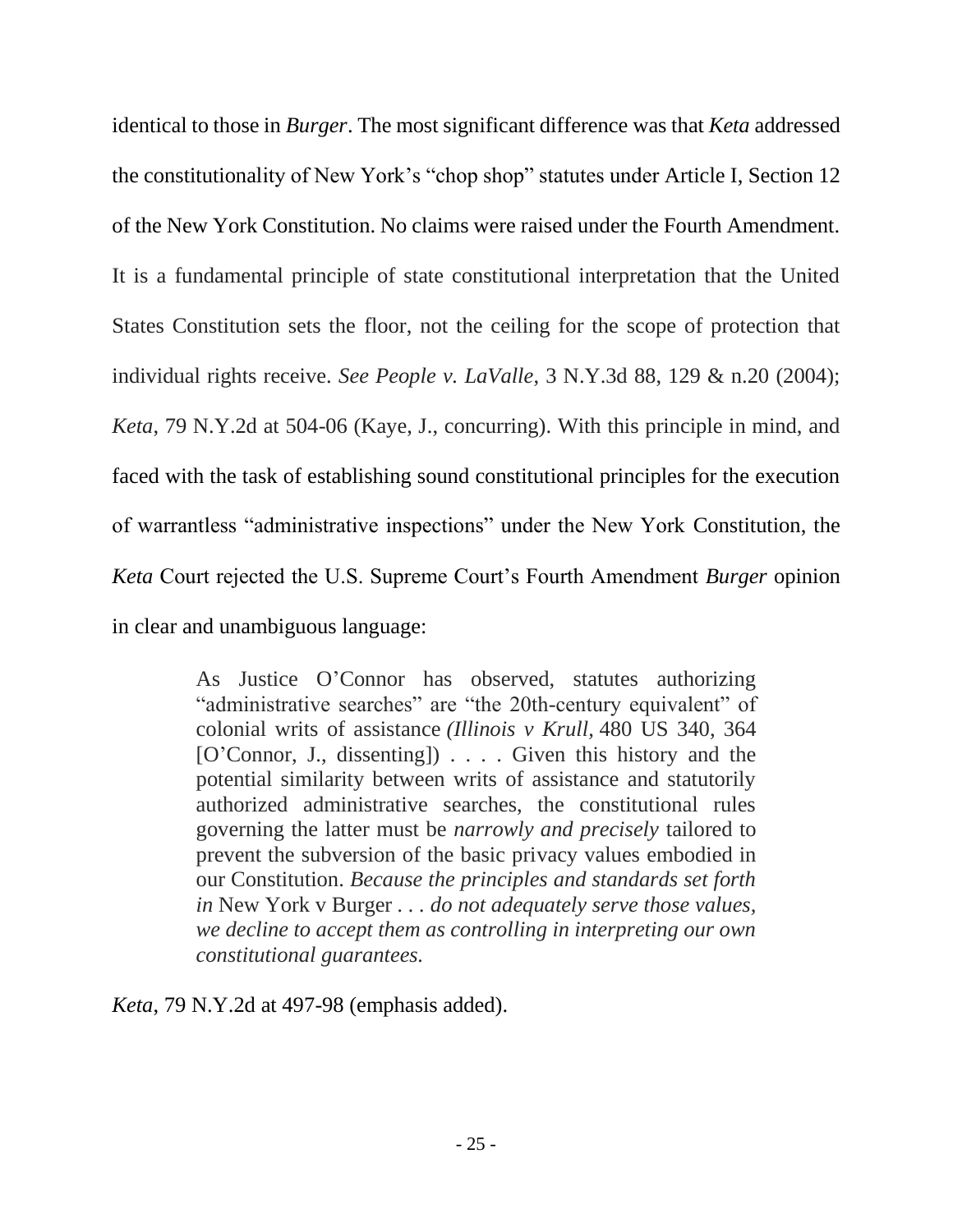identical to those in *Burger*. The most significant difference was that *Keta* addressed the constitutionality of New York's "chop shop" statutes under Article I, Section 12 of the New York Constitution. No claims were raised under the Fourth Amendment. It is a fundamental principle of state constitutional interpretation that the United States Constitution sets the floor, not the ceiling for the scope of protection that individual rights receive. *See People v. LaValle*, 3 N.Y.3d 88, 129 & n.20 (2004); *Keta*, 79 N.Y.2d at 504-06 (Kaye, J., concurring). With this principle in mind, and faced with the task of establishing sound constitutional principles for the execution of warrantless "administrative inspections" under the New York Constitution, the *Keta* Court rejected the U.S. Supreme Court's Fourth Amendment *Burger* opinion in clear and unambiguous language:

> As Justice O'Connor has observed, statutes authorizing "administrative searches" are "the 20th-century equivalent" of colonial writs of assistance *(Illinois v Krull,* 480 US 340, 364 [O'Connor, J., dissenting]) . . . . Given this history and the potential similarity between writs of assistance and statutorily authorized administrative searches, the constitutional rules governing the latter must be *narrowly and precisely* tailored to prevent the subversion of the basic privacy values embodied in our Constitution. *Because the principles and standards set forth in* New York v Burger *. . . do not adequately serve those values, we decline to accept them as controlling in interpreting our own constitutional guarantees.*

*Keta*, 79 N.Y.2d at 497-98 (emphasis added).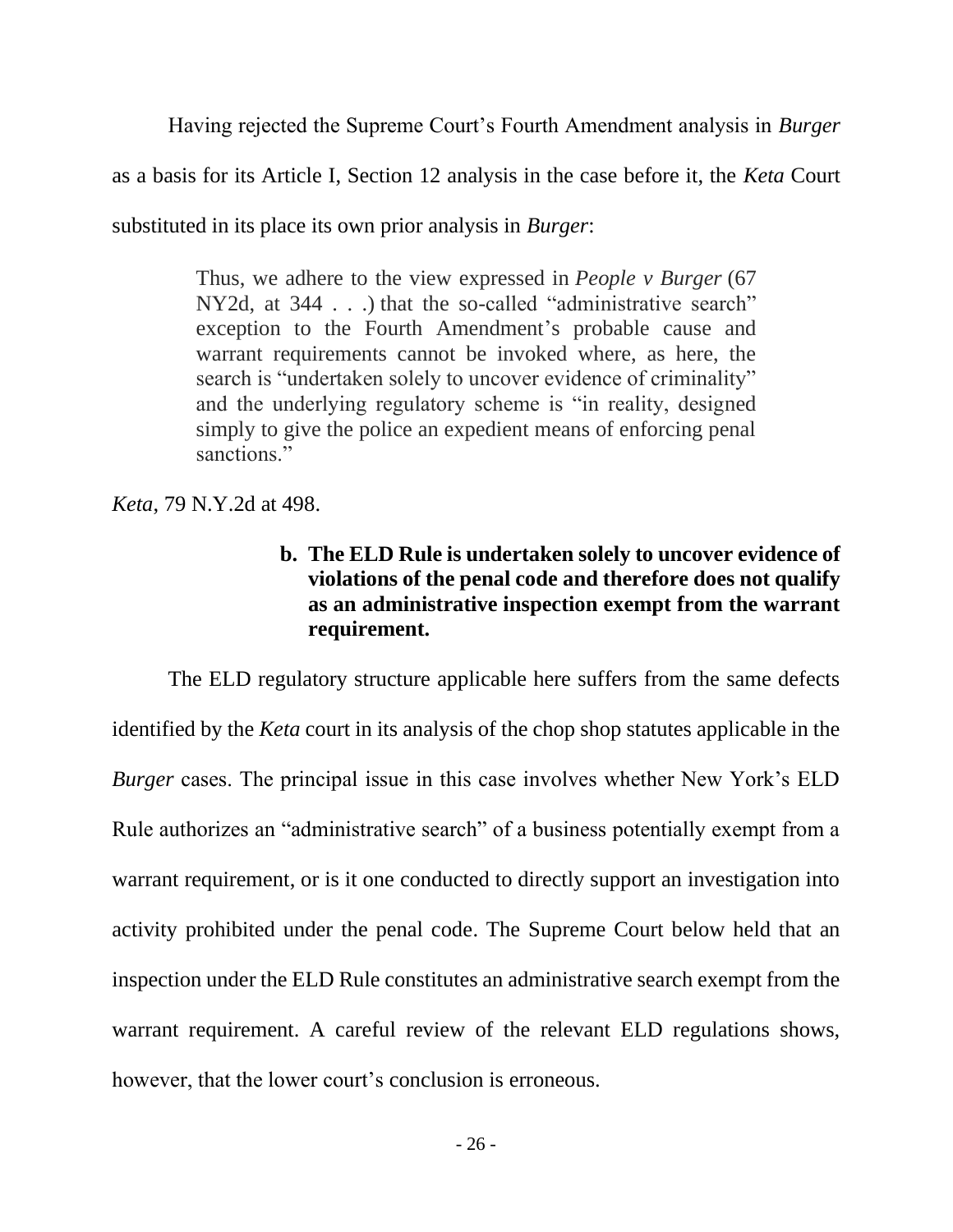Having rejected the Supreme Court's Fourth Amendment analysis in *Burger* as a basis for its Article I, Section 12 analysis in the case before it, the *Keta* Court substituted in its place its own prior analysis in *Burger*:

> Thus, we adhere to the view expressed in *People v Burger* (67 NY2d, at 344 . . .) that the so-called "administrative search" exception to the Fourth Amendment's probable cause and warrant requirements cannot be invoked where, as here, the search is "undertaken solely to uncover evidence of criminality" and the underlying regulatory scheme is "in reality, designed simply to give the police an expedient means of enforcing penal sanctions."

<span id="page-35-0"></span>*Keta*, 79 N.Y.2d at 498.

## **b. The ELD Rule is undertaken solely to uncover evidence of violations of the penal code and therefore does not qualify as an administrative inspection exempt from the warrant requirement.**

The ELD regulatory structure applicable here suffers from the same defects identified by the *Keta* court in its analysis of the chop shop statutes applicable in the *Burger* cases. The principal issue in this case involves whether New York's ELD Rule authorizes an "administrative search" of a business potentially exempt from a warrant requirement, or is it one conducted to directly support an investigation into activity prohibited under the penal code. The Supreme Court below held that an inspection under the ELD Rule constitutes an administrative search exempt from the warrant requirement. A careful review of the relevant ELD regulations shows, however, that the lower court's conclusion is erroneous.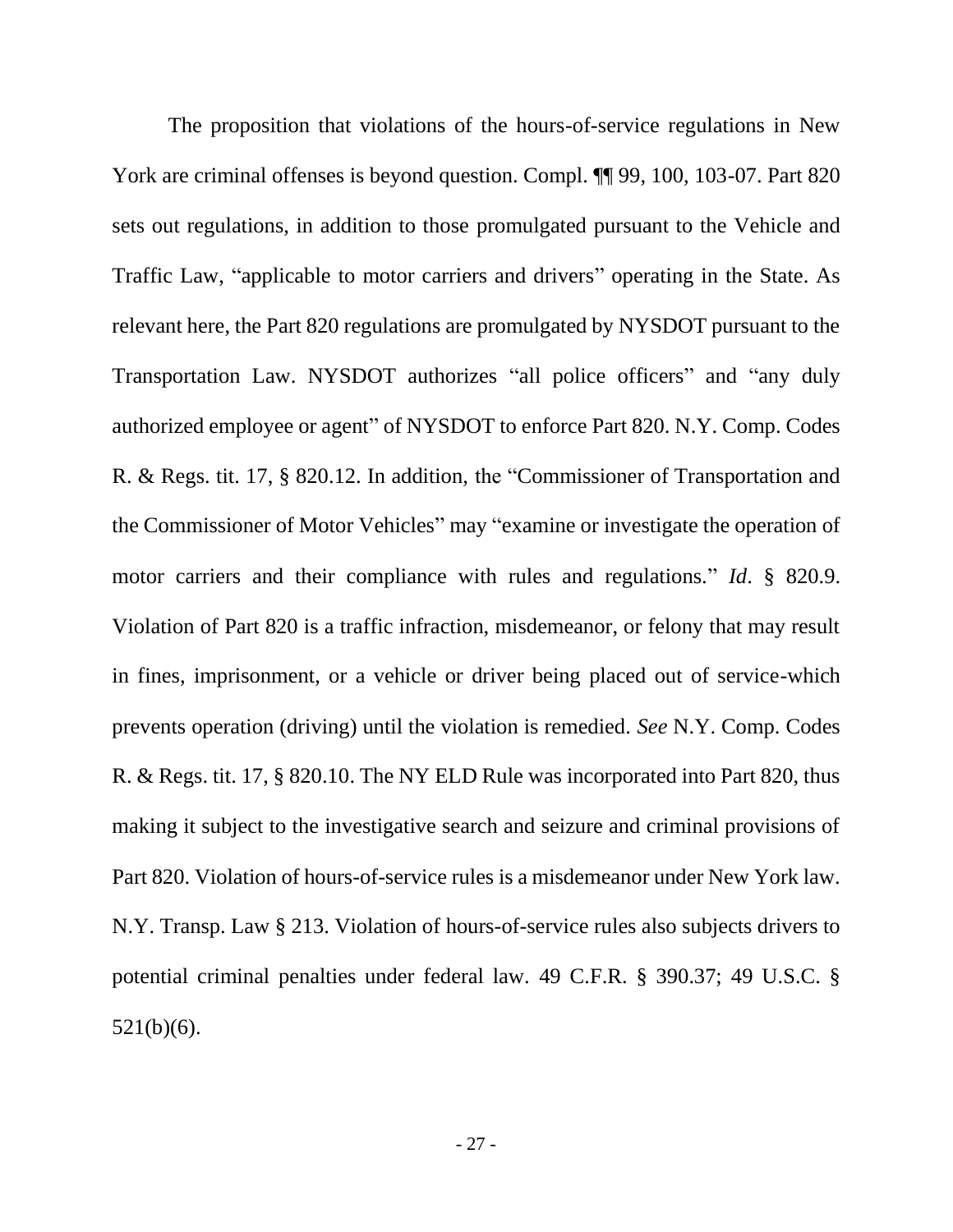The proposition that violations of the hours-of-service regulations in New York are criminal offenses is beyond question. Compl.  $\P\P$  99, 100, 103-07. Part 820 sets out regulations, in addition to those promulgated pursuant to the Vehicle and Traffic Law, "applicable to motor carriers and drivers" operating in the State. As relevant here, the Part 820 regulations are promulgated by NYSDOT pursuant to the Transportation Law. NYSDOT authorizes "all police officers" and "any duly authorized employee or agent" of NYSDOT to enforce Part 820. N.Y. Comp. Codes R. & Regs. tit. 17, § 820.12. In addition, the "Commissioner of Transportation and the Commissioner of Motor Vehicles" may "examine or investigate the operation of motor carriers and their compliance with rules and regulations." *Id*. § 820.9. Violation of Part 820 is a traffic infraction, misdemeanor, or felony that may result in fines, imprisonment, or a vehicle or driver being placed out of service-which prevents operation (driving) until the violation is remedied. *See* N.Y. Comp. Codes R. & Regs. tit. 17, § 820.10. The NY ELD Rule was incorporated into Part 820, thus making it subject to the investigative search and seizure and criminal provisions of Part 820. Violation of hours-of-service rules is a misdemeanor under New York law. N.Y. Transp. Law § 213. Violation of hours-of-service rules also subjects drivers to potential criminal penalties under federal law. 49 C.F.R. § 390.37; 49 U.S.C. § 521(b)(6).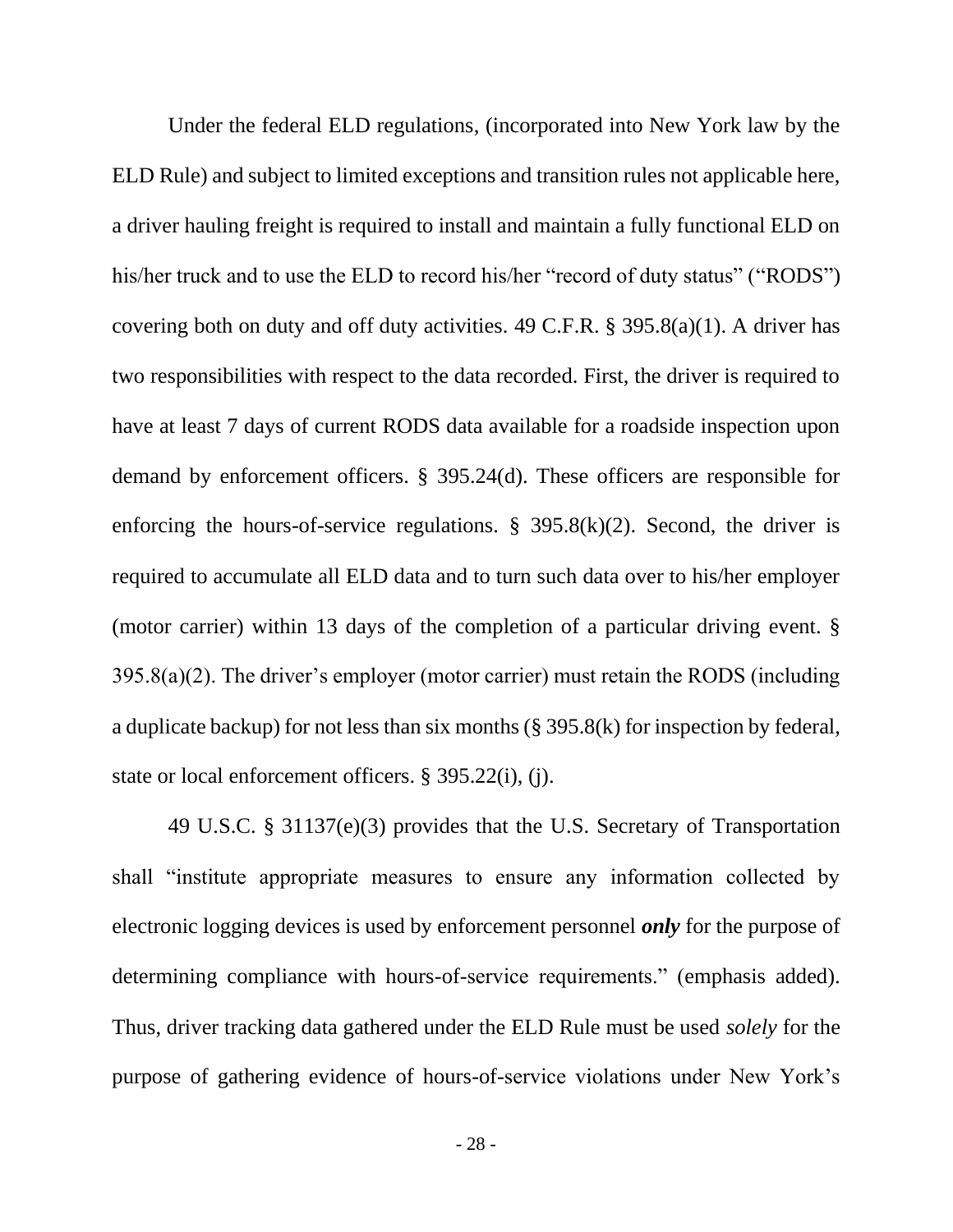Under the federal ELD regulations, (incorporated into New York law by the ELD Rule) and subject to limited exceptions and transition rules not applicable here, a driver hauling freight is required to install and maintain a fully functional ELD on his/her truck and to use the ELD to record his/her "record of duty status" ("RODS") covering both on duty and off duty activities. 49 C.F.R.  $\S$  395.8(a)(1). A driver has two responsibilities with respect to the data recorded. First, the driver is required to have at least 7 days of current RODS data available for a roadside inspection upon demand by enforcement officers. § 395.24(d). These officers are responsible for enforcing the hours-of-service regulations.  $\S$  395.8(k)(2). Second, the driver is required to accumulate all ELD data and to turn such data over to his/her employer (motor carrier) within 13 days of the completion of a particular driving event. § 395.8(a)(2). The driver's employer (motor carrier) must retain the RODS (including a duplicate backup) for not less than six months (§ 395.8(k) for inspection by federal, state or local enforcement officers. § 395.22(i), (j).

49 U.S.C. § 31137(e)(3) provides that the U.S. Secretary of Transportation shall "institute appropriate measures to ensure any information collected by electronic logging devices is used by enforcement personnel *only* for the purpose of determining compliance with hours-of-service requirements." (emphasis added). Thus, driver tracking data gathered under the ELD Rule must be used *solely* for the purpose of gathering evidence of hours-of-service violations under New York's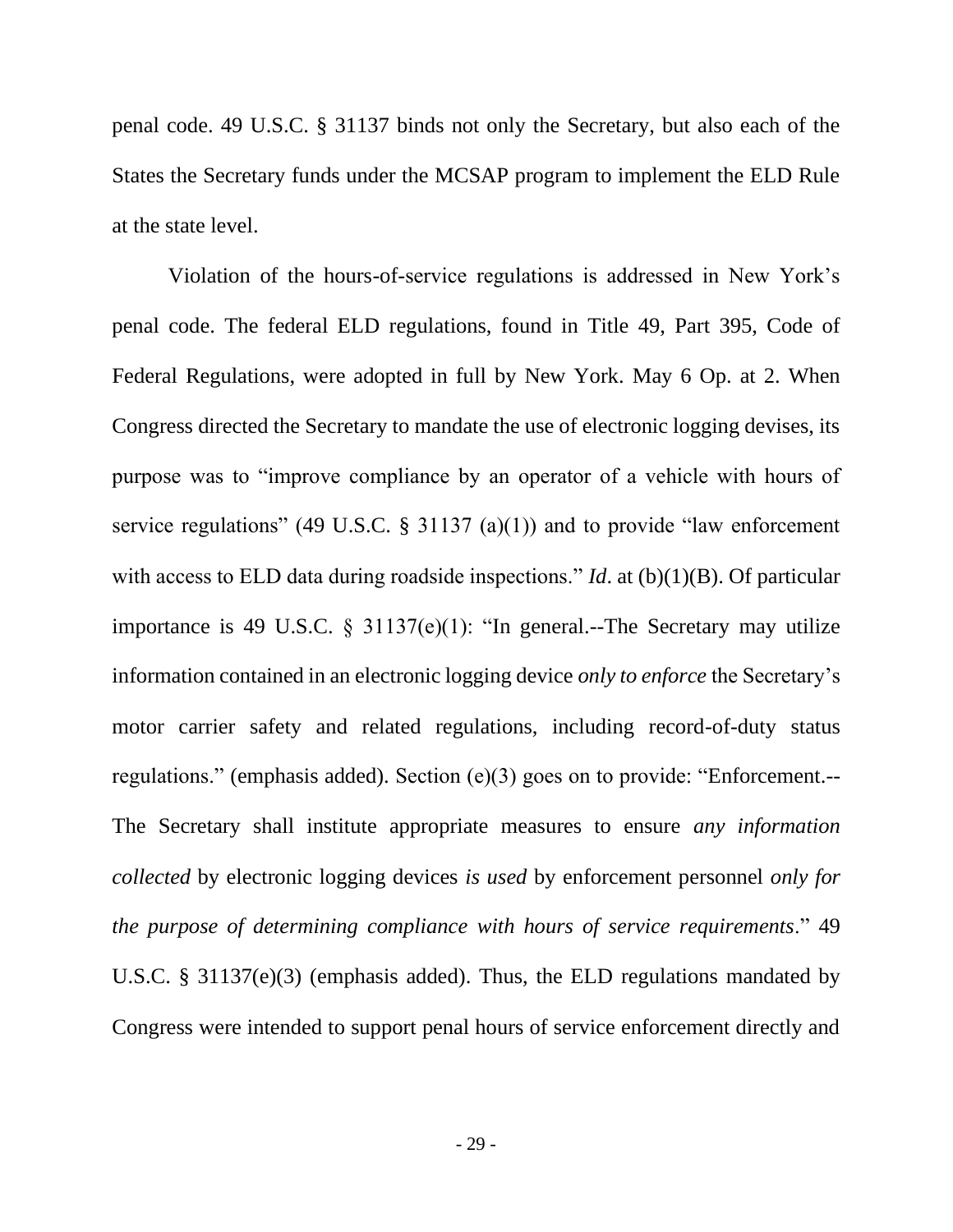penal code. 49 U.S.C. § 31137 binds not only the Secretary, but also each of the States the Secretary funds under the MCSAP program to implement the ELD Rule at the state level.

Violation of the hours-of-service regulations is addressed in New York's penal code. The federal ELD regulations, found in Title 49, Part 395, Code of Federal Regulations, were adopted in full by New York. May 6 Op. at 2. When Congress directed the Secretary to mandate the use of electronic logging devises, its purpose was to "improve compliance by an operator of a vehicle with hours of service regulations" (49 U.S.C. § 31137 (a)(1)) and to provide "law enforcement with access to ELD data during roadside inspections." *Id.* at (b)(1)(B). Of particular importance is 49 U.S.C. § 31137(e)(1): "In general.--The Secretary may utilize information contained in an electronic logging device *only to enforce* the Secretary's motor carrier safety and related regulations, including record-of-duty status regulations." (emphasis added). Section (e)(3) goes on to provide: "Enforcement.-- The Secretary shall institute appropriate measures to ensure *any information collected* by electronic logging devices *is used* by enforcement personnel *only for the purpose of determining compliance with hours of service requirements*." 49 U.S.C. § 31137(e)(3) (emphasis added). Thus, the ELD regulations mandated by Congress were intended to support penal hours of service enforcement directly and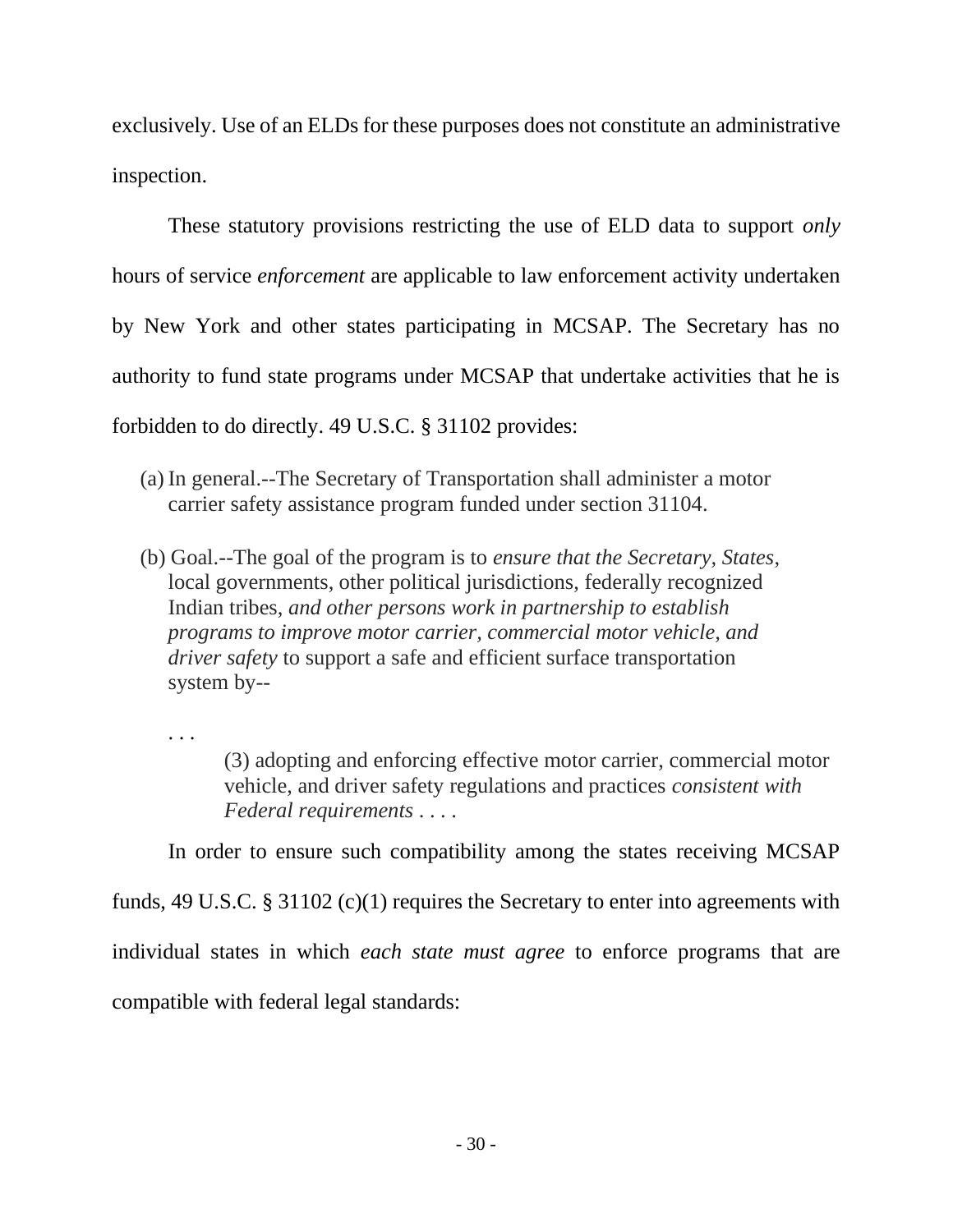exclusively. Use of an ELDs for these purposes does not constitute an administrative inspection.

These statutory provisions restricting the use of ELD data to support *only* hours of service *enforcement* are applicable to law enforcement activity undertaken by New York and other states participating in MCSAP. The Secretary has no authority to fund state programs under MCSAP that undertake activities that he is forbidden to do directly. 49 U.S.C. § 31102 provides:

- (a) In general.--The Secretary of Transportation shall administer a motor carrier safety assistance program funded under section 31104.
- (b) Goal.--The goal of the program is to *ensure that the Secretary, States*, local governments, other political jurisdictions, federally recognized Indian tribes, *and other persons work in partnership to establish programs to improve motor carrier, commercial motor vehicle, and driver safety* to support a safe and efficient surface transportation system by--

. . .

(3) adopting and enforcing effective motor carrier, commercial motor vehicle, and driver safety regulations and practices *consistent with Federal requirements* . . . .

In order to ensure such compatibility among the states receiving MCSAP

funds, 49 U.S.C. § 31102 (c)(1) requires the Secretary to enter into agreements with individual states in which *each state must agree* to enforce programs that are compatible with federal legal standards: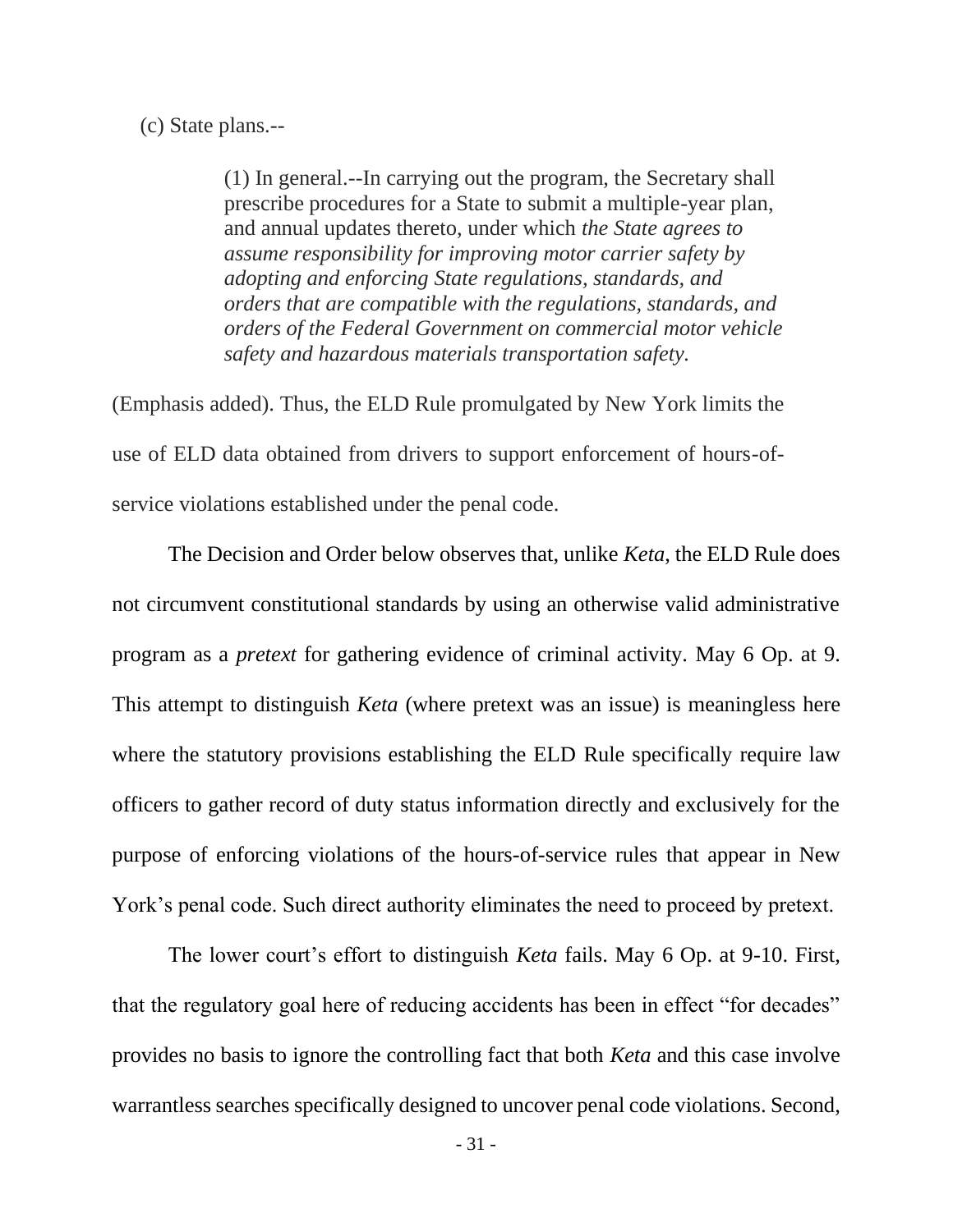(c) State plans.--

(1) In general.--In carrying out the program, the Secretary shall prescribe procedures for a State to submit a multiple-year plan, and annual updates thereto, under which *the State agrees to assume responsibility for improving motor carrier safety by adopting and enforcing State regulations, standards, and orders that are compatible with the regulations, standards, and orders of the Federal Government on commercial motor vehicle safety and hazardous materials transportation safety.* 

(Emphasis added). Thus, the ELD Rule promulgated by New York limits the use of ELD data obtained from drivers to support enforcement of hours-ofservice violations established under the penal code.

The Decision and Order below observes that, unlike *Keta*, the ELD Rule does not circumvent constitutional standards by using an otherwise valid administrative program as a *pretext* for gathering evidence of criminal activity. May 6 Op. at 9. This attempt to distinguish *Keta* (where pretext was an issue) is meaningless here where the statutory provisions establishing the ELD Rule specifically require law officers to gather record of duty status information directly and exclusively for the purpose of enforcing violations of the hours-of-service rules that appear in New York's penal code. Such direct authority eliminates the need to proceed by pretext.

The lower court's effort to distinguish *Keta* fails. May 6 Op. at 9-10. First, that the regulatory goal here of reducing accidents has been in effect "for decades" provides no basis to ignore the controlling fact that both *Keta* and this case involve warrantless searches specifically designed to uncover penal code violations. Second,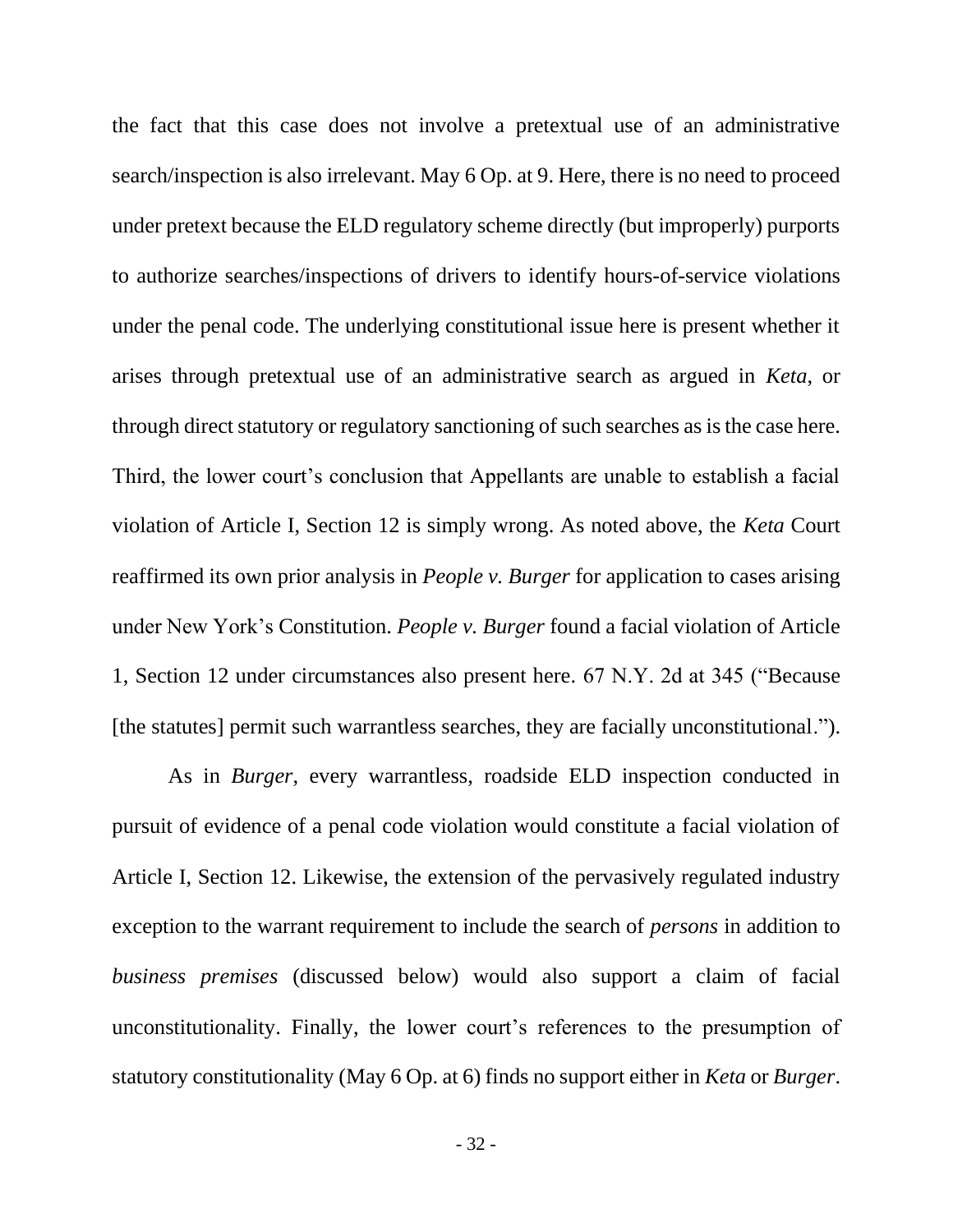the fact that this case does not involve a pretextual use of an administrative search/inspection is also irrelevant. May 6 Op. at 9. Here, there is no need to proceed under pretext because the ELD regulatory scheme directly (but improperly) purports to authorize searches/inspections of drivers to identify hours-of-service violations under the penal code. The underlying constitutional issue here is present whether it arises through pretextual use of an administrative search as argued in *Keta*, or through direct statutory or regulatory sanctioning of such searches as is the case here. Third, the lower court's conclusion that Appellants are unable to establish a facial violation of Article I, Section 12 is simply wrong. As noted above, the *Keta* Court reaffirmed its own prior analysis in *People v. Burger* for application to cases arising under New York's Constitution. *People v. Burger* found a facial violation of Article 1, Section 12 under circumstances also present here. 67 N.Y. 2d at 345 ("Because [the statutes] permit such warrantless searches, they are facially unconstitutional.").

As in *Burger*, every warrantless, roadside ELD inspection conducted in pursuit of evidence of a penal code violation would constitute a facial violation of Article I, Section 12. Likewise, the extension of the pervasively regulated industry exception to the warrant requirement to include the search of *persons* in addition to *business premises* (discussed below) would also support a claim of facial unconstitutionality. Finally, the lower court's references to the presumption of statutory constitutionality (May 6 Op. at 6) finds no support either in *Keta* or *Burger*.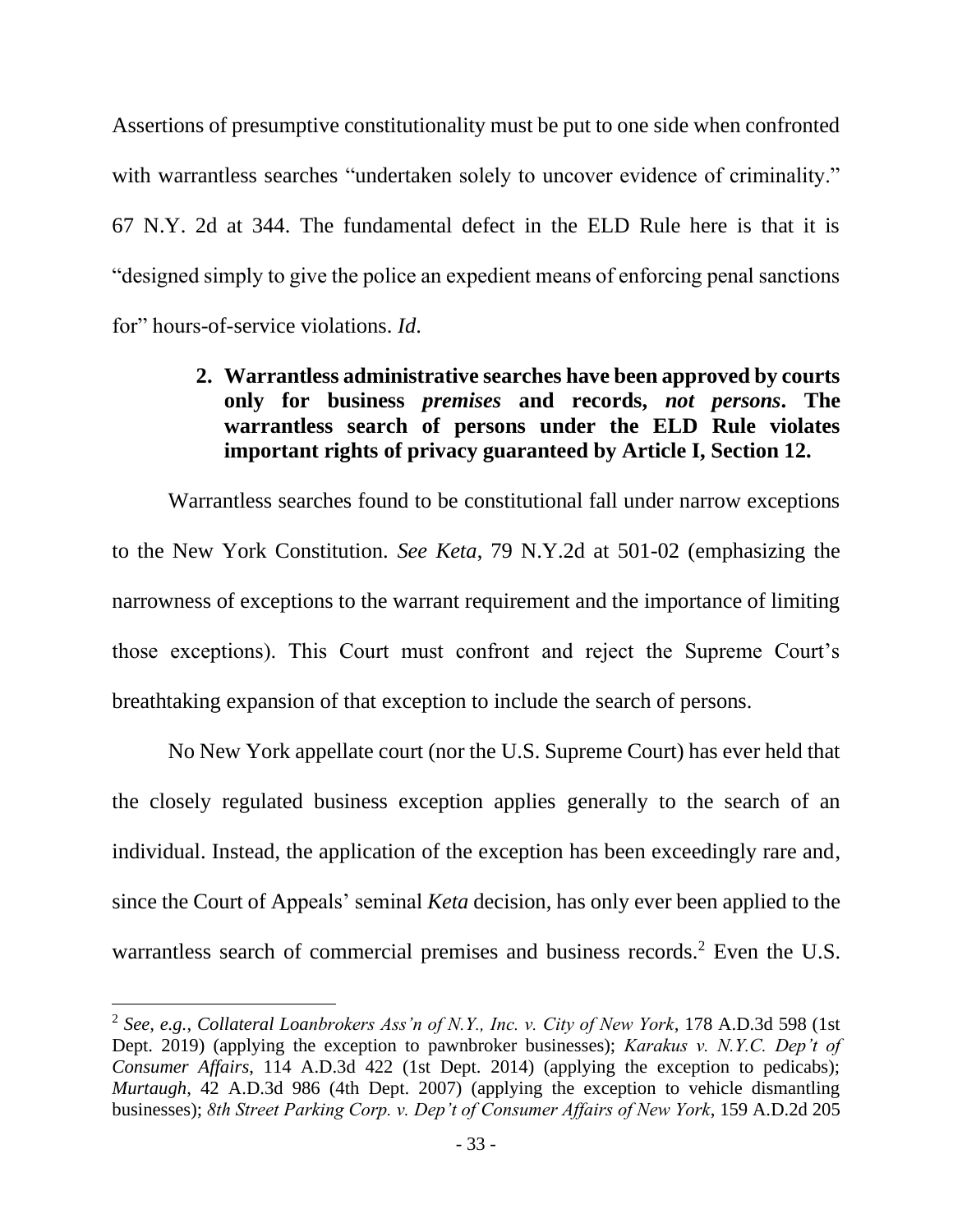Assertions of presumptive constitutionality must be put to one side when confronted with warrantless searches "undertaken solely to uncover evidence of criminality." 67 N.Y. 2d at 344. The fundamental defect in the ELD Rule here is that it is "designed simply to give the police an expedient means of enforcing penal sanctions for" hours-of-service violations. *Id*.

## <span id="page-42-0"></span>**2. Warrantless administrative searches have been approved by courts only for business** *premises* **and records,** *not persons***. The warrantless search of persons under the ELD Rule violates important rights of privacy guaranteed by Article I, Section 12.**

Warrantless searches found to be constitutional fall under narrow exceptions to the New York Constitution. *See Keta*, 79 N.Y.2d at 501-02 (emphasizing the narrowness of exceptions to the warrant requirement and the importance of limiting those exceptions). This Court must confront and reject the Supreme Court's breathtaking expansion of that exception to include the search of persons.

No New York appellate court (nor the U.S. Supreme Court) has ever held that the closely regulated business exception applies generally to the search of an individual. Instead, the application of the exception has been exceedingly rare and, since the Court of Appeals' seminal *Keta* decision, has only ever been applied to the warrantless search of commercial premises and business records.<sup>2</sup> Even the U.S.

<sup>2</sup> *See, e.g.*, *Collateral Loanbrokers Ass'n of N.Y., Inc. v. City of New York*, 178 A.D.3d 598 (1st Dept. 2019) (applying the exception to pawnbroker businesses); *Karakus v. N.Y.C. Dep't of Consumer Affairs*, 114 A.D.3d 422 (1st Dept. 2014) (applying the exception to pedicabs); *Murtaugh*, 42 A.D.3d 986 (4th Dept. 2007) (applying the exception to vehicle dismantling businesses); *8th Street Parking Corp. v. Dep't of Consumer Affairs of New York*, 159 A.D.2d 205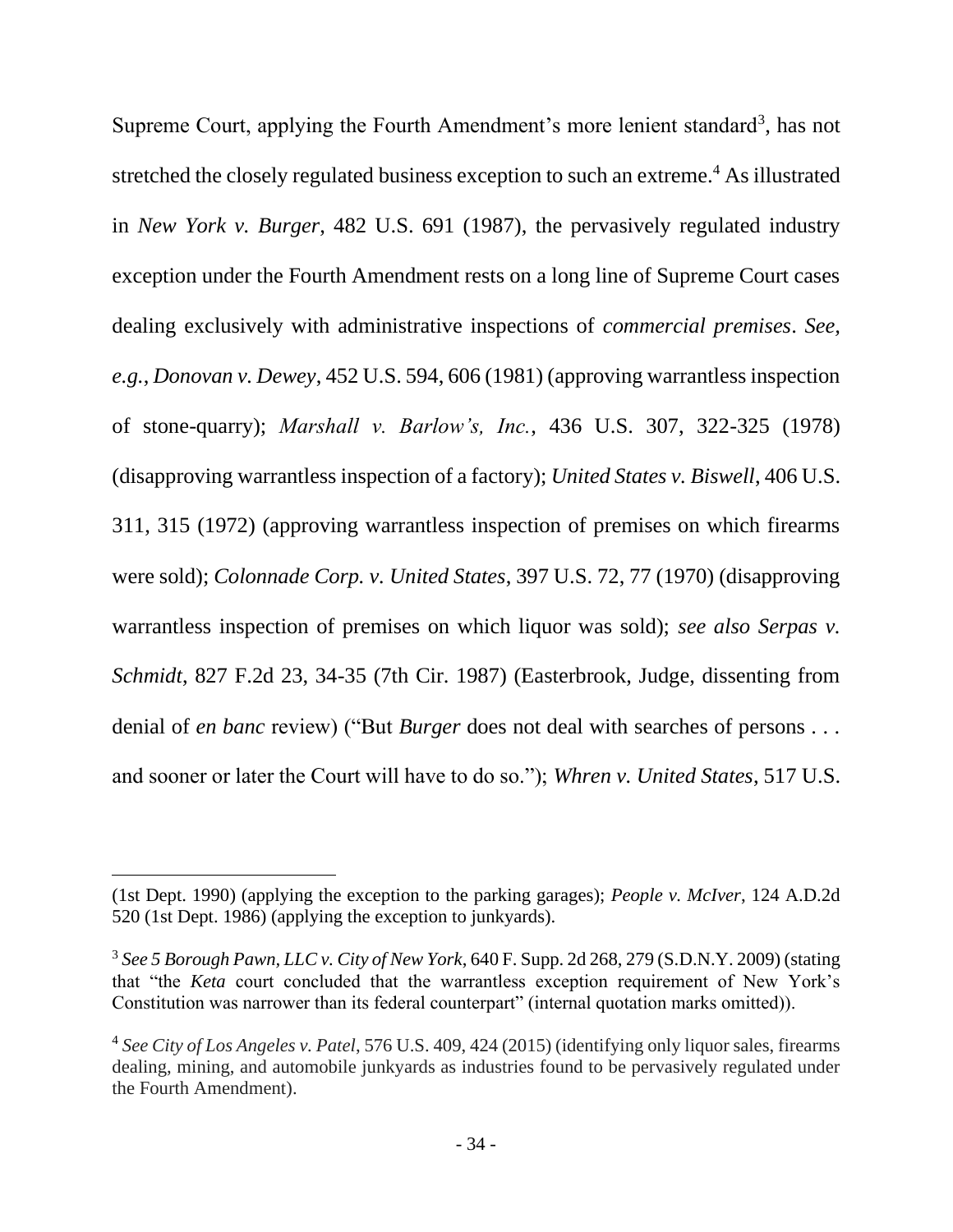Supreme Court, applying the Fourth Amendment's more lenient standard<sup>3</sup>, has not stretched the closely regulated business exception to such an extreme.<sup>4</sup> As illustrated in *New York v. Burger*, 482 U.S. 691 (1987), the pervasively regulated industry exception under the Fourth Amendment rests on a long line of Supreme Court cases dealing exclusively with administrative inspections of *commercial premises*. *See, e.g.*, *Donovan v. Dewey*, 452 U.S. 594, 606 (1981) (approving warrantless inspection of stone-quarry); *Marshall v. Barlow's, Inc.*, 436 U.S. 307, 322-325 (1978) (disapproving warrantless inspection of a factory); *United States v. Biswell*, 406 U.S. 311, 315 (1972) (approving warrantless inspection of premises on which firearms were sold); *Colonnade Corp. v. United States*, 397 U.S. 72, 77 (1970) (disapproving warrantless inspection of premises on which liquor was sold); *see also Serpas v. Schmidt*, 827 F.2d 23, 34-35 (7th Cir. 1987) (Easterbrook, Judge, dissenting from denial of *en banc* review) ("But *Burger* does not deal with searches of persons . . . and sooner or later the Court will have to do so."); *Whren v. United States*, 517 U.S.

<sup>(1</sup>st Dept. 1990) (applying the exception to the parking garages); *People v. McIver*, 124 A.D.2d 520 (1st Dept. 1986) (applying the exception to junkyards).

<sup>3</sup> *See 5 Borough Pawn, LLC v. City of New York*, 640 F. Supp. 2d 268, 279 (S.D.N.Y. 2009) (stating that "the *Keta* court concluded that the warrantless exception requirement of New York's Constitution was narrower than its federal counterpart" (internal quotation marks omitted)).

<sup>4</sup> *See City of Los Angeles v. Patel*, 576 U.S. 409, 424 (2015) (identifying only liquor sales, firearms dealing, mining, and automobile junkyards as industries found to be pervasively regulated under the Fourth Amendment).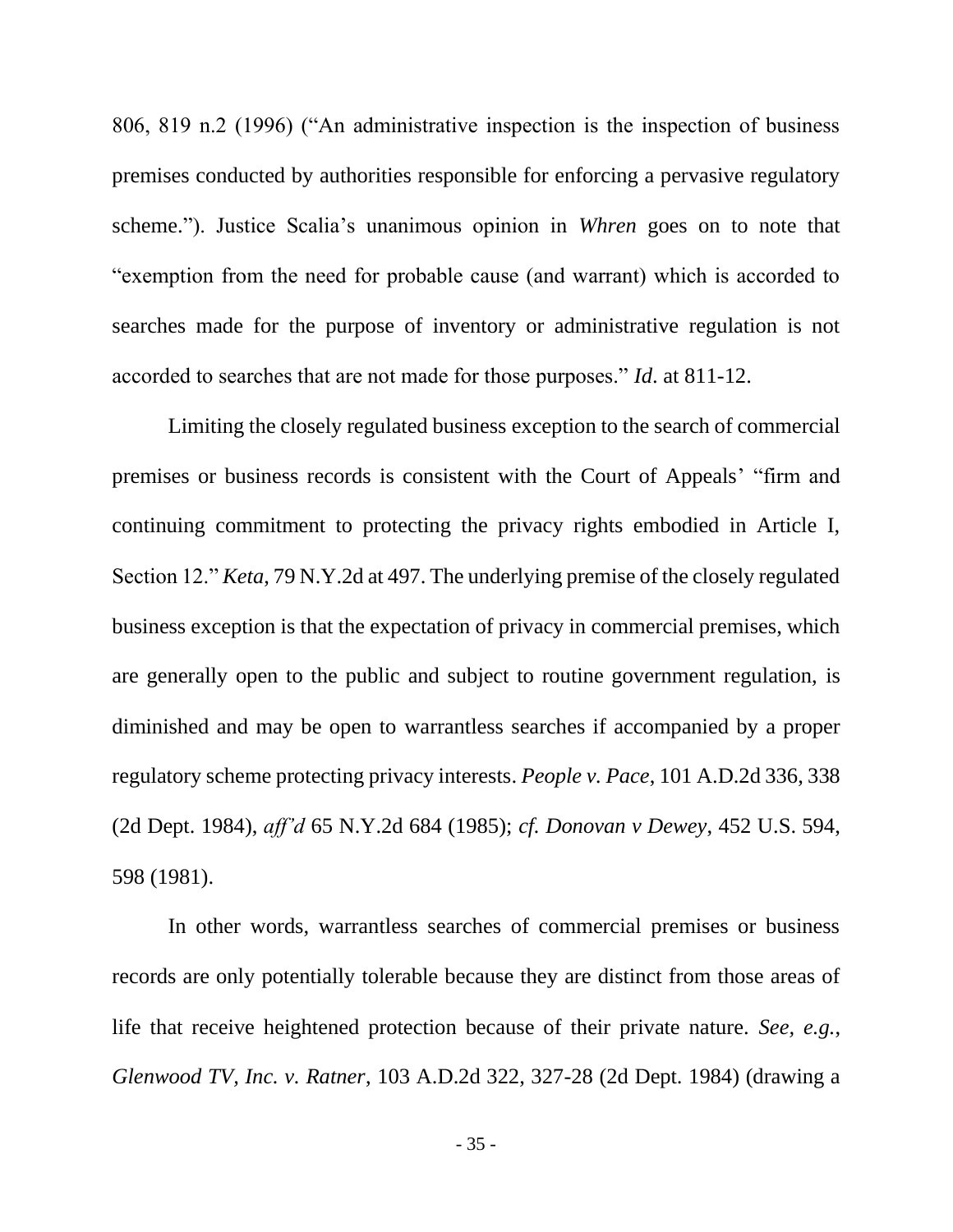806, 819 n.2 (1996) ("An administrative inspection is the inspection of business premises conducted by authorities responsible for enforcing a pervasive regulatory scheme."). Justice Scalia's unanimous opinion in *Whren* goes on to note that "exemption from the need for probable cause (and warrant) which is accorded to searches made for the purpose of inventory or administrative regulation is not accorded to searches that are not made for those purposes." *Id*. at 811-12.

Limiting the closely regulated business exception to the search of commercial premises or business records is consistent with the Court of Appeals' "firm and continuing commitment to protecting the privacy rights embodied in Article I, Section 12." *Keta*, 79 N.Y.2d at 497. The underlying premise of the closely regulated business exception is that the expectation of privacy in commercial premises, which are generally open to the public and subject to routine government regulation, is diminished and may be open to warrantless searches if accompanied by a proper regulatory scheme protecting privacy interests. *People v. Pace*, 101 A.D.2d 336, 338 (2d Dept. 1984), *aff'd* 65 N.Y.2d 684 (1985); *cf. Donovan v Dewey*, 452 U.S. 594, 598 (1981).

In other words, warrantless searches of commercial premises or business records are only potentially tolerable because they are distinct from those areas of life that receive heightened protection because of their private nature. *See, e.g.*, *Glenwood TV, Inc. v. Ratner*, 103 A.D.2d 322, 327-28 (2d Dept. 1984) (drawing a

- 35 -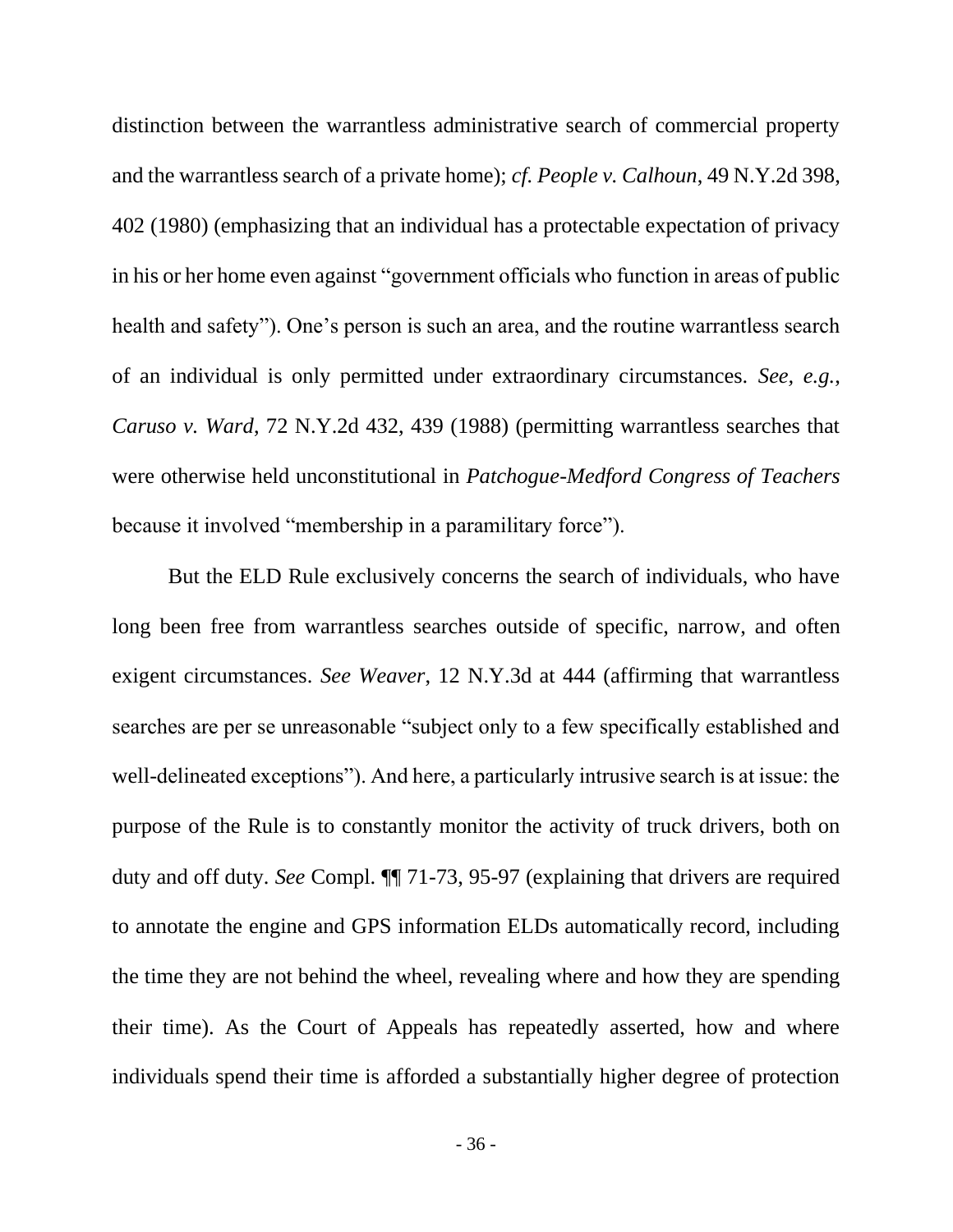distinction between the warrantless administrative search of commercial property and the warrantless search of a private home); *cf. People v. Calhoun*, 49 N.Y.2d 398, 402 (1980) (emphasizing that an individual has a protectable expectation of privacy in his or her home even against "government officials who function in areas of public health and safety"). One's person is such an area, and the routine warrantless search of an individual is only permitted under extraordinary circumstances. *See, e.g.*, *Caruso v. Ward*, 72 N.Y.2d 432, 439 (1988) (permitting warrantless searches that were otherwise held unconstitutional in *Patchogue-Medford Congress of Teachers* because it involved "membership in a paramilitary force").

But the ELD Rule exclusively concerns the search of individuals, who have long been free from warrantless searches outside of specific, narrow, and often exigent circumstances. *See Weaver*, 12 N.Y.3d at 444 (affirming that warrantless searches are per se unreasonable "subject only to a few specifically established and well-delineated exceptions"). And here, a particularly intrusive search is at issue: the purpose of the Rule is to constantly monitor the activity of truck drivers, both on duty and off duty. *See* Compl. ¶¶ 71-73, 95-97 (explaining that drivers are required to annotate the engine and GPS information ELDs automatically record, including the time they are not behind the wheel, revealing where and how they are spending their time). As the Court of Appeals has repeatedly asserted, how and where individuals spend their time is afforded a substantially higher degree of protection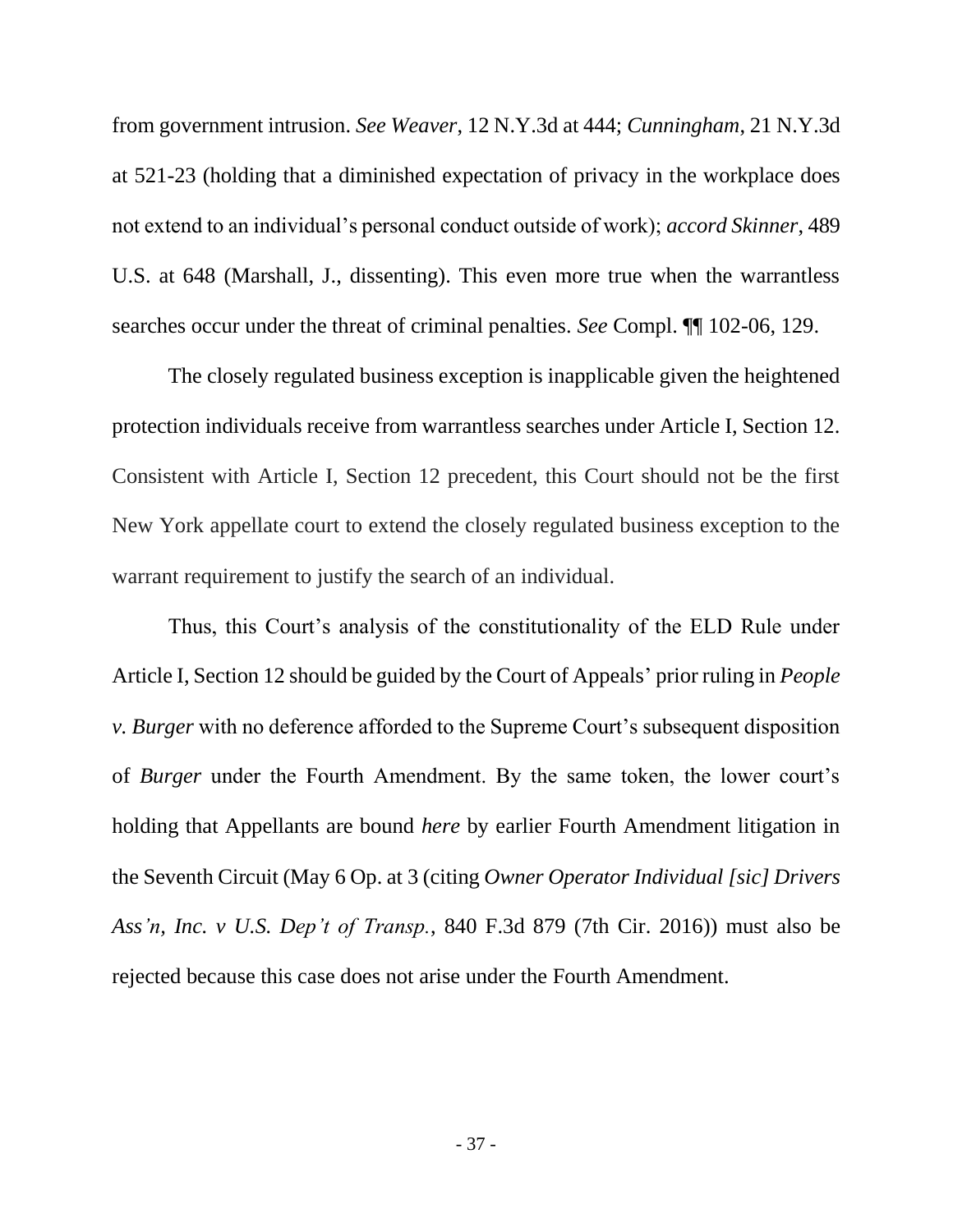from government intrusion. *See Weaver*, 12 N.Y.3d at 444; *Cunningham*, 21 N.Y.3d at 521-23 (holding that a diminished expectation of privacy in the workplace does not extend to an individual's personal conduct outside of work); *accord Skinner*, 489 U.S. at 648 (Marshall, J., dissenting). This even more true when the warrantless searches occur under the threat of criminal penalties. *See* Compl. ¶¶ 102-06, 129.

The closely regulated business exception is inapplicable given the heightened protection individuals receive from warrantless searches under Article I, Section 12. Consistent with Article I, Section 12 precedent, this Court should not be the first New York appellate court to extend the closely regulated business exception to the warrant requirement to justify the search of an individual.

Thus, this Court's analysis of the constitutionality of the ELD Rule under Article I, Section 12 should be guided by the Court of Appeals' prior ruling in *People v. Burger* with no deference afforded to the Supreme Court's subsequent disposition of *Burger* under the Fourth Amendment. By the same token, the lower court's holding that Appellants are bound *here* by earlier Fourth Amendment litigation in the Seventh Circuit (May 6 Op. at 3 (citing *Owner Operator Individual [sic] Drivers Ass'n, Inc. v U.S. Dep't of Transp.*, 840 F.3d 879 (7th Cir. 2016)) must also be rejected because this case does not arise under the Fourth Amendment.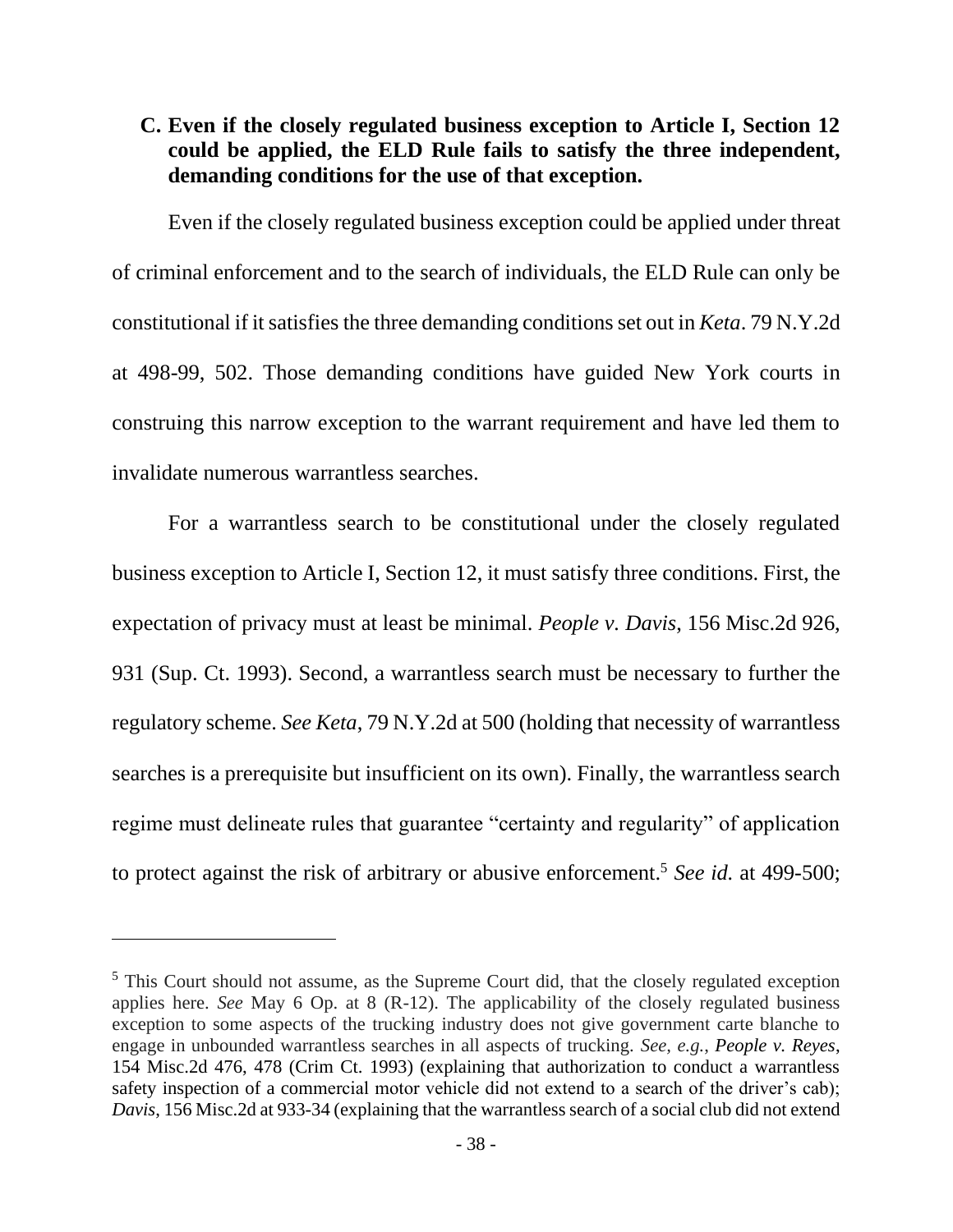## <span id="page-47-0"></span>**C. Even if the closely regulated business exception to Article I, Section 12 could be applied, the ELD Rule fails to satisfy the three independent, demanding conditions for the use of that exception.**

Even if the closely regulated business exception could be applied under threat of criminal enforcement and to the search of individuals, the ELD Rule can only be constitutional if it satisfies the three demanding conditions set out in *Keta*. 79 N.Y.2d at 498-99, 502. Those demanding conditions have guided New York courts in construing this narrow exception to the warrant requirement and have led them to invalidate numerous warrantless searches.

For a warrantless search to be constitutional under the closely regulated business exception to Article I, Section 12, it must satisfy three conditions. First, the expectation of privacy must at least be minimal. *People v. Davis*, 156 Misc.2d 926, 931 (Sup. Ct. 1993). Second, a warrantless search must be necessary to further the regulatory scheme. *See Keta*, 79 N.Y.2d at 500 (holding that necessity of warrantless searches is a prerequisite but insufficient on its own). Finally, the warrantless search regime must delineate rules that guarantee "certainty and regularity" of application to protect against the risk of arbitrary or abusive enforcement.<sup>5</sup> *See id.* at 499-500;

<sup>&</sup>lt;sup>5</sup> This Court should not assume, as the Supreme Court did, that the closely regulated exception applies here. *See* May 6 Op. at 8 (R-12). The applicability of the closely regulated business exception to some aspects of the trucking industry does not give government carte blanche to engage in unbounded warrantless searches in all aspects of trucking. *See, e.g.*, *People v. Reyes*, 154 Misc.2d 476, 478 (Crim Ct. 1993) (explaining that authorization to conduct a warrantless safety inspection of a commercial motor vehicle did not extend to a search of the driver's cab); *Davis*, 156 Misc.2d at 933-34 (explaining that the warrantless search of a social club did not extend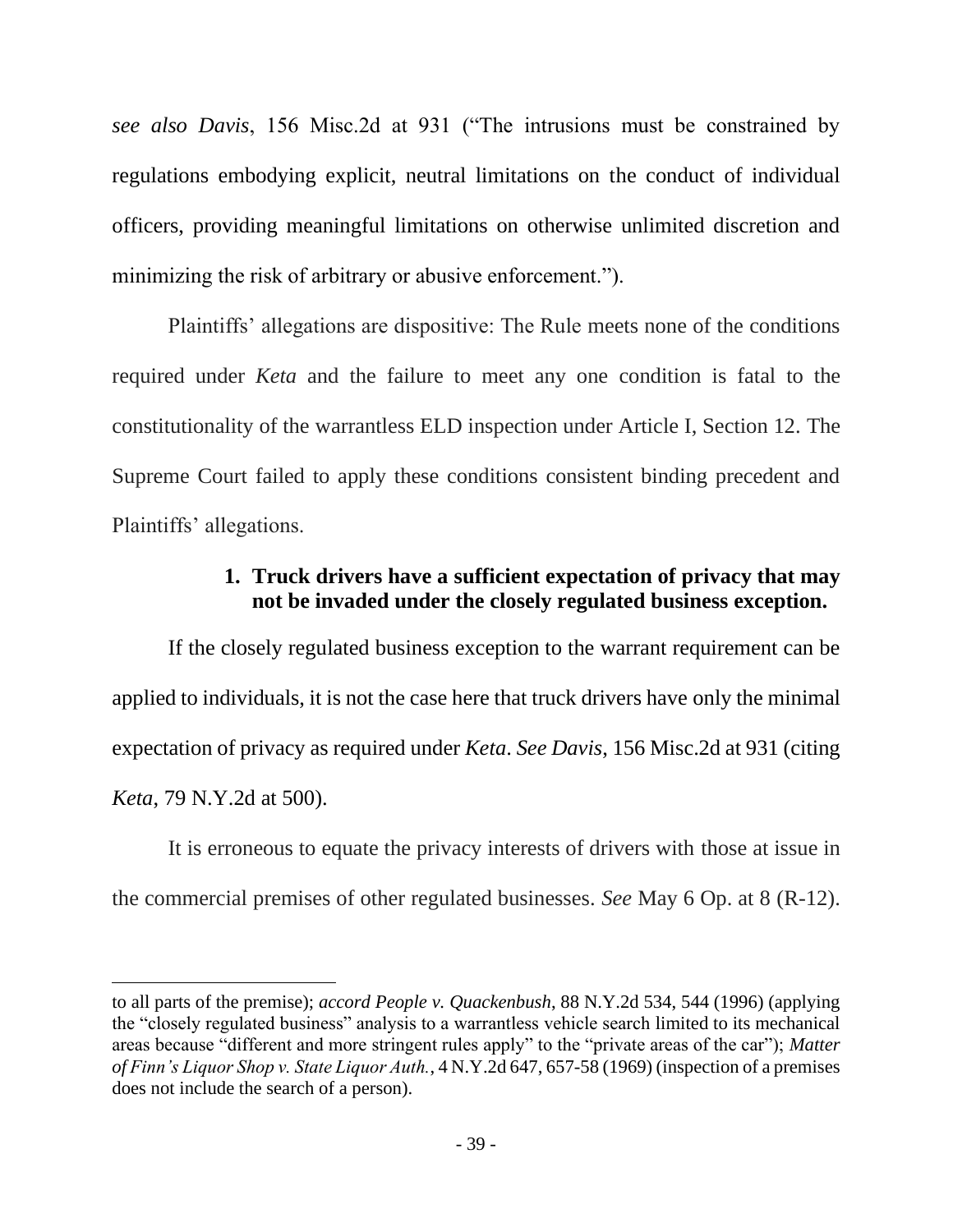*see also Davis*, 156 Misc.2d at 931 ("The intrusions must be constrained by regulations embodying explicit, neutral limitations on the conduct of individual officers, providing meaningful limitations on otherwise unlimited discretion and minimizing the risk of arbitrary or abusive enforcement.").

Plaintiffs' allegations are dispositive: The Rule meets none of the conditions required under *Keta* and the failure to meet any one condition is fatal to the constitutionality of the warrantless ELD inspection under Article I, Section 12. The Supreme Court failed to apply these conditions consistent binding precedent and Plaintiffs' allegations.

## **1. Truck drivers have a sufficient expectation of privacy that may not be invaded under the closely regulated business exception.**

<span id="page-48-0"></span>If the closely regulated business exception to the warrant requirement can be applied to individuals, it is not the case here that truck drivers have only the minimal expectation of privacy as required under *Keta*. *See Davis*, 156 Misc.2d at 931 (citing *Keta*, 79 N.Y.2d at 500).

It is erroneous to equate the privacy interests of drivers with those at issue in the commercial premises of other regulated businesses. *See* May 6 Op. at 8 (R-12).

to all parts of the premise); *accord People v. Quackenbush*, 88 N.Y.2d 534, 544 (1996) (applying the "closely regulated business" analysis to a warrantless vehicle search limited to its mechanical areas because "different and more stringent rules apply" to the "private areas of the car"); *Matter of Finn's Liquor Shop v. State Liquor Auth.*, 4 N.Y.2d 647, 657-58 (1969) (inspection of a premises does not include the search of a person).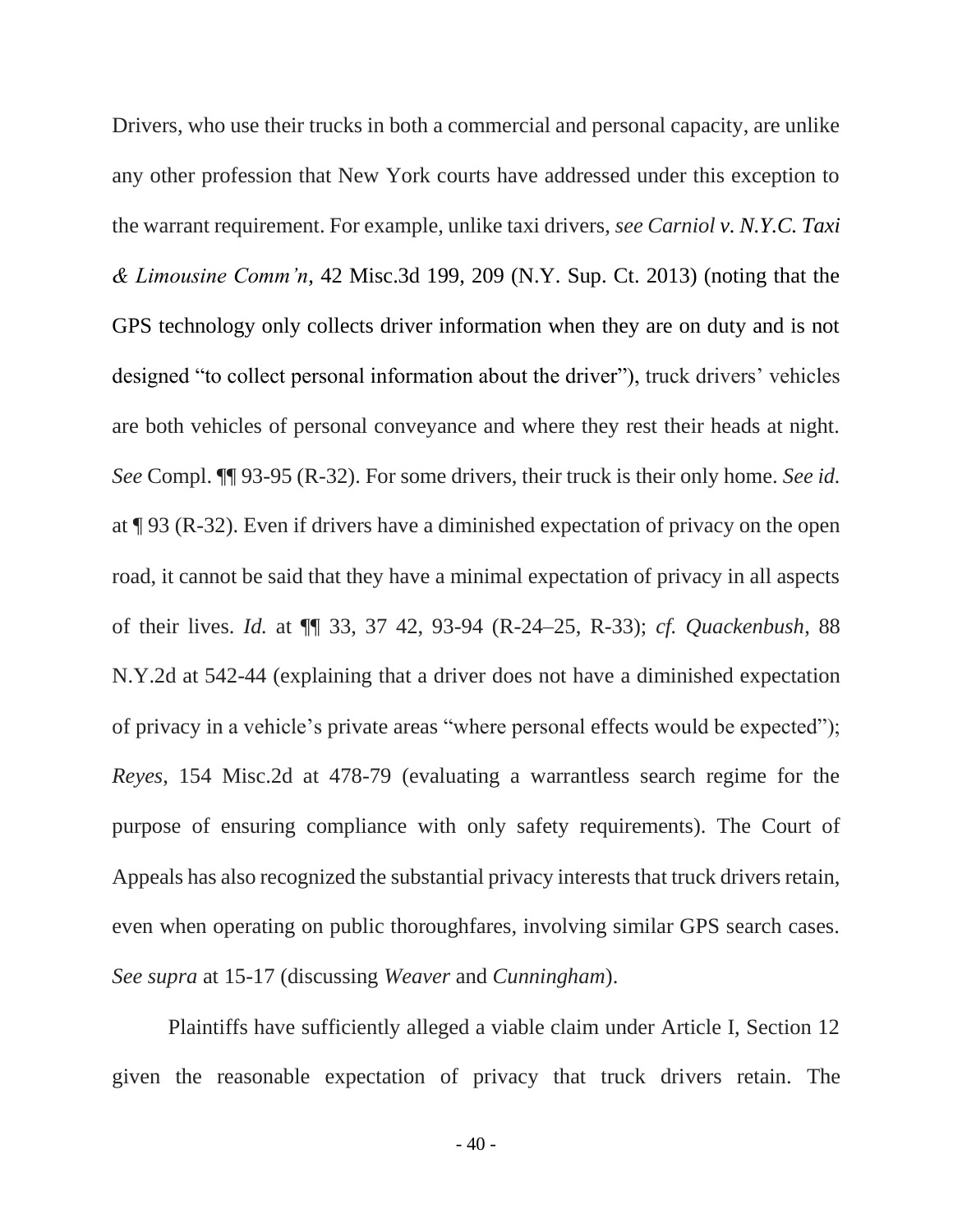Drivers, who use their trucks in both a commercial and personal capacity, are unlike any other profession that New York courts have addressed under this exception to the warrant requirement. For example, unlike taxi drivers, *see Carniol v. N.Y.C. Taxi & Limousine Comm'n*, 42 Misc.3d 199, 209 (N.Y. Sup. Ct. 2013) (noting that the GPS technology only collects driver information when they are on duty and is not designed "to collect personal information about the driver"), truck drivers' vehicles are both vehicles of personal conveyance and where they rest their heads at night. *See* Compl. ¶¶ 93-95 (R-32). For some drivers, their truck is their only home. *See id.* at ¶ 93 (R-32). Even if drivers have a diminished expectation of privacy on the open road, it cannot be said that they have a minimal expectation of privacy in all aspects of their lives. *Id.* at ¶¶ 33, 37 42, 93-94 (R-24–25, R-33); *cf. Quackenbush*, 88 N.Y.2d at 542-44 (explaining that a driver does not have a diminished expectation of privacy in a vehicle's private areas "where personal effects would be expected"); *Reyes*, 154 Misc.2d at 478-79 (evaluating a warrantless search regime for the purpose of ensuring compliance with only safety requirements). The Court of Appeals has also recognized the substantial privacy interests that truck drivers retain, even when operating on public thoroughfares, involving similar GPS search cases. *See supra* at 15-17 (discussing *Weaver* and *Cunningham*).

Plaintiffs have sufficiently alleged a viable claim under Article I, Section 12 given the reasonable expectation of privacy that truck drivers retain. The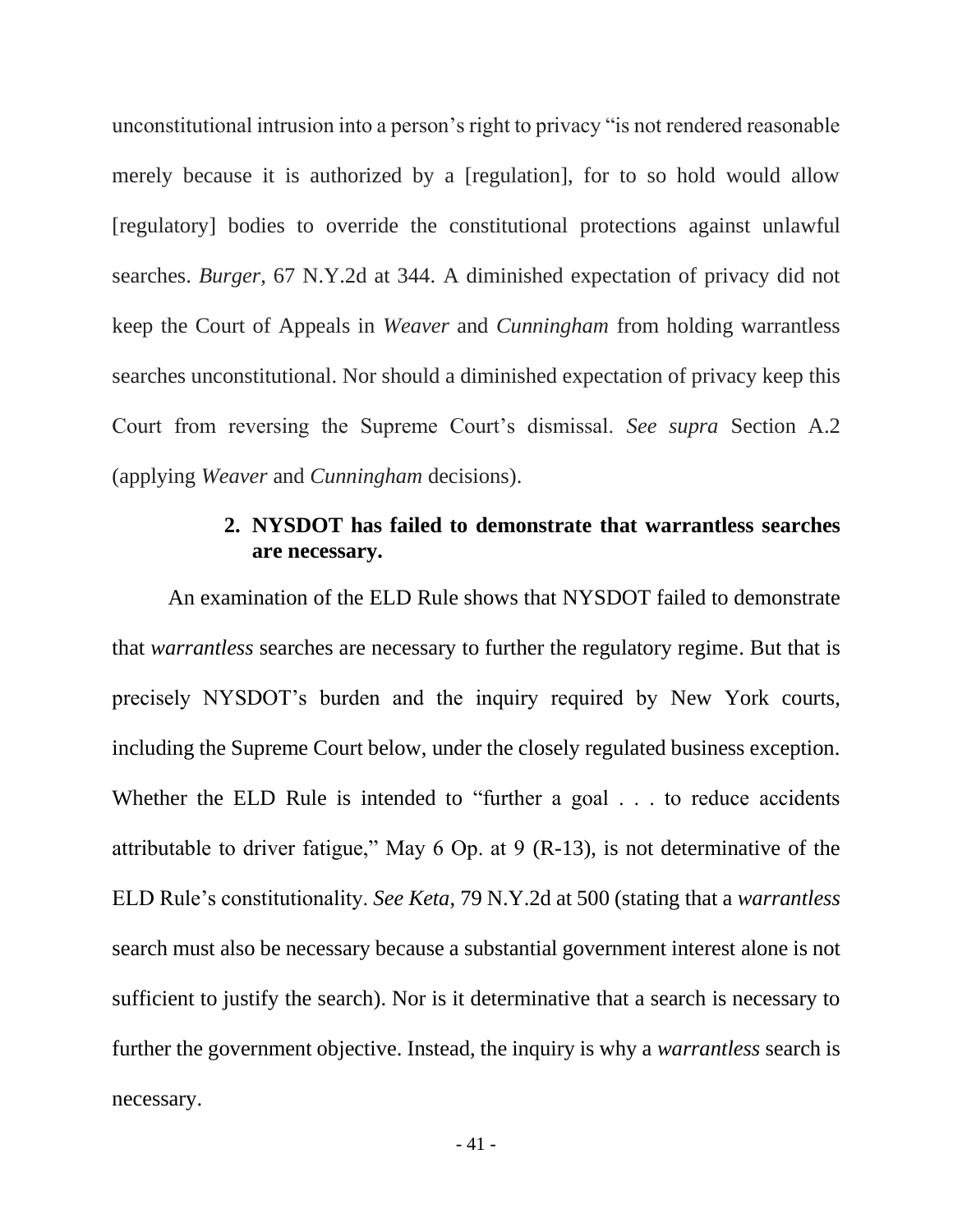unconstitutional intrusion into a person's right to privacy "is not rendered reasonable merely because it is authorized by a [regulation], for to so hold would allow [regulatory] bodies to override the constitutional protections against unlawful searches. *Burger*, 67 N.Y.2d at 344. A diminished expectation of privacy did not keep the Court of Appeals in *Weaver* and *Cunningham* from holding warrantless searches unconstitutional. Nor should a diminished expectation of privacy keep this Court from reversing the Supreme Court's dismissal. *See supra* Section A.2 (applying *Weaver* and *Cunningham* decisions).

## **2. NYSDOT has failed to demonstrate that warrantless searches are necessary.**

<span id="page-50-0"></span>An examination of the ELD Rule shows that NYSDOT failed to demonstrate that *warrantless* searches are necessary to further the regulatory regime. But that is precisely NYSDOT's burden and the inquiry required by New York courts, including the Supreme Court below, under the closely regulated business exception. Whether the ELD Rule is intended to "further a goal . . . to reduce accidents" attributable to driver fatigue," May 6 Op. at 9 (R-13), is not determinative of the ELD Rule's constitutionality. *See Keta*, 79 N.Y.2d at 500 (stating that a *warrantless* search must also be necessary because a substantial government interest alone is not sufficient to justify the search). Nor is it determinative that a search is necessary to further the government objective. Instead, the inquiry is why a *warrantless* search is necessary.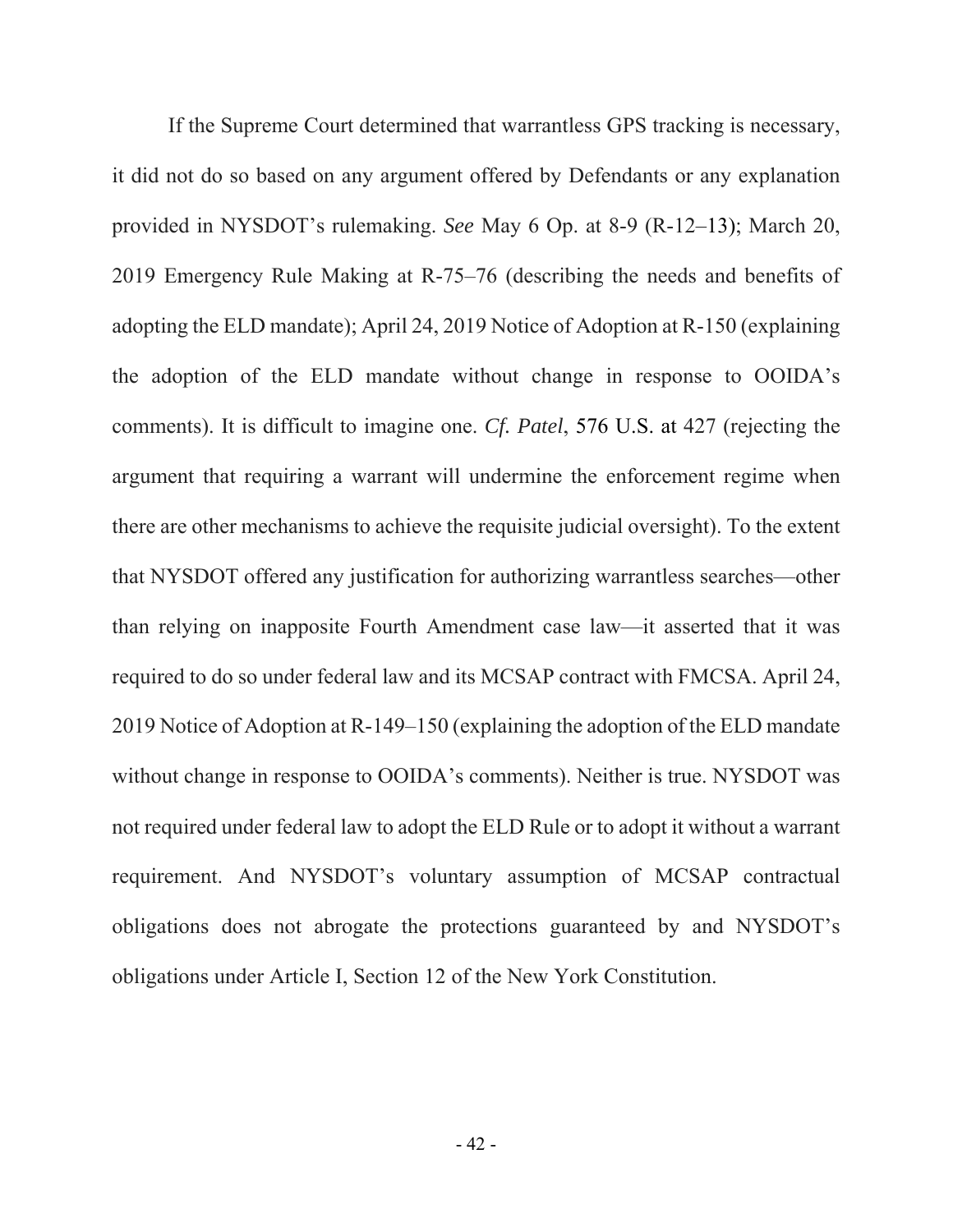If the Supreme Court determined that warrantless GPS tracking is necessary, it did not do so based on any argument offered by Defendants or any explanation provided in NYSDOT's rulemaking. *See* May 6 Op. at 8-9 (R-12–13); March 20, 2019 Emergency Rule Making at R-75–76 (describing the needs and benefits of adopting the ELD mandate); April 24, 2019 Notice of Adoption at R-150 (explaining the adoption of the ELD mandate without change in response to OOIDA's comments). It is difficult to imagine one. *Cf. Patel*, 576 U.S. at 427 (rejecting the argument that requiring a warrant will undermine the enforcement regime when there are other mechanisms to achieve the requisite judicial oversight). To the extent that NYSDOT offered any justification for authorizing warrantless searches—other than relying on inapposite Fourth Amendment case law—it asserted that it was required to do so under federal law and its MCSAP contract with FMCSA. April 24, 2019 Notice of Adoption at R-149–150 (explaining the adoption of the ELD mandate without change in response to OOIDA's comments). Neither is true. NYSDOT was not required under federal law to adopt the ELD Rule or to adopt it without a warrant requirement. And NYSDOT's voluntary assumption of MCSAP contractual obligations does not abrogate the protections guaranteed by and NYSDOT's obligations under Article I, Section 12 of the New York Constitution.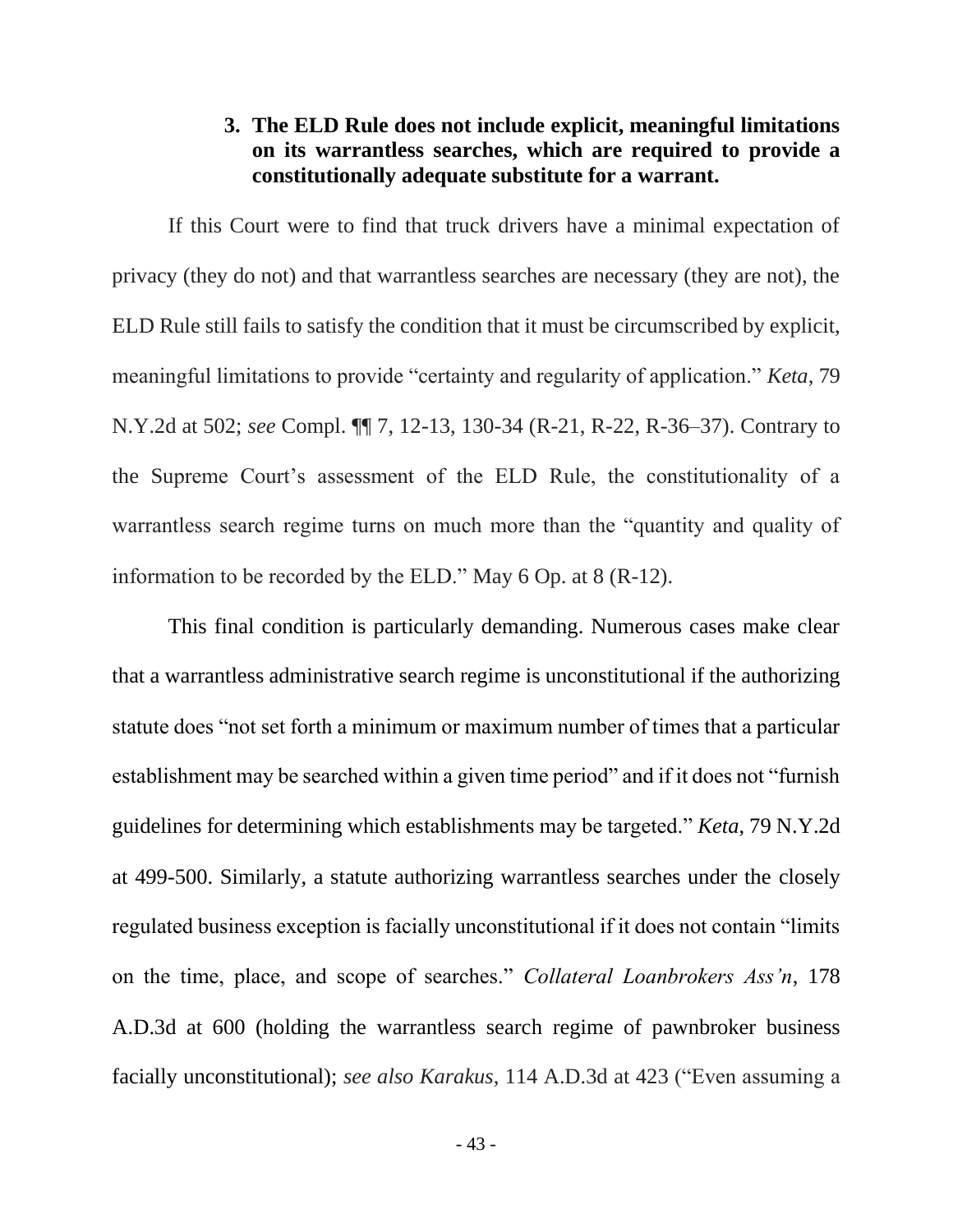## **3. The ELD Rule does not include explicit, meaningful limitations on its warrantless searches, which are required to provide a constitutionally adequate substitute for a warrant.**

<span id="page-52-0"></span>If this Court were to find that truck drivers have a minimal expectation of privacy (they do not) and that warrantless searches are necessary (they are not), the ELD Rule still fails to satisfy the condition that it must be circumscribed by explicit, meaningful limitations to provide "certainty and regularity of application." *Keta*, 79 N.Y.2d at 502; *see* Compl. ¶¶ 7, 12-13, 130-34 (R-21, R-22, R-36–37). Contrary to the Supreme Court's assessment of the ELD Rule, the constitutionality of a warrantless search regime turns on much more than the "quantity and quality of information to be recorded by the ELD." May 6 Op. at 8 (R-12).

This final condition is particularly demanding. Numerous cases make clear that a warrantless administrative search regime is unconstitutional if the authorizing statute does "not set forth a minimum or maximum number of times that a particular establishment may be searched within a given time period" and if it does not "furnish guidelines for determining which establishments may be targeted." *Keta*, 79 N.Y.2d at 499-500. Similarly, a statute authorizing warrantless searches under the closely regulated business exception is facially unconstitutional if it does not contain "limits on the time, place, and scope of searches." *Collateral Loanbrokers Ass'n*, 178 A.D.3d at 600 (holding the warrantless search regime of pawnbroker business facially unconstitutional); *see also Karakus*, 114 A.D.3d at 423 ("Even assuming a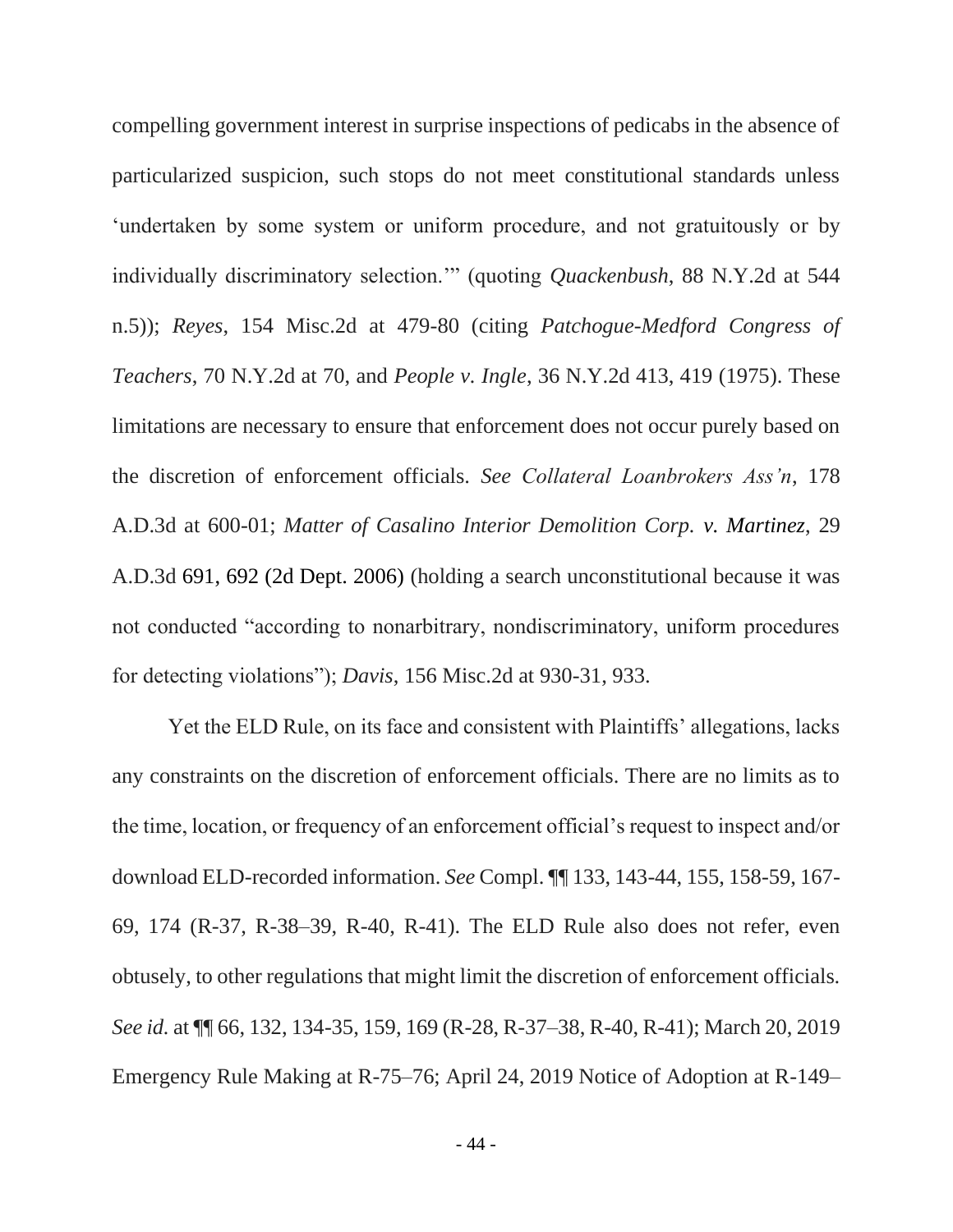compelling government interest in surprise inspections of pedicabs in the absence of particularized suspicion, such stops do not meet constitutional standards unless 'undertaken by some system or uniform procedure, and not gratuitously or by individually discriminatory selection.'" (quoting *Quackenbush*, 88 N.Y.2d at 544 n.5)); *Reyes*, 154 Misc.2d at 479-80 (citing *Patchogue-Medford Congress of Teachers*, 70 N.Y.2d at 70, and *People v. Ingle*, 36 N.Y.2d 413, 419 (1975). These limitations are necessary to ensure that enforcement does not occur purely based on the discretion of enforcement officials. *See Collateral Loanbrokers Ass'n*, 178 A.D.3d at 600-01; *Matter of Casalino Interior Demolition Corp. v. Martinez*, 29 A.D.3d 691, 692 (2d Dept. 2006) (holding a search unconstitutional because it was not conducted "according to nonarbitrary, nondiscriminatory, uniform procedures for detecting violations"); *Davis*, 156 Misc.2d at 930-31, 933.

Yet the ELD Rule, on its face and consistent with Plaintiffs' allegations, lacks any constraints on the discretion of enforcement officials. There are no limits as to the time, location, or frequency of an enforcement official's request to inspect and/or download ELD-recorded information. *See* Compl. ¶¶ 133, 143-44, 155, 158-59, 167- 69, 174 (R-37, R-38–39, R-40, R-41). The ELD Rule also does not refer, even obtusely, to other regulations that might limit the discretion of enforcement officials. *See id.* at ¶¶ 66, 132, 134-35, 159, 169 (R-28, R-37–38, R-40, R-41); March 20, 2019 Emergency Rule Making at R-75–76; April 24, 2019 Notice of Adoption at R-149–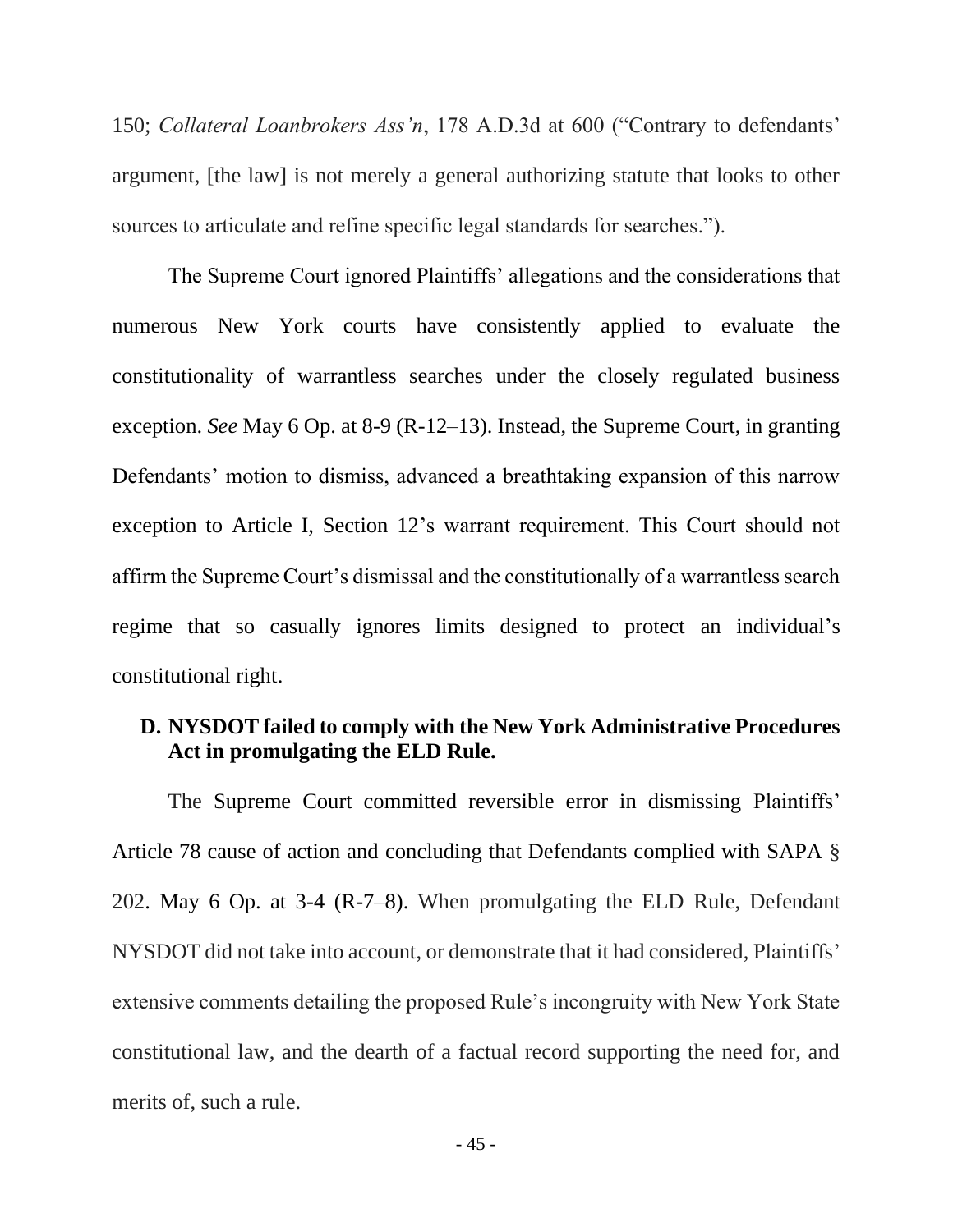150; *Collateral Loanbrokers Ass'n*, 178 A.D.3d at 600 ("Contrary to defendants' argument, [the law] is not merely a general authorizing statute that looks to other sources to articulate and refine specific legal standards for searches.").

The Supreme Court ignored Plaintiffs' allegations and the considerations that numerous New York courts have consistently applied to evaluate the constitutionality of warrantless searches under the closely regulated business exception. *See* May 6 Op. at 8-9 (R-12–13). Instead, the Supreme Court, in granting Defendants' motion to dismiss, advanced a breathtaking expansion of this narrow exception to Article I, Section 12's warrant requirement. This Court should not affirm the Supreme Court's dismissal and the constitutionally of a warrantless search regime that so casually ignores limits designed to protect an individual's constitutional right.

## <span id="page-54-0"></span>**D. NYSDOT failed to comply with the New York Administrative Procedures Act in promulgating the ELD Rule.**

The Supreme Court committed reversible error in dismissing Plaintiffs' Article 78 cause of action and concluding that Defendants complied with SAPA § 202. May 6 Op. at 3-4 (R-7–8). When promulgating the ELD Rule, Defendant NYSDOT did not take into account, or demonstrate that it had considered, Plaintiffs' extensive comments detailing the proposed Rule's incongruity with New York State constitutional law, and the dearth of a factual record supporting the need for, and merits of, such a rule.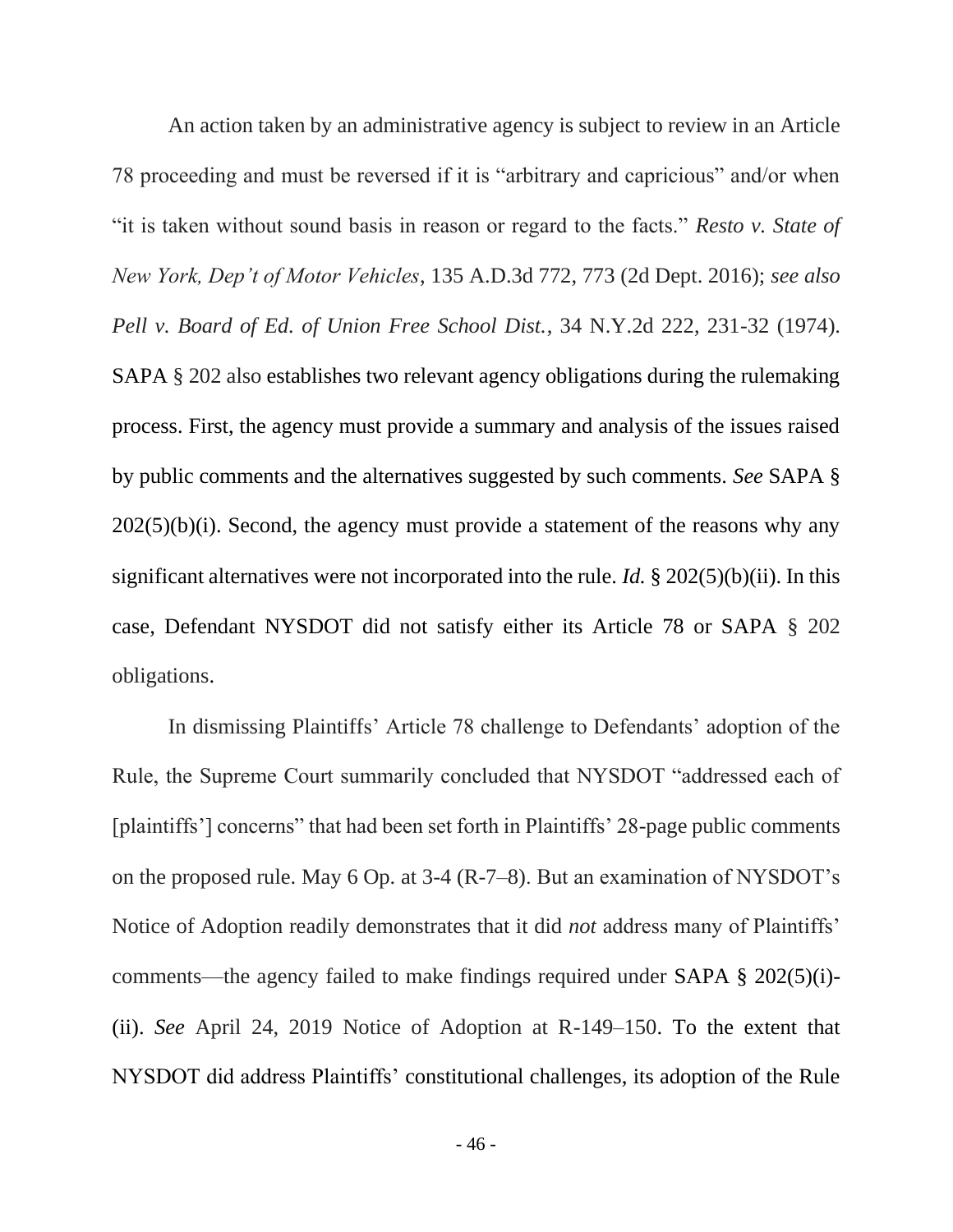An action taken by an administrative agency is subject to review in an Article 78 proceeding and must be reversed if it is "arbitrary and capricious" and/or when "it is taken without sound basis in reason or regard to the facts." *Resto v. State of New York, Dep't of Motor Vehicles*, 135 A.D.3d 772, 773 (2d Dept. 2016); *see also Pell v. Board of Ed. of Union Free School Dist.*, 34 N.Y.2d 222, 231-32 (1974). SAPA § 202 also establishes two relevant agency obligations during the rulemaking process. First, the agency must provide a summary and analysis of the issues raised by public comments and the alternatives suggested by such comments. *See* SAPA §  $202(5)(b)(i)$ . Second, the agency must provide a statement of the reasons why any significant alternatives were not incorporated into the rule. *Id.* § 202(5)(b)(ii). In this case, Defendant NYSDOT did not satisfy either its Article 78 or SAPA § 202 obligations.

In dismissing Plaintiffs' Article 78 challenge to Defendants' adoption of the Rule, the Supreme Court summarily concluded that NYSDOT "addressed each of [plaintiffs'] concerns" that had been set forth in Plaintiffs' 28-page public comments on the proposed rule. May 6 Op. at 3-4 (R-7–8). But an examination of NYSDOT's Notice of Adoption readily demonstrates that it did *not* address many of Plaintiffs' comments—the agency failed to make findings required under SAPA § 202(5)(i)- (ii). *See* April 24, 2019 Notice of Adoption at R-149–150. To the extent that NYSDOT did address Plaintiffs' constitutional challenges, its adoption of the Rule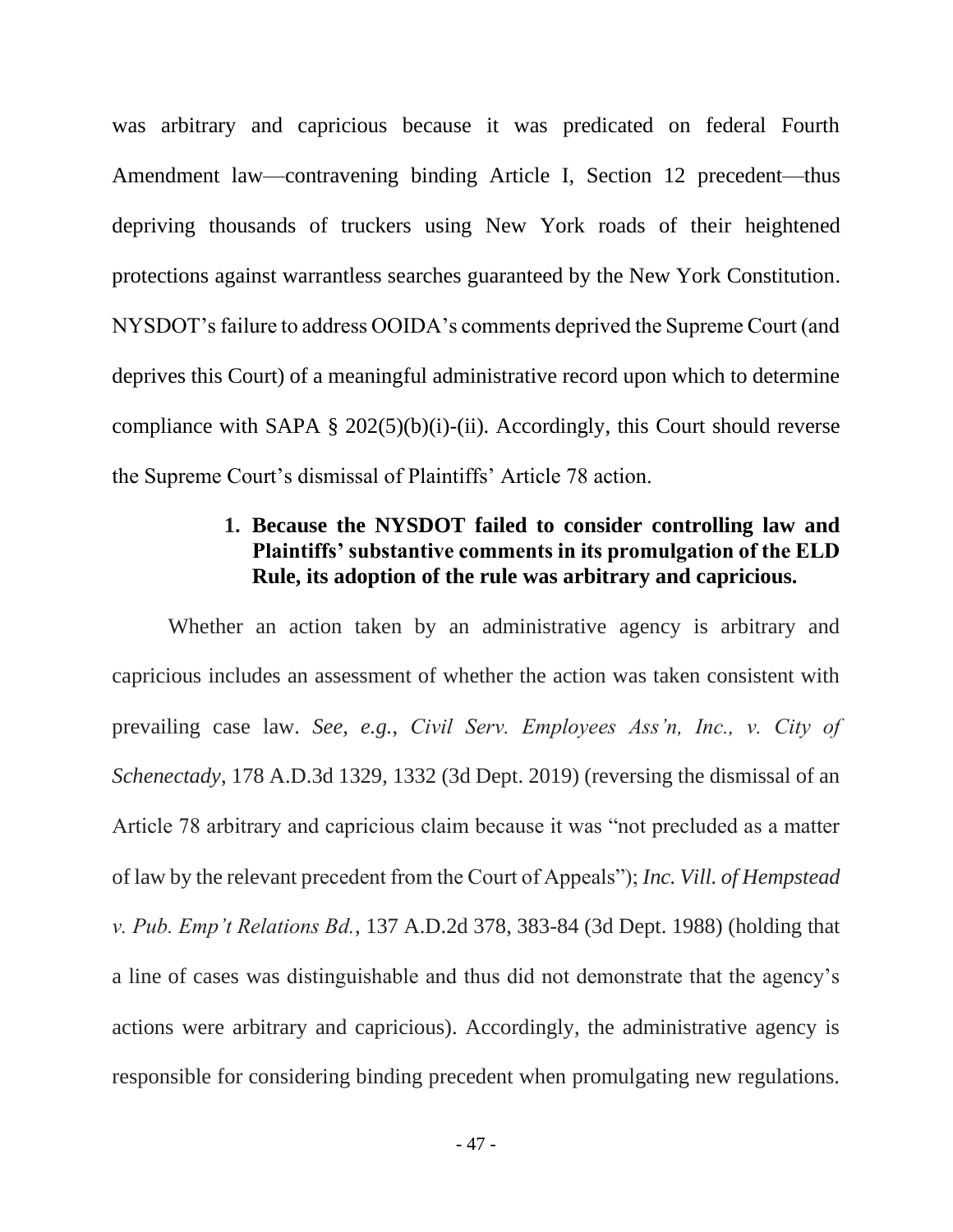was arbitrary and capricious because it was predicated on federal Fourth Amendment law—contravening binding Article I, Section 12 precedent—thus depriving thousands of truckers using New York roads of their heightened protections against warrantless searches guaranteed by the New York Constitution. NYSDOT's failure to address OOIDA's comments deprived the Supreme Court (and deprives this Court) of a meaningful administrative record upon which to determine compliance with SAPA  $\S 202(5)(b)(i)$ -(ii). Accordingly, this Court should reverse the Supreme Court's dismissal of Plaintiffs' Article 78 action.

## **1. Because the NYSDOT failed to consider controlling law and Plaintiffs' substantive comments in its promulgation of the ELD Rule, its adoption of the rule was arbitrary and capricious.**

<span id="page-56-0"></span>Whether an action taken by an administrative agency is arbitrary and capricious includes an assessment of whether the action was taken consistent with prevailing case law. *See, e.g.*, *Civil Serv. Employees Ass'n, Inc., v. City of Schenectady*, 178 A.D.3d 1329, 1332 (3d Dept. 2019) (reversing the dismissal of an Article 78 arbitrary and capricious claim because it was "not precluded as a matter of law by the relevant precedent from the Court of Appeals"); *Inc. Vill. of Hempstead v. Pub. Emp't Relations Bd.*, 137 A.D.2d 378, 383-84 (3d Dept. 1988) (holding that a line of cases was distinguishable and thus did not demonstrate that the agency's actions were arbitrary and capricious). Accordingly, the administrative agency is responsible for considering binding precedent when promulgating new regulations.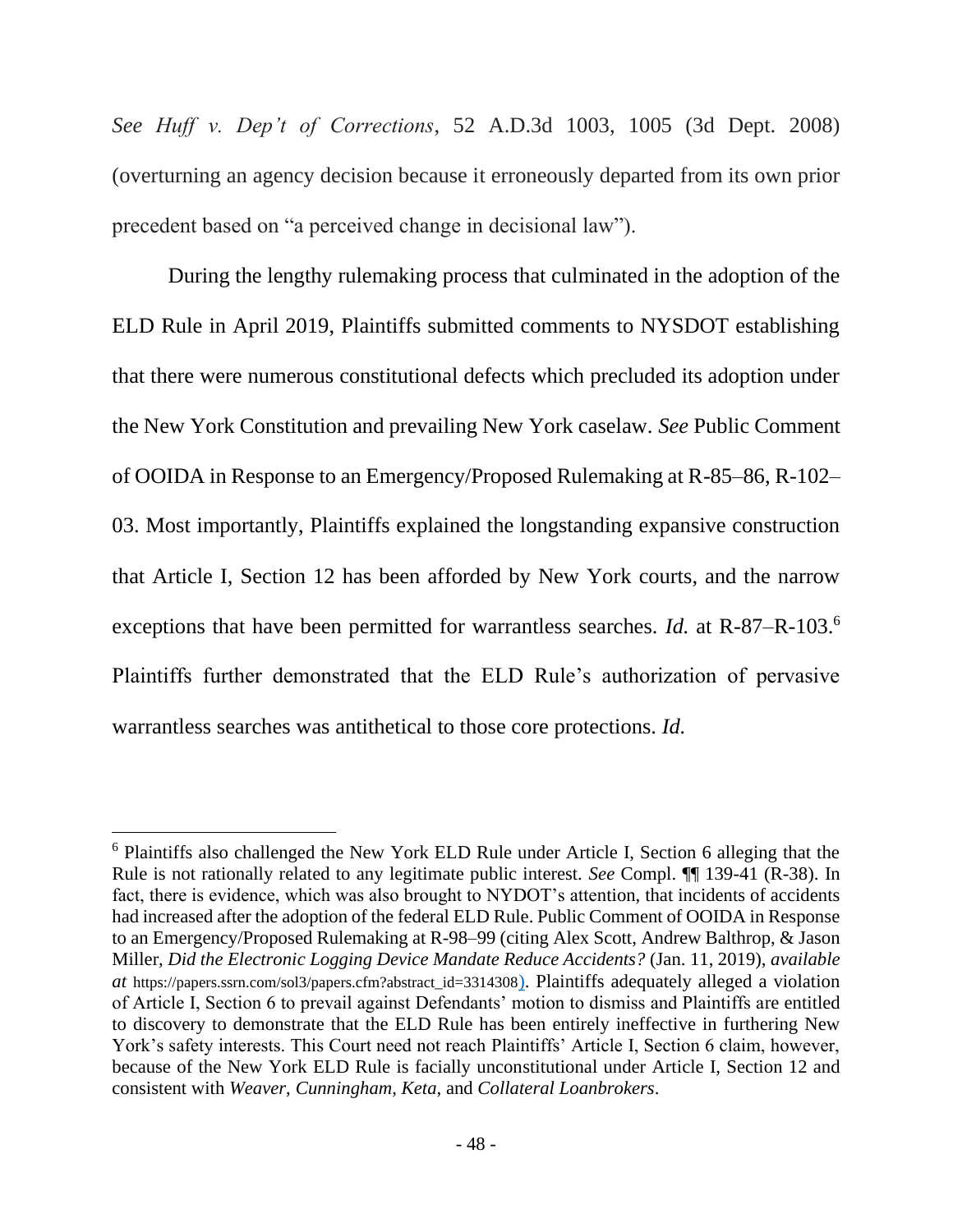*See Huff v. Dep't of Corrections*, 52 A.D.3d 1003, 1005 (3d Dept. 2008) (overturning an agency decision because it erroneously departed from its own prior precedent based on "a perceived change in decisional law").

During the lengthy rulemaking process that culminated in the adoption of the ELD Rule in April 2019, Plaintiffs submitted comments to NYSDOT establishing that there were numerous constitutional defects which precluded its adoption under the New York Constitution and prevailing New York caselaw. *See* Public Comment of OOIDA in Response to an Emergency/Proposed Rulemaking at R-85–86, R-102– 03. Most importantly, Plaintiffs explained the longstanding expansive construction that Article I, Section 12 has been afforded by New York courts, and the narrow exceptions that have been permitted for warrantless searches. *Id.* at R-87–R-103. 6 Plaintiffs further demonstrated that the ELD Rule's authorization of pervasive warrantless searches was antithetical to those core protections. *Id.*

<sup>&</sup>lt;sup>6</sup> Plaintiffs also challenged the New York ELD Rule under Article I, Section 6 alleging that the Rule is not rationally related to any legitimate public interest. *See* Compl. ¶¶ 139-41 (R-38). In fact, there is evidence, which was also brought to NYDOT's attention, that incidents of accidents had increased after the adoption of the federal ELD Rule. Public Comment of OOIDA in Response to an Emergency/Proposed Rulemaking at R-98–99 (citing Alex Scott, Andrew Balthrop, & Jason Miller, *Did the Electronic Logging Device Mandate Reduce Accidents?* (Jan. 11, 2019), *available at* https://papers.ssrn.com/sol3/papers.cfm?abstract\_id=3314308). Plaintiffs adequately alleged a violation of Article I, Section 6 to prevail against Defendants' motion to dismiss and Plaintiffs are entitled to discovery to demonstrate that the ELD Rule has been entirely ineffective in furthering New York's safety interests. This Court need not reach Plaintiffs' Article I, Section 6 claim, however, because of the New York ELD Rule is facially unconstitutional under Article I, Section 12 and consistent with *Weaver*, *Cunningham*, *Keta*, and *Collateral Loanbrokers*.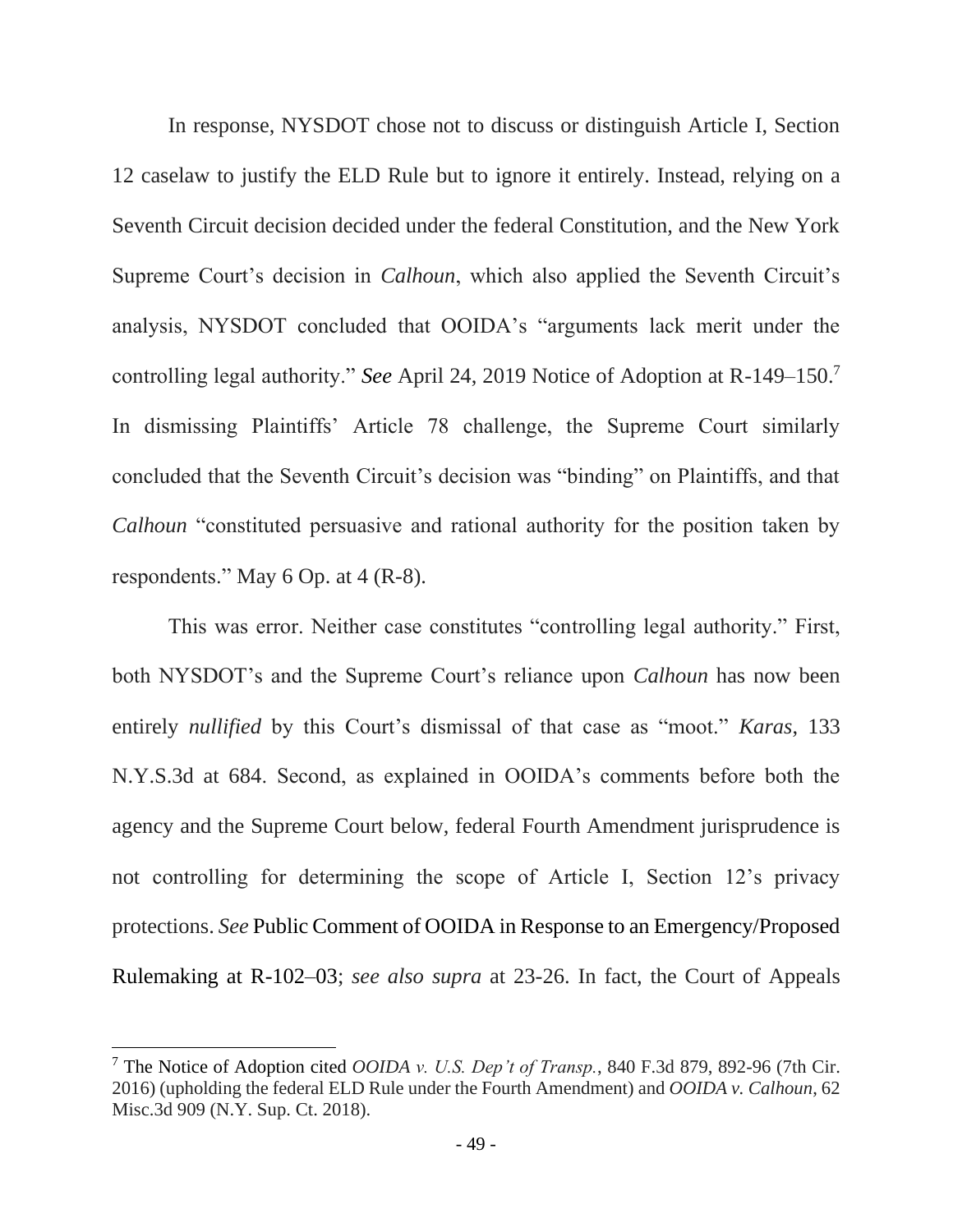In response, NYSDOT chose not to discuss or distinguish Article I, Section 12 caselaw to justify the ELD Rule but to ignore it entirely. Instead, relying on a Seventh Circuit decision decided under the federal Constitution, and the New York Supreme Court's decision in *Calhoun*, which also applied the Seventh Circuit's analysis, NYSDOT concluded that OOIDA's "arguments lack merit under the controlling legal authority." *See* April 24, 2019 Notice of Adoption at R-149–150. 7 In dismissing Plaintiffs' Article 78 challenge, the Supreme Court similarly concluded that the Seventh Circuit's decision was "binding" on Plaintiffs, and that *Calhoun* "constituted persuasive and rational authority for the position taken by respondents." May 6 Op. at 4 (R-8).

This was error. Neither case constitutes "controlling legal authority." First, both NYSDOT's and the Supreme Court's reliance upon *Calhoun* has now been entirely *nullified* by this Court's dismissal of that case as "moot." *Karas*, 133 N.Y.S.3d at 684. Second, as explained in OOIDA's comments before both the agency and the Supreme Court below, federal Fourth Amendment jurisprudence is not controlling for determining the scope of Article I, Section 12's privacy protections. *See* Public Comment of OOIDA in Response to an Emergency/Proposed Rulemaking at R-102–03; *see also supra* at 23-26. In fact, the Court of Appeals

<sup>7</sup> The Notice of Adoption cited *OOIDA v. U.S. Dep't of Transp.*, 840 F.3d 879, 892-96 (7th Cir. 2016) (upholding the federal ELD Rule under the Fourth Amendment) and *OOIDA v. Calhoun*, 62 Misc.3d 909 (N.Y. Sup. Ct. 2018).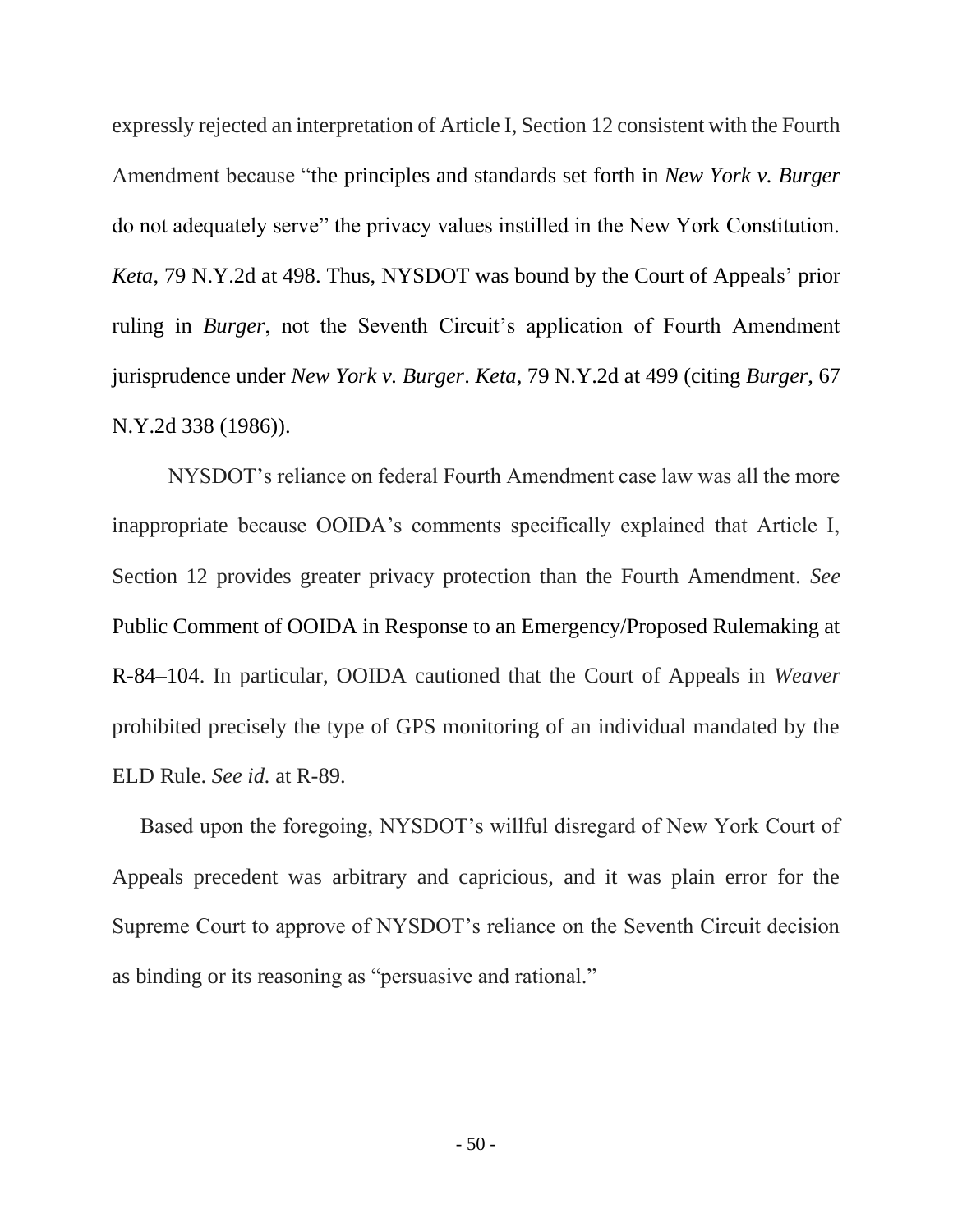expressly rejected an interpretation of Article I, Section 12 consistent with the Fourth Amendment because "the principles and standards set forth in *New York v. Burger* do not adequately serve" the privacy values instilled in the New York Constitution. *Keta*, 79 N.Y.2d at 498. Thus, NYSDOT was bound by the Court of Appeals' prior ruling in *Burger*, not the Seventh Circuit's application of Fourth Amendment jurisprudence under *New York v. Burger*. *Keta*, 79 N.Y.2d at 499 (citing *Burger*, 67 N.Y.2d 338 (1986)).

NYSDOT's reliance on federal Fourth Amendment case law was all the more inappropriate because OOIDA's comments specifically explained that Article I, Section 12 provides greater privacy protection than the Fourth Amendment. *See*  Public Comment of OOIDA in Response to an Emergency/Proposed Rulemaking at R-84–104. In particular, OOIDA cautioned that the Court of Appeals in *Weaver* prohibited precisely the type of GPS monitoring of an individual mandated by the ELD Rule. *See id.* at R-89.

Based upon the foregoing, NYSDOT's willful disregard of New York Court of Appeals precedent was arbitrary and capricious, and it was plain error for the Supreme Court to approve of NYSDOT's reliance on the Seventh Circuit decision as binding or its reasoning as "persuasive and rational."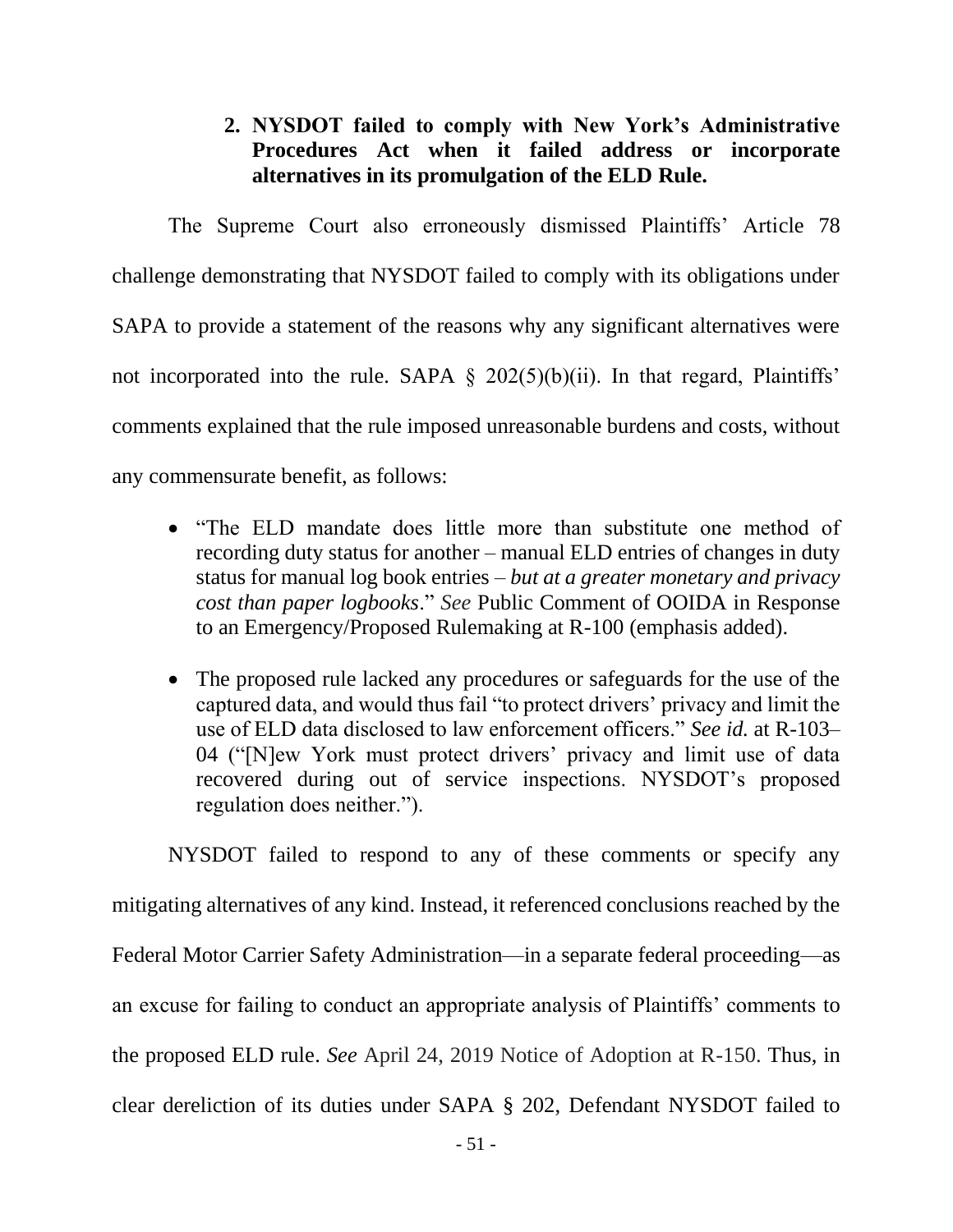## **2. NYSDOT failed to comply with New York's Administrative Procedures Act when it failed address or incorporate alternatives in its promulgation of the ELD Rule.**

<span id="page-60-0"></span>The Supreme Court also erroneously dismissed Plaintiffs' Article 78 challenge demonstrating that NYSDOT failed to comply with its obligations under SAPA to provide a statement of the reasons why any significant alternatives were not incorporated into the rule. SAPA  $\S$  202(5)(b)(ii). In that regard, Plaintiffs' comments explained that the rule imposed unreasonable burdens and costs, without any commensurate benefit, as follows:

- "The ELD mandate does little more than substitute one method of recording duty status for another – manual ELD entries of changes in duty status for manual log book entries – *but at a greater monetary and privacy cost than paper logbooks*." *See* Public Comment of OOIDA in Response to an Emergency/Proposed Rulemaking at R-100 (emphasis added).
- The proposed rule lacked any procedures or safeguards for the use of the captured data, and would thus fail "to protect drivers' privacy and limit the use of ELD data disclosed to law enforcement officers." *See id.* at R-103– 04 ("[N]ew York must protect drivers' privacy and limit use of data recovered during out of service inspections. NYSDOT's proposed regulation does neither.").

NYSDOT failed to respond to any of these comments or specify any mitigating alternatives of any kind. Instead, it referenced conclusions reached by the Federal Motor Carrier Safety Administration—in a separate federal proceeding—as an excuse for failing to conduct an appropriate analysis of Plaintiffs' comments to the proposed ELD rule. *See* April 24, 2019 Notice of Adoption at R-150. Thus, in clear dereliction of its duties under SAPA § 202, Defendant NYSDOT failed to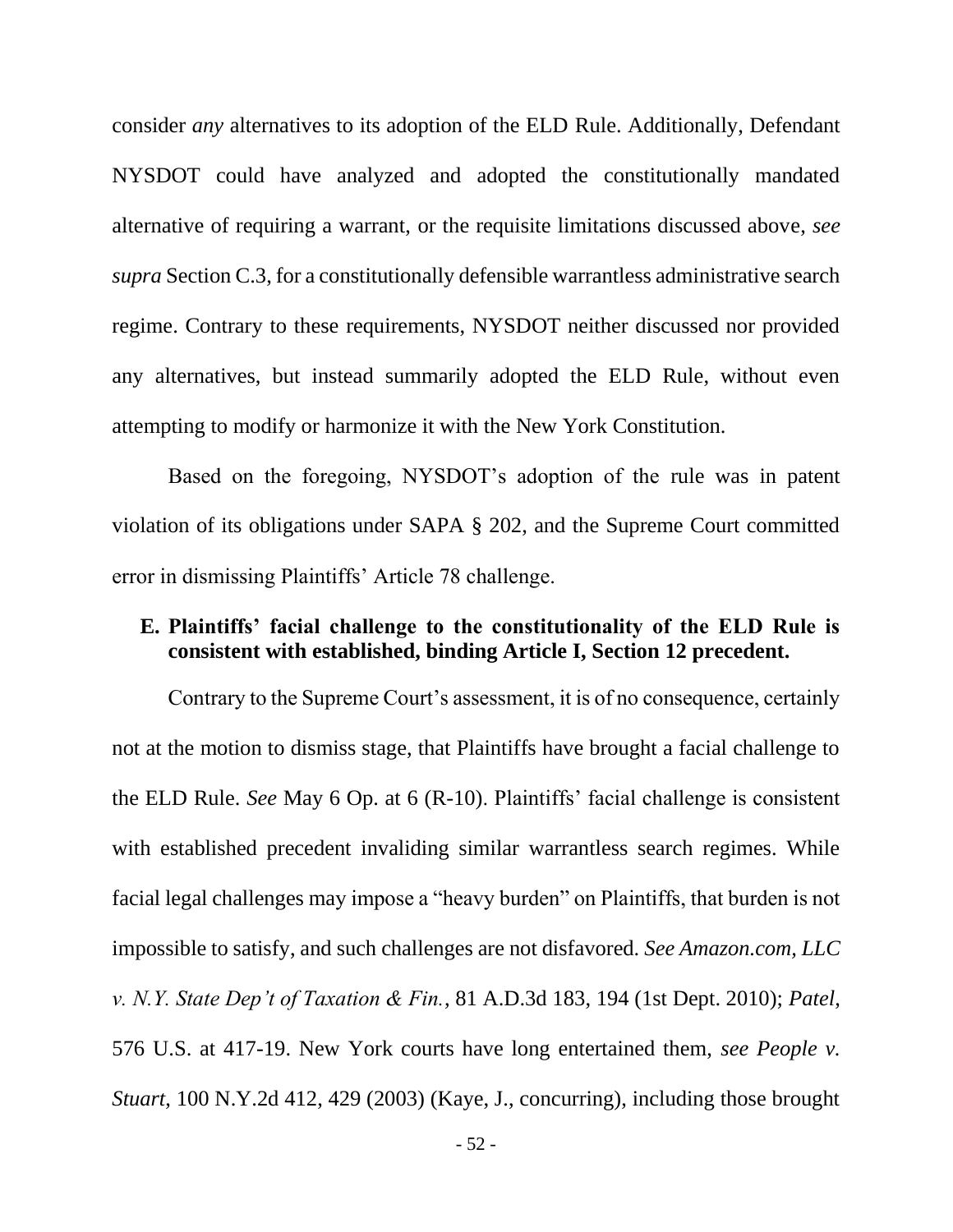consider *any* alternatives to its adoption of the ELD Rule. Additionally, Defendant NYSDOT could have analyzed and adopted the constitutionally mandated alternative of requiring a warrant, or the requisite limitations discussed above, *see supra* Section C.3, for a constitutionally defensible warrantless administrative search regime. Contrary to these requirements, NYSDOT neither discussed nor provided any alternatives, but instead summarily adopted the ELD Rule, without even attempting to modify or harmonize it with the New York Constitution.

Based on the foregoing, NYSDOT's adoption of the rule was in patent violation of its obligations under SAPA § 202, and the Supreme Court committed error in dismissing Plaintiffs' Article 78 challenge.

### <span id="page-61-0"></span>**E. Plaintiffs' facial challenge to the constitutionality of the ELD Rule is consistent with established, binding Article I, Section 12 precedent.**

Contrary to the Supreme Court's assessment, it is of no consequence, certainly not at the motion to dismiss stage, that Plaintiffs have brought a facial challenge to the ELD Rule. *See* May 6 Op. at 6 (R-10). Plaintiffs' facial challenge is consistent with established precedent invaliding similar warrantless search regimes. While facial legal challenges may impose a "heavy burden" on Plaintiffs, that burden is not impossible to satisfy, and such challenges are not disfavored. *See Amazon.com, LLC v. N.Y. State Dep't of Taxation & Fin.*, 81 A.D.3d 183, 194 (1st Dept. 2010); *Patel*, 576 U.S. at 417-19. New York courts have long entertained them, *see People v. Stuart*, 100 N.Y.2d 412, 429 (2003) (Kaye, J., concurring), including those brought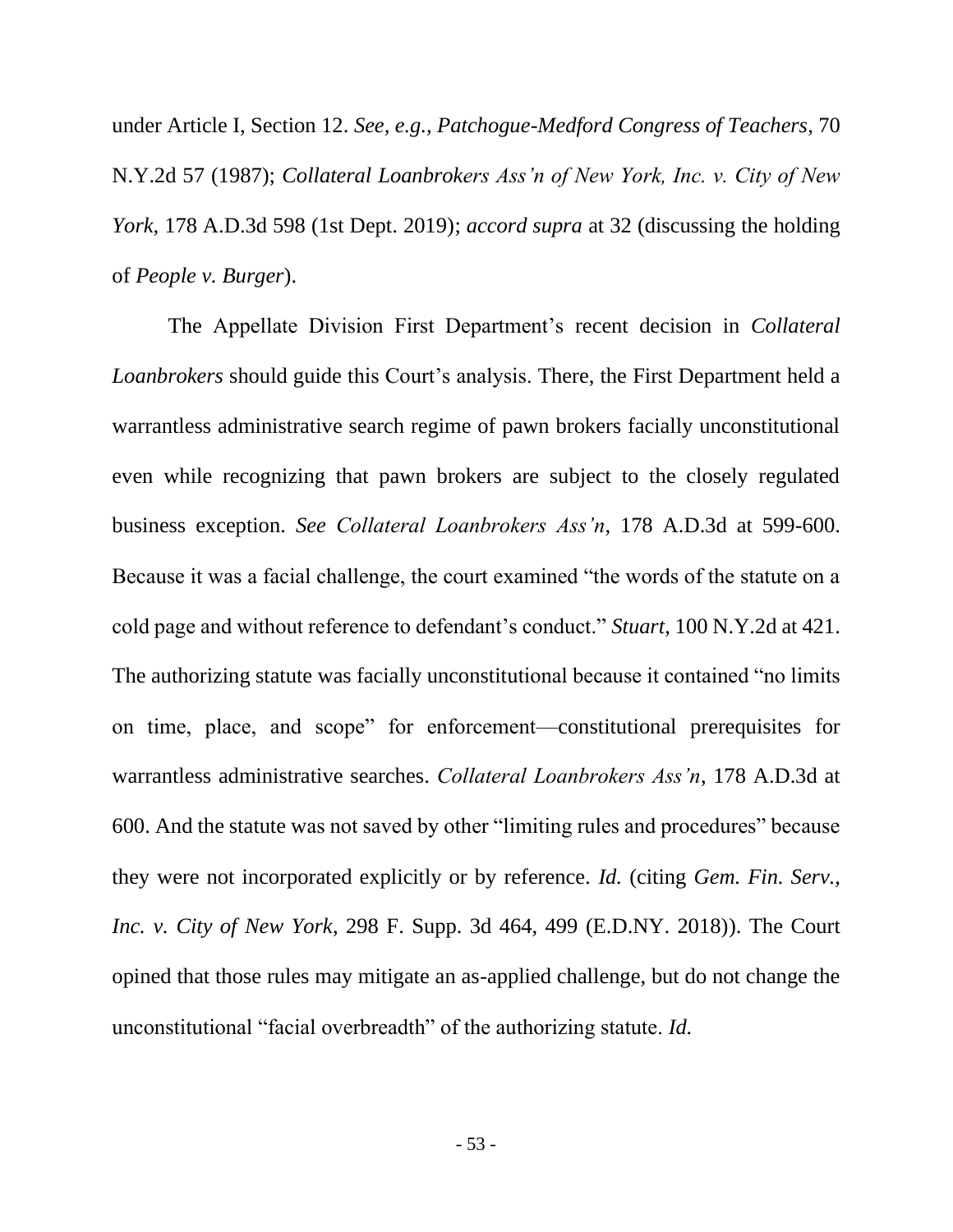under Article I, Section 12. *See, e.g., Patchogue-Medford Congress of Teachers*, 70 N.Y.2d 57 (1987); *Collateral Loanbrokers Ass'n of New York, Inc. v. City of New York*, 178 A.D.3d 598 (1st Dept. 2019); *accord supra* at 32 (discussing the holding of *People v. Burger*).

The Appellate Division First Department's recent decision in *Collateral Loanbrokers* should guide this Court's analysis. There, the First Department held a warrantless administrative search regime of pawn brokers facially unconstitutional even while recognizing that pawn brokers are subject to the closely regulated business exception. *See Collateral Loanbrokers Ass'n*, 178 A.D.3d at 599-600. Because it was a facial challenge, the court examined "the words of the statute on a cold page and without reference to defendant's conduct." *Stuart*, 100 N.Y.2d at 421. The authorizing statute was facially unconstitutional because it contained "no limits on time, place, and scope" for enforcement—constitutional prerequisites for warrantless administrative searches. *Collateral Loanbrokers Ass'n*, 178 A.D.3d at 600. And the statute was not saved by other "limiting rules and procedures" because they were not incorporated explicitly or by reference. *Id.* (citing *Gem. Fin. Serv., Inc. v. City of New York*, 298 F. Supp. 3d 464, 499 (E.D.NY. 2018)). The Court opined that those rules may mitigate an as-applied challenge, but do not change the unconstitutional "facial overbreadth" of the authorizing statute. *Id.*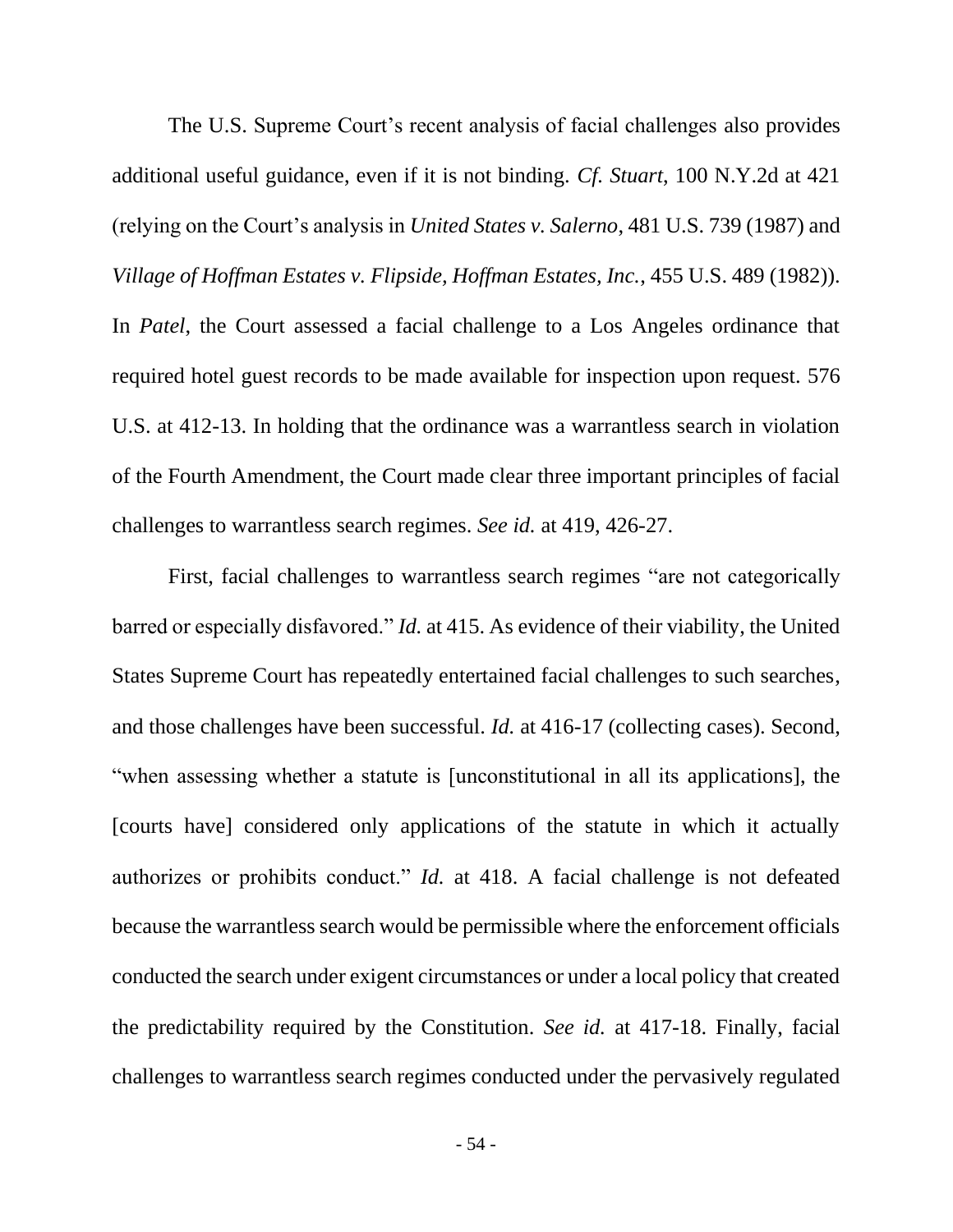The U.S. Supreme Court's recent analysis of facial challenges also provides additional useful guidance, even if it is not binding. *Cf. Stuart*, 100 N.Y.2d at 421 (relying on the Court's analysis in *United States v. Salerno*, 481 U.S. 739 (1987) and *Village of Hoffman Estates v. Flipside, Hoffman Estates, Inc.*, 455 U.S. 489 (1982)). In *Patel*, the Court assessed a facial challenge to a Los Angeles ordinance that required hotel guest records to be made available for inspection upon request. 576 U.S. at 412-13. In holding that the ordinance was a warrantless search in violation of the Fourth Amendment, the Court made clear three important principles of facial challenges to warrantless search regimes. *See id.* at 419, 426-27.

First, facial challenges to warrantless search regimes "are not categorically barred or especially disfavored." *Id.* at 415. As evidence of their viability, the United States Supreme Court has repeatedly entertained facial challenges to such searches, and those challenges have been successful. *Id.* at 416-17 (collecting cases). Second, "when assessing whether a statute is [unconstitutional in all its applications], the [courts have] considered only applications of the statute in which it actually authorizes or prohibits conduct." *Id.* at 418. A facial challenge is not defeated because the warrantless search would be permissible where the enforcement officials conducted the search under exigent circumstances or under a local policy that created the predictability required by the Constitution. *See id.* at 417-18. Finally, facial challenges to warrantless search regimes conducted under the pervasively regulated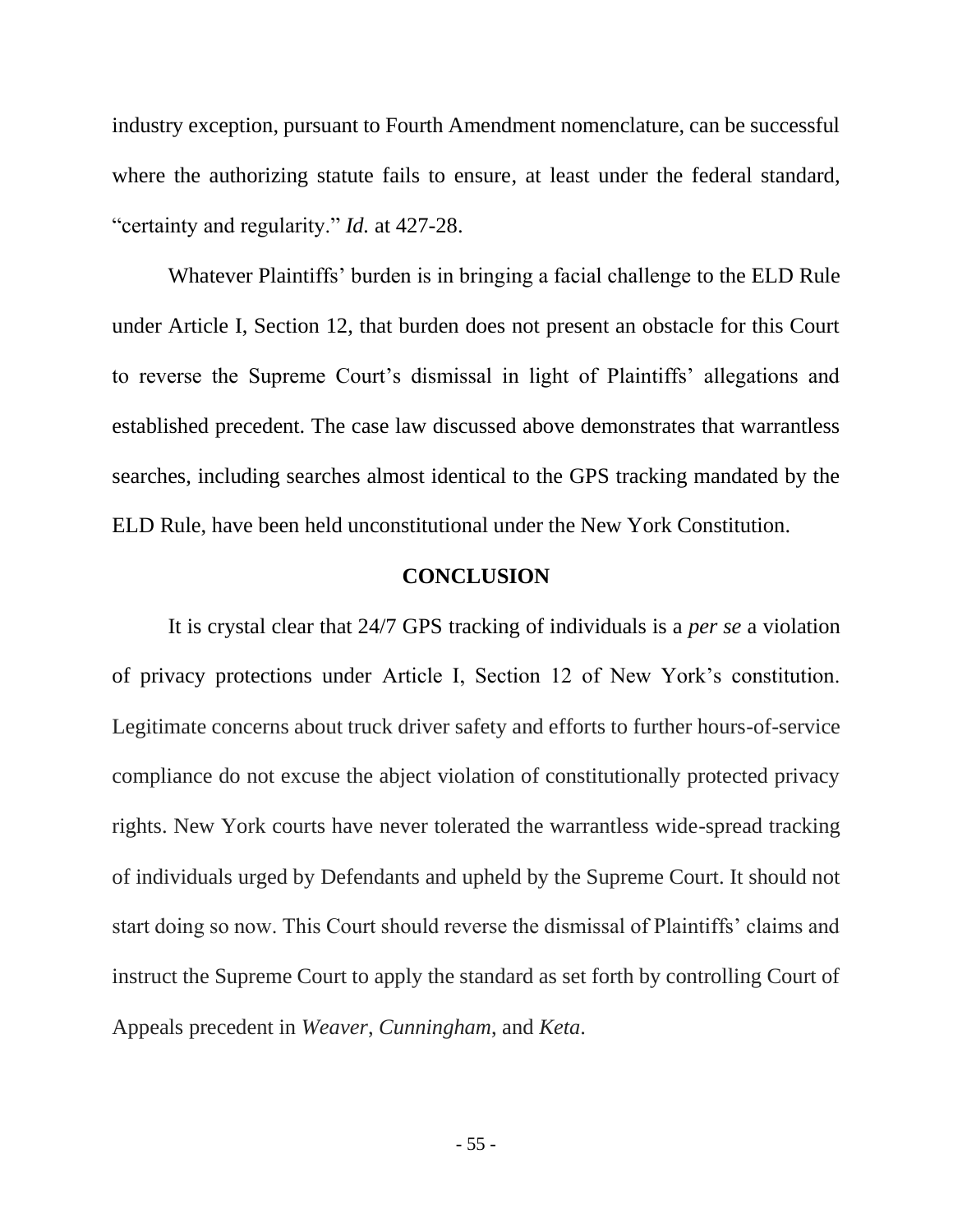industry exception, pursuant to Fourth Amendment nomenclature, can be successful where the authorizing statute fails to ensure, at least under the federal standard, "certainty and regularity." *Id.* at 427-28.

Whatever Plaintiffs' burden is in bringing a facial challenge to the ELD Rule under Article I, Section 12, that burden does not present an obstacle for this Court to reverse the Supreme Court's dismissal in light of Plaintiffs' allegations and established precedent. The case law discussed above demonstrates that warrantless searches, including searches almost identical to the GPS tracking mandated by the ELD Rule, have been held unconstitutional under the New York Constitution.

### **CONCLUSION**

<span id="page-64-0"></span>It is crystal clear that 24/7 GPS tracking of individuals is a *per se* a violation of privacy protections under Article I, Section 12 of New York's constitution. Legitimate concerns about truck driver safety and efforts to further hours-of-service compliance do not excuse the abject violation of constitutionally protected privacy rights. New York courts have never tolerated the warrantless wide-spread tracking of individuals urged by Defendants and upheld by the Supreme Court. It should not start doing so now. This Court should reverse the dismissal of Plaintiffs' claims and instruct the Supreme Court to apply the standard as set forth by controlling Court of Appeals precedent in *Weaver*, *Cunningham*, and *Keta*.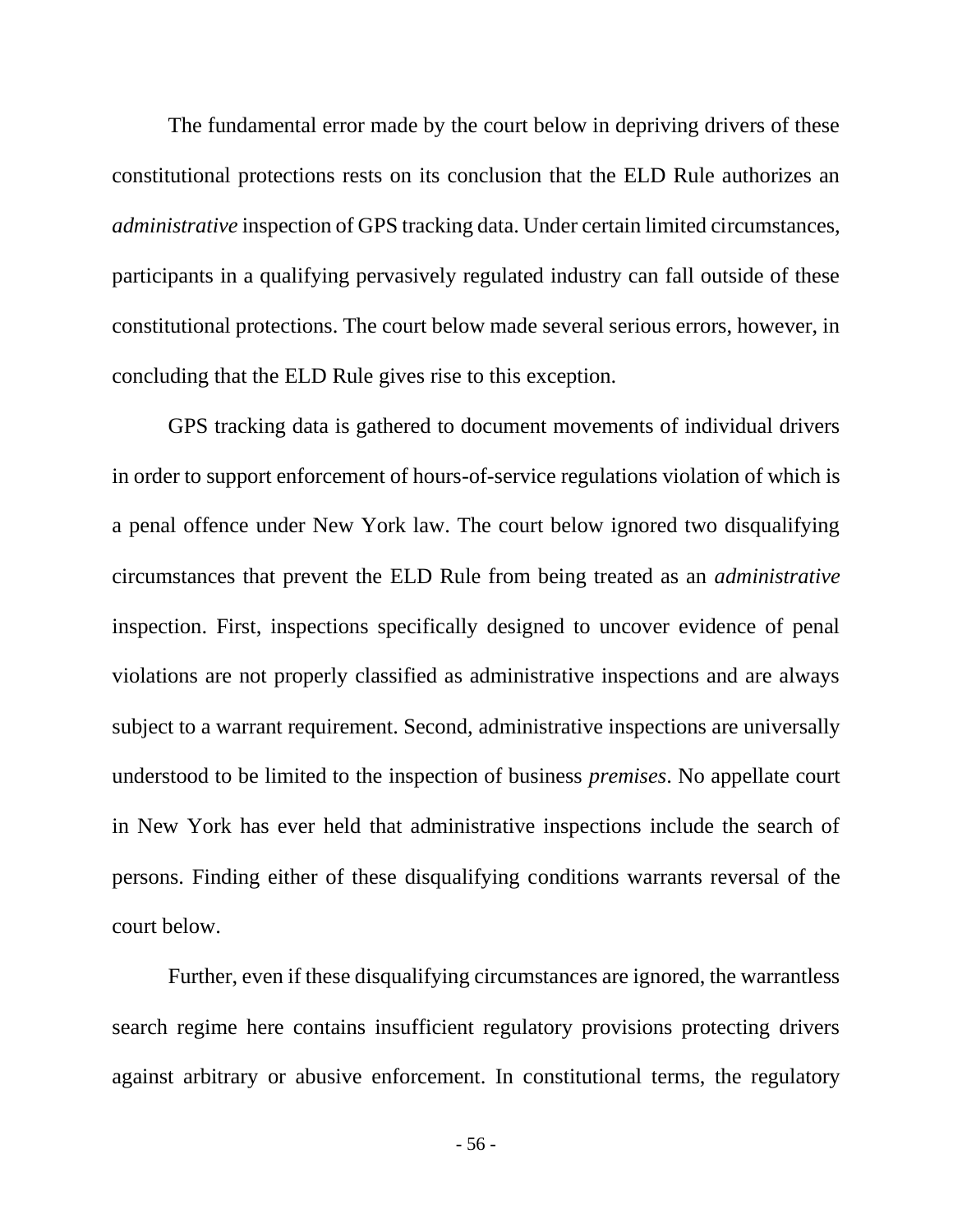The fundamental error made by the court below in depriving drivers of these constitutional protections rests on its conclusion that the ELD Rule authorizes an *administrative* inspection of GPS tracking data. Under certain limited circumstances, participants in a qualifying pervasively regulated industry can fall outside of these constitutional protections. The court below made several serious errors, however, in concluding that the ELD Rule gives rise to this exception.

GPS tracking data is gathered to document movements of individual drivers in order to support enforcement of hours-of-service regulations violation of which is a penal offence under New York law. The court below ignored two disqualifying circumstances that prevent the ELD Rule from being treated as an *administrative* inspection. First, inspections specifically designed to uncover evidence of penal violations are not properly classified as administrative inspections and are always subject to a warrant requirement. Second, administrative inspections are universally understood to be limited to the inspection of business *premises*. No appellate court in New York has ever held that administrative inspections include the search of persons. Finding either of these disqualifying conditions warrants reversal of the court below.

Further, even if these disqualifying circumstances are ignored, the warrantless search regime here contains insufficient regulatory provisions protecting drivers against arbitrary or abusive enforcement. In constitutional terms, the regulatory

- 56 -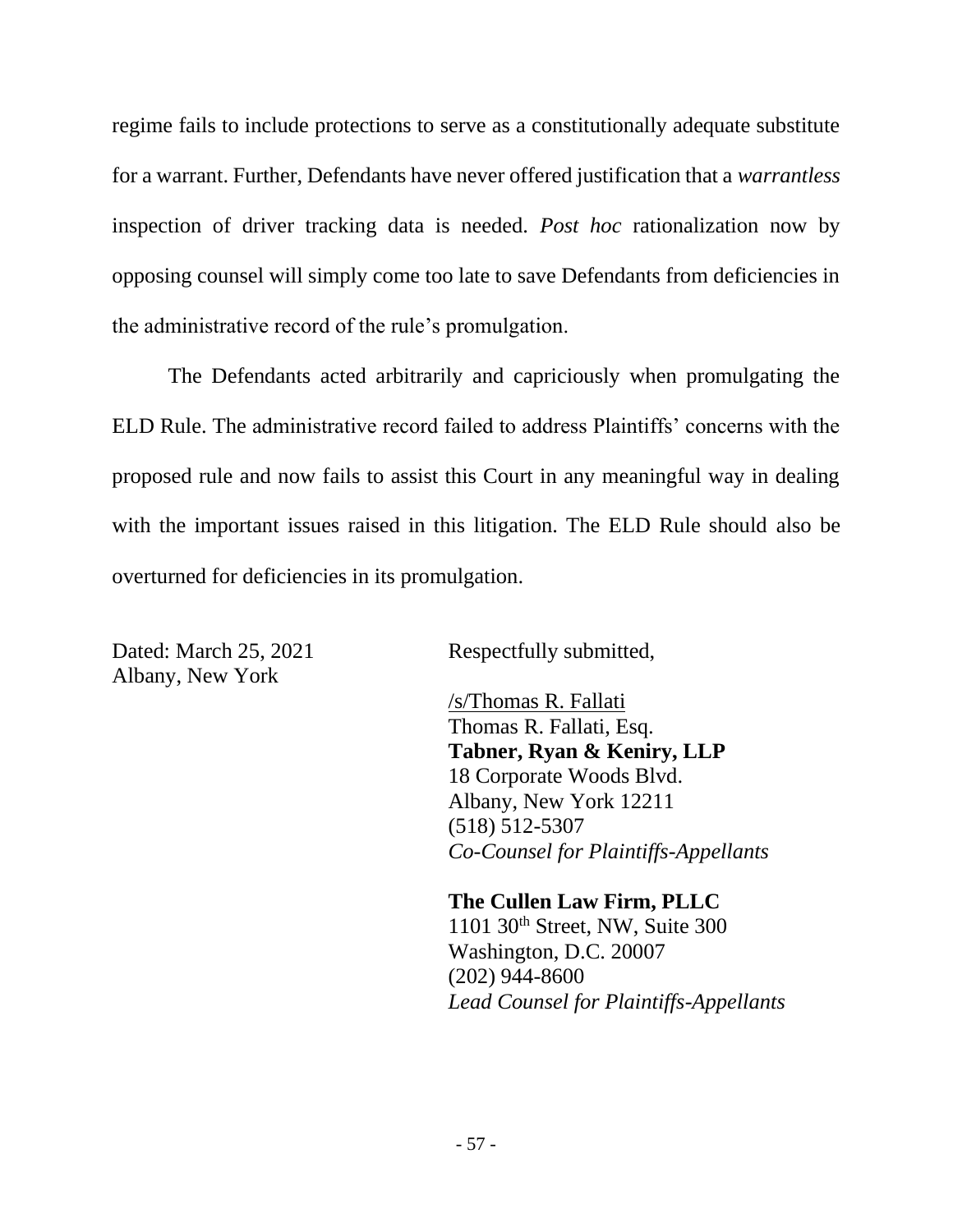regime fails to include protections to serve as a constitutionally adequate substitute for a warrant. Further, Defendants have never offered justification that a *warrantless* inspection of driver tracking data is needed. *Post hoc* rationalization now by opposing counsel will simply come too late to save Defendants from deficiencies in the administrative record of the rule's promulgation.

The Defendants acted arbitrarily and capriciously when promulgating the ELD Rule. The administrative record failed to address Plaintiffs' concerns with the proposed rule and now fails to assist this Court in any meaningful way in dealing with the important issues raised in this litigation. The ELD Rule should also be overturned for deficiencies in its promulgation.

Dated: March 25, 2021 Respectfully submitted, Albany, New York

/s/Thomas R. Fallati Thomas R. Fallati, Esq. **Tabner, Ryan & Keniry, LLP** 18 Corporate Woods Blvd. Albany, New York 12211 (518) 512-5307 *Co-Counsel for Plaintiffs-Appellants*

**The Cullen Law Firm, PLLC** 1101 30th Street, NW, Suite 300 Washington, D.C. 20007 (202) 944-8600 *Lead Counsel for Plaintiffs-Appellants*